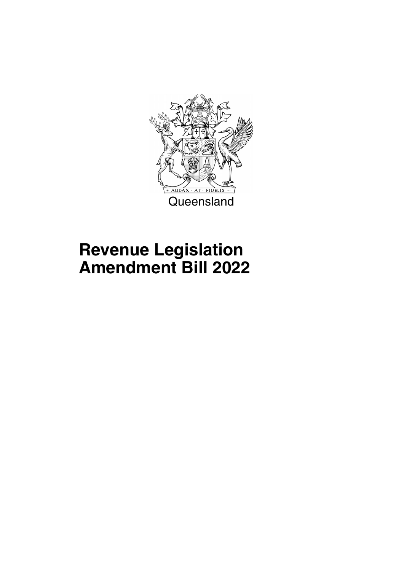

## **Revenue Legislation Amendment Bill 2022**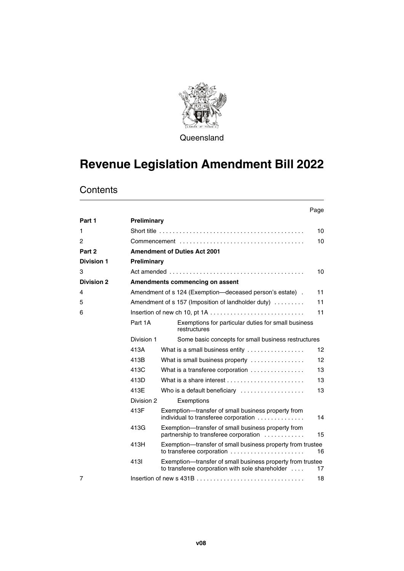

Queensland

## **Revenue Legislation Amendment Bill 2022**

|                   |             |                                                                                                               | Page |
|-------------------|-------------|---------------------------------------------------------------------------------------------------------------|------|
| Part 1            | Preliminary |                                                                                                               |      |
| 1                 |             |                                                                                                               | 10   |
| 2                 |             |                                                                                                               | 10   |
| Part 2            |             | <b>Amendment of Duties Act 2001</b>                                                                           |      |
| <b>Division 1</b> | Preliminary |                                                                                                               |      |
| 3                 |             |                                                                                                               | 10   |
| <b>Division 2</b> |             | Amendments commencing on assent                                                                               |      |
| 4                 |             | Amendment of s 124 (Exemption—deceased person's estate).                                                      | 11   |
| 5                 |             | Amendment of s 157 (Imposition of landholder duty)                                                            | 11   |
| 6                 |             |                                                                                                               | 11   |
|                   | Part 1A     | Exemptions for particular duties for small business<br>restructures                                           |      |
|                   | Division 1  | Some basic concepts for small business restructures                                                           |      |
|                   | 413A        | What is a small business entity                                                                               | 12   |
|                   | 413B        | What is small business property                                                                               | 12   |
|                   | 413C        | What is a transferee corporation                                                                              | 13   |
|                   | 413D        |                                                                                                               | 13   |
|                   | 413E        | Who is a default beneficiary                                                                                  | 13   |
|                   | Division 2  | Exemptions                                                                                                    |      |
|                   | 413F        | Exemption—transfer of small business property from<br>individual to transferee corporation                    | 14   |
|                   | 413G        | Exemption-transfer of small business property from<br>partnership to transferee corporation                   | 15   |
|                   | 413H        | Exemption—transfer of small business property from trustee<br>to transferee corporation                       | 16   |
|                   | 4131        | Exemption—transfer of small business property from trustee<br>to transferee corporation with sole shareholder | 17   |
| 7                 |             |                                                                                                               | 18   |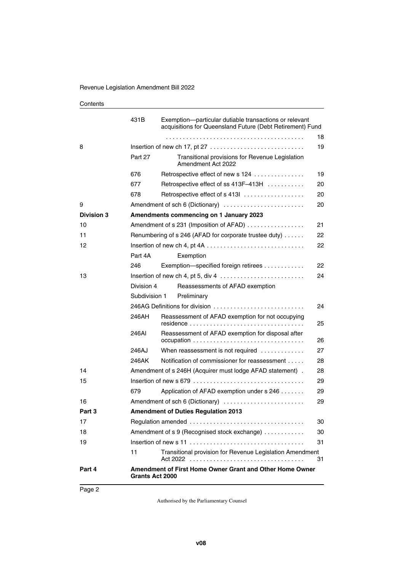|                   | 431B                   | Exemption-particular dutiable transactions or relevant<br>acquisitions for Queensland Future (Debt Retirement) Fund |    |
|-------------------|------------------------|---------------------------------------------------------------------------------------------------------------------|----|
|                   |                        |                                                                                                                     | 18 |
| 8                 |                        |                                                                                                                     | 19 |
|                   | Part 27                | Transitional provisions for Revenue Legislation<br>Amendment Act 2022                                               |    |
|                   | 676                    | Retrospective effect of new s 124                                                                                   | 19 |
|                   | 677                    | Retrospective effect of ss 413F-413H                                                                                | 20 |
|                   | 678                    | Retrospective effect of s 413                                                                                       | 20 |
| 9                 |                        | Amendment of sch 6 (Dictionary)                                                                                     | 20 |
| <b>Division 3</b> |                        | Amendments commencing on 1 January 2023                                                                             |    |
| 10                |                        | Amendment of s 231 (Imposition of AFAD)                                                                             | 21 |
| 11                |                        | Renumbering of s 246 (AFAD for corporate trustee duty)                                                              | 22 |
| 12                |                        |                                                                                                                     | 22 |
|                   | Part 4A                | Exemption                                                                                                           |    |
|                   | 246                    | Exemption-specified foreign retirees                                                                                | 22 |
| 13                |                        |                                                                                                                     | 24 |
|                   | Division 4             | Reassessments of AFAD exemption                                                                                     |    |
|                   | Subdivision 1          | Preliminary                                                                                                         |    |
|                   |                        | 246AG Definitions for division                                                                                      | 24 |
|                   | 246AH                  | Reassessment of AFAD exemption for not occupying                                                                    | 25 |
|                   | 246AI                  | Reassessment of AFAD exemption for disposal after                                                                   | 26 |
|                   | 246AJ                  | When reassessment is not required                                                                                   | 27 |
|                   | 246AK                  | Notification of commissioner for reassessment                                                                       | 28 |
| 14                |                        | Amendment of s 246H (Acquirer must lodge AFAD statement).                                                           | 28 |
| 15                |                        |                                                                                                                     | 29 |
|                   | 679                    | Application of AFAD exemption under s 246                                                                           | 29 |
| 16                |                        | Amendment of sch 6 (Dictionary)                                                                                     | 29 |
| Part 3            |                        | <b>Amendment of Duties Regulation 2013</b>                                                                          |    |
| 17                |                        |                                                                                                                     | 30 |
| 18                |                        | Amendment of s 9 (Recognised stock exchange)                                                                        | 30 |
| 19                |                        |                                                                                                                     | 31 |
|                   | 11                     | Transitional provision for Revenue Legislation Amendment                                                            | 31 |
| Part 4            | <b>Grants Act 2000</b> | Amendment of First Home Owner Grant and Other Home Owner                                                            |    |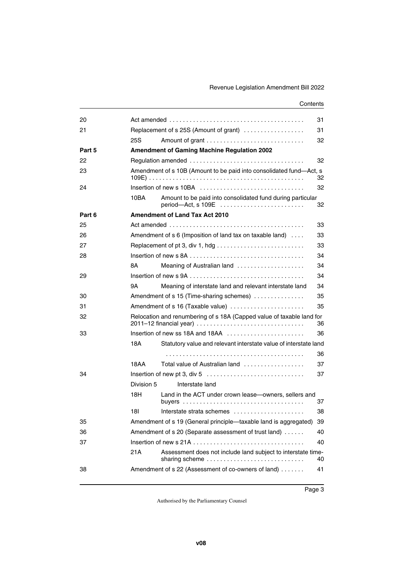| 20     |                                         |                                                                                                  | 31 |  |  |  |
|--------|-----------------------------------------|--------------------------------------------------------------------------------------------------|----|--|--|--|
| 21     |                                         | Replacement of s 25S (Amount of grant)                                                           | 31 |  |  |  |
|        | 25S                                     |                                                                                                  | 32 |  |  |  |
| Part 5 |                                         | <b>Amendment of Gaming Machine Regulation 2002</b>                                               |    |  |  |  |
| 22     |                                         |                                                                                                  | 32 |  |  |  |
| 23     |                                         | Amendment of s 10B (Amount to be paid into consolidated fund-Act, s                              | 32 |  |  |  |
| 24     |                                         | Insertion of new s 10BA                                                                          | 32 |  |  |  |
|        | 10BA                                    | Amount to be paid into consolidated fund during particular<br>$period$ - Act, s 109E $\ldots$    | 32 |  |  |  |
| Part 6 |                                         | <b>Amendment of Land Tax Act 2010</b>                                                            |    |  |  |  |
| 25     |                                         |                                                                                                  | 33 |  |  |  |
| 26     |                                         | Amendment of s 6 (Imposition of land tax on taxable land)                                        | 33 |  |  |  |
| 27     |                                         |                                                                                                  | 33 |  |  |  |
| 28     |                                         |                                                                                                  | 34 |  |  |  |
|        | 8Α                                      | Meaning of Australian land                                                                       | 34 |  |  |  |
| 29     |                                         |                                                                                                  | 34 |  |  |  |
|        | 9Α                                      | Meaning of interstate land and relevant interstate land                                          | 34 |  |  |  |
| 30     |                                         | Amendment of s 15 (Time-sharing schemes)                                                         | 35 |  |  |  |
| 31     | Amendment of s 16 (Taxable value)<br>35 |                                                                                                  |    |  |  |  |
| 32     |                                         | Relocation and renumbering of s 18A (Capped value of taxable land for<br>2011-12 financial year) | 36 |  |  |  |
| 33     |                                         | Insertion of new ss 18A and 18AA $\ldots$ , , , , ,                                              | 36 |  |  |  |
|        | 18A                                     | Statutory value and relevant interstate value of interstate land                                 |    |  |  |  |
|        |                                         |                                                                                                  | 36 |  |  |  |
|        | 18AA                                    | Total value of Australian land                                                                   | 37 |  |  |  |
| 34     |                                         |                                                                                                  | 37 |  |  |  |
|        | Division 5                              | Interstate land                                                                                  |    |  |  |  |
|        | 18H                                     | Land in the ACT under crown lease-owners, sellers and                                            | 37 |  |  |  |
|        | 181                                     | Interstate strata schemes $\ldots, \ldots, \ldots, \ldots, \ldots$                               | 38 |  |  |  |
| 35     |                                         | Amendment of s 19 (General principle-taxable land is aggregated)                                 | 39 |  |  |  |
| 36     |                                         | Amendment of s 20 (Separate assessment of trust land)                                            | 40 |  |  |  |
| 37     |                                         |                                                                                                  | 40 |  |  |  |
|        | 21A                                     | Assessment does not include land subject to interstate time-<br>sharing scheme                   | 40 |  |  |  |
| 38     |                                         | Amendment of s 22 (Assessment of co-owners of land)                                              | 41 |  |  |  |
|        |                                         |                                                                                                  |    |  |  |  |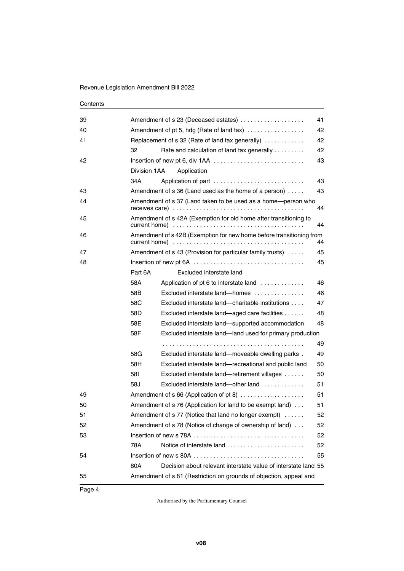| 39 |                                                 | Amendment of s 23 (Deceased estates)                                 | 41 |  |  |  |
|----|-------------------------------------------------|----------------------------------------------------------------------|----|--|--|--|
| 40 | 42<br>Amendment of pt 5, hdg (Rate of land tax) |                                                                      |    |  |  |  |
| 41 |                                                 | Replacement of s 32 (Rate of land tax generally)                     | 42 |  |  |  |
|    | 32                                              | Rate and calculation of land tax generally                           | 42 |  |  |  |
| 42 |                                                 |                                                                      | 43 |  |  |  |
|    | Division 1AA                                    | Application                                                          |    |  |  |  |
|    | 34A                                             | Application of part                                                  | 43 |  |  |  |
| 43 |                                                 | Amendment of $s$ 36 (Land used as the home of a person) $\dots$ .    | 43 |  |  |  |
| 44 |                                                 | Amendment of s 37 (Land taken to be used as a home-person who        | 44 |  |  |  |
| 45 |                                                 | Amendment of s 42A (Exemption for old home after transitioning to    | 44 |  |  |  |
| 46 |                                                 | Amendment of s 42B (Exemption for new home before transitioning from | 44 |  |  |  |
| 47 |                                                 | Amendment of s 43 (Provision for particular family trusts)           | 45 |  |  |  |
| 48 |                                                 |                                                                      | 45 |  |  |  |
|    | Part 6A                                         | Excluded interstate land                                             |    |  |  |  |
|    | 58A                                             | Application of pt 6 to interstate land                               | 46 |  |  |  |
|    | 58B                                             | Excluded interstate land—homes                                       | 46 |  |  |  |
|    | 58C                                             | Excluded interstate land-charitable institutions                     | 47 |  |  |  |
|    | 58D                                             | Excluded interstate land—aged care facilities                        | 48 |  |  |  |
|    | 58E                                             | Excluded interstate land—supported accommodation                     | 48 |  |  |  |
|    | 58F                                             | Excluded interstate land—land used for primary production            |    |  |  |  |
|    |                                                 |                                                                      | 49 |  |  |  |
|    | 58G                                             | Excluded interstate land—moveable dwelling parks.                    | 49 |  |  |  |
|    | 58H                                             | Excluded interstate land-recreational and public land                | 50 |  |  |  |
|    | 58I                                             | Excluded interstate land—retirement villages                         | 50 |  |  |  |
|    | 58J                                             | Excluded interstate land—other land                                  | 51 |  |  |  |
| 49 |                                                 | Amendment of s 66 (Application of pt 8)                              | 51 |  |  |  |
| 50 |                                                 | Amendment of s 76 (Application for land to be exempt land)           | 51 |  |  |  |
| 51 |                                                 | Amendment of s 77 (Notice that land no longer exempt)                | 52 |  |  |  |
| 52 |                                                 | Amendment of s 78 (Notice of change of ownership of land)            | 52 |  |  |  |
| 53 |                                                 |                                                                      | 52 |  |  |  |
|    | 78A                                             | Notice of interstate land                                            | 52 |  |  |  |
| 54 |                                                 |                                                                      | 55 |  |  |  |
|    | 80A                                             | Decision about relevant interstate value of interstate land 55       |    |  |  |  |
| 55 |                                                 | Amendment of s 81 (Restriction on grounds of objection, appeal and   |    |  |  |  |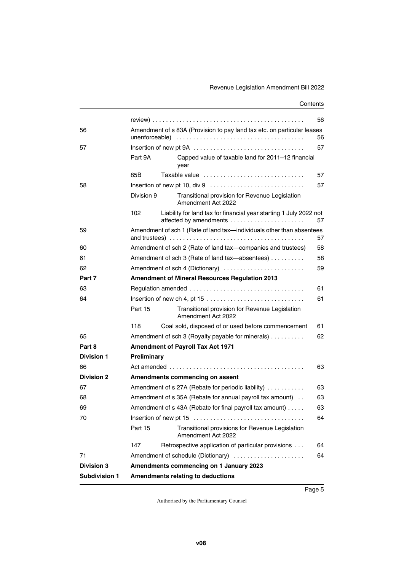|                   |                                                                                            |                                                                         | 56 |  |  |  |
|-------------------|--------------------------------------------------------------------------------------------|-------------------------------------------------------------------------|----|--|--|--|
| 56                |                                                                                            | Amendment of s 83A (Provision to pay land tax etc. on particular leases | 56 |  |  |  |
| 57                |                                                                                            |                                                                         | 57 |  |  |  |
|                   | Part 9A                                                                                    | Capped value of taxable land for 2011-12 financial<br>year              |    |  |  |  |
|                   | 85B                                                                                        | Taxable value                                                           | 57 |  |  |  |
| 58                |                                                                                            |                                                                         | 57 |  |  |  |
|                   | Division 9                                                                                 | Transitional provision for Revenue Legislation<br>Amendment Act 2022    |    |  |  |  |
|                   | 102                                                                                        | Liability for land tax for financial year starting 1 July 2022 not      | 57 |  |  |  |
| 59                |                                                                                            | Amendment of sch 1 (Rate of land tax-individuals other than absentees   | 57 |  |  |  |
| 60                |                                                                                            | Amendment of sch 2 (Rate of land tax-companies and trustees)            | 58 |  |  |  |
| 61                |                                                                                            | Amendment of sch 3 (Rate of land tax-absentees)<br>58                   |    |  |  |  |
| 62                |                                                                                            | Amendment of sch 4 (Dictionary)<br>59                                   |    |  |  |  |
| Part 7            | <b>Amendment of Mineral Resources Regulation 2013</b>                                      |                                                                         |    |  |  |  |
| 63                |                                                                                            |                                                                         | 61 |  |  |  |
| 64                | Insertion of new ch 4, pt 15 $\dots \dots \dots \dots \dots \dots \dots \dots \dots \dots$ |                                                                         |    |  |  |  |
|                   | Part 15                                                                                    | Transitional provision for Revenue Legislation<br>Amendment Act 2022    |    |  |  |  |
|                   | 118                                                                                        | Coal sold, disposed of or used before commencement                      | 61 |  |  |  |
| 65                |                                                                                            | Amendment of sch 3 (Royalty payable for minerals)                       | 62 |  |  |  |
| Part 8            | <b>Amendment of Payroll Tax Act 1971</b>                                                   |                                                                         |    |  |  |  |
| <b>Division 1</b> | Preliminary                                                                                |                                                                         |    |  |  |  |
| 66                |                                                                                            |                                                                         | 63 |  |  |  |
| <b>Division 2</b> |                                                                                            | Amendments commencing on assent                                         |    |  |  |  |
| 67                |                                                                                            | Amendment of s 27A (Rebate for periodic liability)                      | 63 |  |  |  |
| 68                |                                                                                            | Amendment of s 35A (Rebate for annual payroll tax amount)               | 63 |  |  |  |
| 69                |                                                                                            | Amendment of s 43A (Rebate for final payroll tax amount)                | 63 |  |  |  |
| 70                |                                                                                            | Insertion of new pt 15                                                  | 64 |  |  |  |
|                   | Part 15                                                                                    | Transitional provisions for Revenue Legislation<br>Amendment Act 2022   |    |  |  |  |
|                   | 147                                                                                        | Retrospective application of particular provisions                      | 64 |  |  |  |
| 71                |                                                                                            | Amendment of schedule (Dictionary)                                      | 64 |  |  |  |
| <b>Division 3</b> |                                                                                            | Amendments commencing on 1 January 2023                                 |    |  |  |  |
| Subdivision 1     |                                                                                            | <b>Amendments relating to deductions</b>                                |    |  |  |  |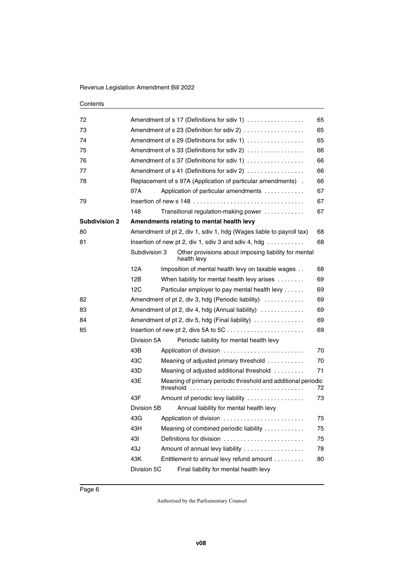| 72                   |               |                                                 | Amendment of s 17 (Definitions for sdiv 1)                                  | 65 |  |  |
|----------------------|---------------|-------------------------------------------------|-----------------------------------------------------------------------------|----|--|--|
| 73                   |               | Amendment of s 23 (Definition for sdiv 2)<br>65 |                                                                             |    |  |  |
| 74                   |               |                                                 | Amendment of s 29 (Definitions for sdiv 1)                                  | 65 |  |  |
| 75                   |               |                                                 | Amendment of s 33 (Definitions for sdiv 2)                                  | 66 |  |  |
| 76                   |               |                                                 | Amendment of s 37 (Definitions for sdiv 1)                                  | 66 |  |  |
| 77                   |               |                                                 | Amendment of s 41 (Definitions for sdiv 2)                                  | 66 |  |  |
| 78                   |               |                                                 | Replacement of s 97A (Application of particular amendments).                | 66 |  |  |
|                      | 97A           |                                                 | Application of particular amendments                                        | 67 |  |  |
| 79                   |               |                                                 |                                                                             | 67 |  |  |
|                      | 148           |                                                 | Transitional regulation-making power                                        | 67 |  |  |
| <b>Subdivision 2</b> |               |                                                 | Amendments relating to mental health levy                                   |    |  |  |
| 80                   |               |                                                 | Amendment of pt 2, div 1, sdiv 1, hdg (Wages liable to payroll tax)         | 68 |  |  |
| 81                   |               |                                                 | Insertion of new pt 2, div 1, sdiv 3 and sdiv 4, hdg $\ldots \ldots \ldots$ | 68 |  |  |
|                      | Subdivision 3 |                                                 | Other provisions about imposing liability for mental<br>health levv         |    |  |  |
|                      | 12A           |                                                 | Imposition of mental health levy on taxable wages                           | 68 |  |  |
|                      | 12B           |                                                 | When liability for mental health levy arises                                | 69 |  |  |
|                      | 12C           |                                                 | Particular employer to pay mental health levy                               | 69 |  |  |
| 82                   |               |                                                 | Amendment of pt 2, div 3, hdg (Periodic liability)                          | 69 |  |  |
| 83                   |               |                                                 | Amendment of pt 2, div 4, hdg (Annual liability)                            | 69 |  |  |
| 84                   |               |                                                 | Amendment of pt 2, div 5, hdg (Final liability) $\ldots$                    | 69 |  |  |
| 85                   |               | 69                                              |                                                                             |    |  |  |
|                      | Division 5A   |                                                 | Periodic liability for mental health levy                                   |    |  |  |
|                      | 43B           |                                                 | Application of division                                                     | 70 |  |  |
|                      | 43C           |                                                 | Meaning of adjusted primary threshold                                       | 70 |  |  |
|                      | 43D           |                                                 | Meaning of adjusted additional threshold                                    | 71 |  |  |
|                      | 43E           |                                                 | Meaning of primary periodic threshold and additional periodic<br>threshold  | 72 |  |  |
|                      | 43F           |                                                 | Amount of periodic levy liability                                           | 73 |  |  |
|                      | Division 5B   |                                                 | Annual liability for mental health levy                                     |    |  |  |
|                      | 43G           |                                                 | Application of division                                                     | 75 |  |  |
|                      | 43H           |                                                 | Meaning of combined periodic liability                                      | 75 |  |  |
|                      | 431           |                                                 | Definitions for division                                                    | 75 |  |  |
|                      | 43J           |                                                 | Amount of annual levy liability                                             | 78 |  |  |
|                      | 43K           |                                                 | Entitlement to annual levy refund amount                                    | 80 |  |  |
|                      | Division 5C   |                                                 | Final liability for mental health levy                                      |    |  |  |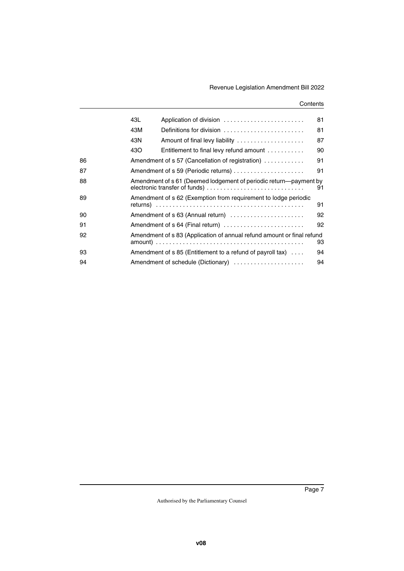|    | 43L | Application of division                                                                            | 81 |
|----|-----|----------------------------------------------------------------------------------------------------|----|
|    | 43M | Definitions for division                                                                           | 81 |
|    | 43N |                                                                                                    | 87 |
|    | 43O | Entitlement to final levy refund amount $\ldots \ldots \ldots$                                     | 90 |
| 86 |     | Amendment of s 57 (Cancellation of registration)                                                   | 91 |
| 87 |     | Amendment of s 59 (Periodic returns)                                                               | 91 |
| 88 |     | Amendment of s 61 (Deemed lodgement of periodic return—payment by<br>electronic transfer of funds) | 91 |
| 89 |     | Amendment of s 62 (Exemption from requirement to lodge periodic                                    | 91 |
| 90 |     | Amendment of s 63 (Annual return)                                                                  | 92 |
| 91 |     | Amendment of s 64 (Final return)                                                                   | 92 |
| 92 |     | Amendment of s 83 (Application of annual refund amount or final refund                             | 93 |
| 93 |     | Amendment of $s$ 85 (Entitlement to a refund of payroll tax) $\dots$                               | 94 |
| 94 |     | Amendment of schedule (Dictionary)                                                                 | 94 |
|    |     |                                                                                                    |    |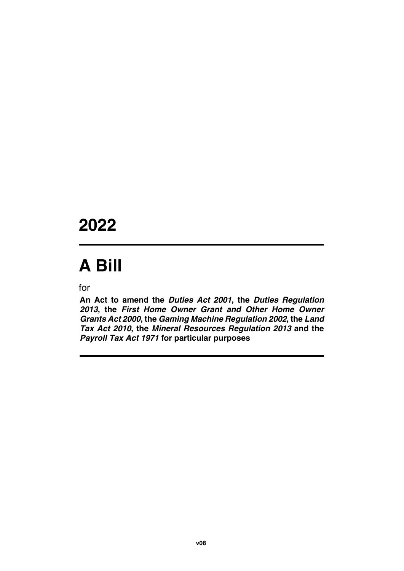## **2022**

# **A Bill**

for

**An Act to amend the** *Duties Act 2001***, the** *Duties Regulation 2013***, the** *First Home Owner Grant and Other Home Owner Grants Act 2000***, the** *Gaming Machine Regulation 2002***, the** *Land Tax Act 2010***, the** *Mineral Resources Regulation 2013* **and the** *Payroll Tax Act 1971* **for particular purposes**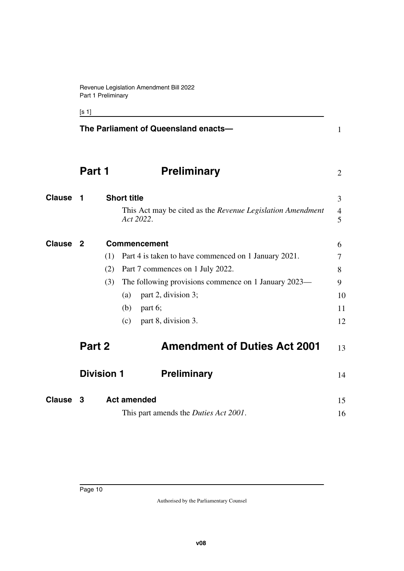<span id="page-11-3"></span><span id="page-11-1"></span>[s 1]

<span id="page-11-11"></span><span id="page-11-10"></span><span id="page-11-9"></span><span id="page-11-8"></span><span id="page-11-7"></span><span id="page-11-6"></span><span id="page-11-5"></span><span id="page-11-4"></span><span id="page-11-2"></span><span id="page-11-0"></span>

|               |                   | The Parliament of Queensland enacts-                                                          | $\mathbf{1}$   |
|---------------|-------------------|-----------------------------------------------------------------------------------------------|----------------|
|               | Part 1            | <b>Preliminary</b>                                                                            | $\overline{2}$ |
| Clause        | - 1               | <b>Short title</b><br>This Act may be cited as the Revenue Legislation Amendment<br>Act 2022. | 3<br>4<br>5    |
| Clause        | - 2               | <b>Commencement</b>                                                                           | 6              |
|               | (1)               | Part 4 is taken to have commenced on 1 January 2021.                                          | 7              |
|               | (2)               | Part 7 commences on 1 July 2022.                                                              | 8              |
|               | (3)               | The following provisions commence on 1 January 2023—                                          | 9              |
|               |                   | part 2, division 3;<br>(a)                                                                    | 10             |
|               |                   | part 6;<br>(b)                                                                                | 11             |
|               |                   | part 8, division 3.<br>(c)                                                                    | 12             |
|               | Part 2            | <b>Amendment of Duties Act 2001</b>                                                           | 13             |
|               | <b>Division 1</b> | <b>Preliminary</b>                                                                            | 14             |
| <b>Clause</b> | 3                 | <b>Act amended</b>                                                                            | 15             |
|               |                   | This part amends the <i>Duties Act 2001</i> .                                                 | 16             |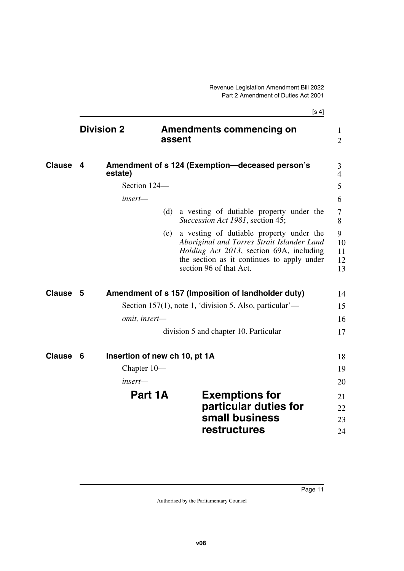<span id="page-12-9"></span><span id="page-12-8"></span><span id="page-12-7"></span><span id="page-12-6"></span><span id="page-12-5"></span><span id="page-12-4"></span><span id="page-12-3"></span><span id="page-12-2"></span><span id="page-12-1"></span><span id="page-12-0"></span>

|               |                   |                               |     | [s 4]                                                                                                                                                                                                       |                           |
|---------------|-------------------|-------------------------------|-----|-------------------------------------------------------------------------------------------------------------------------------------------------------------------------------------------------------------|---------------------------|
|               | <b>Division 2</b> |                               |     | <b>Amendments commencing on</b><br>assent                                                                                                                                                                   | 1<br>$\overline{2}$       |
| <b>Clause</b> | 4                 | estate)                       |     | Amendment of s 124 (Exemption-deceased person's                                                                                                                                                             | 3<br>$\overline{4}$       |
|               |                   | Section 124-                  |     |                                                                                                                                                                                                             | 5                         |
|               |                   | insert—                       |     |                                                                                                                                                                                                             | 6                         |
|               |                   |                               | (d) | a vesting of dutiable property under the<br>Succession Act 1981, section 45;                                                                                                                                | 7<br>8                    |
|               |                   |                               | (e) | a vesting of dutiable property under the<br>Aboriginal and Torres Strait Islander Land<br>Holding Act 2013, section 69A, including<br>the section as it continues to apply under<br>section 96 of that Act. | 9<br>10<br>11<br>12<br>13 |
| <b>Clause</b> | 5                 |                               |     | Amendment of s 157 (Imposition of landholder duty)                                                                                                                                                          | 14                        |
|               |                   |                               |     | Section 157(1), note 1, 'division 5. Also, particular'—                                                                                                                                                     | 15                        |
|               |                   | omit, insert-                 |     |                                                                                                                                                                                                             | 16                        |
|               |                   |                               |     | division 5 and chapter 10. Particular                                                                                                                                                                       | 17                        |
| <b>Clause</b> | 6                 | Insertion of new ch 10, pt 1A |     |                                                                                                                                                                                                             | 18                        |
|               |                   | Chapter 10-                   |     |                                                                                                                                                                                                             | 19                        |
|               |                   | insert—                       |     |                                                                                                                                                                                                             | 20                        |
|               |                   | Part 1A                       |     | <b>Exemptions for</b>                                                                                                                                                                                       | 21                        |
|               |                   |                               |     | particular duties for                                                                                                                                                                                       | 22                        |
|               |                   |                               |     | small business                                                                                                                                                                                              | 23                        |
|               |                   |                               |     | restructures                                                                                                                                                                                                | 24                        |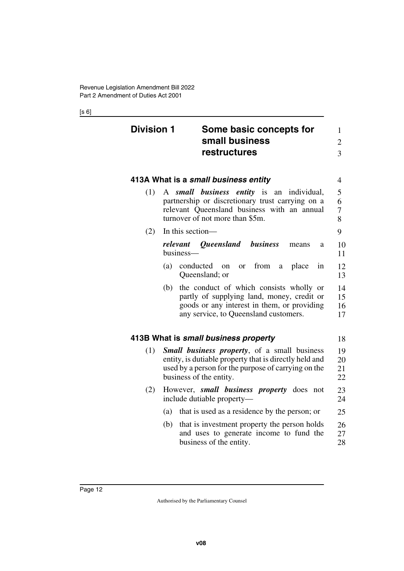#### [s 6]

<span id="page-13-5"></span><span id="page-13-4"></span><span id="page-13-3"></span><span id="page-13-2"></span><span id="page-13-1"></span><span id="page-13-0"></span>

| <b>Division 1</b> | Some basic concepts for<br>small business                                                                                                                                                        | $\mathbf{1}$<br>$\overline{2}$ |
|-------------------|--------------------------------------------------------------------------------------------------------------------------------------------------------------------------------------------------|--------------------------------|
|                   | restructures                                                                                                                                                                                     | 3                              |
|                   | 413A What is a small business entity                                                                                                                                                             | $\overline{4}$                 |
| (1)               | A small business entity<br>is<br>an<br>individual,<br>partnership or discretionary trust carrying on a<br>relevant Queensland business with an annual<br>turnover of not more than \$5m.         | 5<br>6<br>7<br>8               |
| (2)               | In this section—                                                                                                                                                                                 | 9                              |
|                   | relevant Queensland<br>business<br>means<br>a<br>business-                                                                                                                                       | 10<br>11                       |
|                   | (a)<br>conducted<br>from<br>place<br>in<br><sub>or</sub><br><sub>on</sub><br>a<br>Queensland; or                                                                                                 | 12<br>13                       |
|                   | the conduct of which consists wholly or<br>(b)<br>partly of supplying land, money, credit or<br>goods or any interest in them, or providing<br>any service, to Queensland customers.             | 14<br>15<br>16<br>17           |
|                   | 413B What is small business property                                                                                                                                                             | 18                             |
| (1)               | <b>Small business property</b> , of a small business<br>entity, is dutiable property that is directly held and<br>used by a person for the purpose of carrying on the<br>business of the entity. | 19<br>20<br>21<br>22           |
| (2)               | However, <i>small business property</i> does<br>not<br>include dutiable property—                                                                                                                | 23<br>24                       |
|                   | that is used as a residence by the person; or<br>(a)                                                                                                                                             | 25                             |
|                   | (b)<br>that is investment property the person holds<br>and uses to generate income to fund the<br>business of the entity.                                                                        | 26<br>27<br>28                 |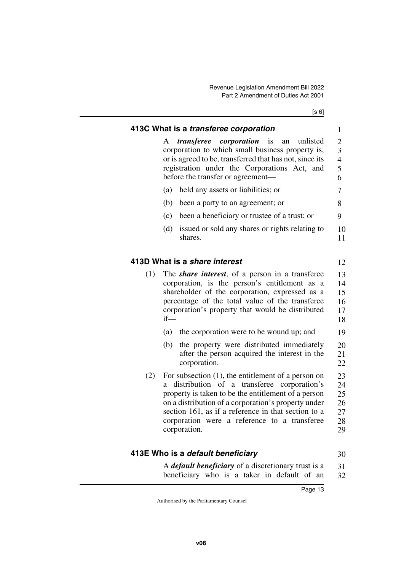[s 6]

<span id="page-14-3"></span><span id="page-14-2"></span><span id="page-14-1"></span><span id="page-14-0"></span>

|     | 413C What is a transferee corporation                                                                                                                                                                                                                                                                                                          | $\mathbf{1}$                           |  |  |  |  |  |
|-----|------------------------------------------------------------------------------------------------------------------------------------------------------------------------------------------------------------------------------------------------------------------------------------------------------------------------------------------------|----------------------------------------|--|--|--|--|--|
|     | <i>transferee corporation</i> is<br>unlisted<br>A<br>an<br>corporation to which small business property is,<br>or is agreed to be, transferred that has not, since its<br>registration under the Corporations Act, and<br>before the transfer or agreement-                                                                                    |                                        |  |  |  |  |  |
|     | (a)<br>held any assets or liabilities; or                                                                                                                                                                                                                                                                                                      | 7                                      |  |  |  |  |  |
|     | (b)<br>been a party to an agreement; or                                                                                                                                                                                                                                                                                                        | 8                                      |  |  |  |  |  |
|     | been a beneficiary or trustee of a trust; or<br>(c)                                                                                                                                                                                                                                                                                            | 9                                      |  |  |  |  |  |
|     | (d)<br>issued or sold any shares or rights relating to<br>shares.                                                                                                                                                                                                                                                                              | 10<br>11                               |  |  |  |  |  |
|     | 413D What is a <i>share interest</i>                                                                                                                                                                                                                                                                                                           | 12                                     |  |  |  |  |  |
| (1) | The <i>share interest</i> , of a person in a transferee<br>corporation, is the person's entitlement as a<br>shareholder of the corporation, expressed as a<br>percentage of the total value of the transferee<br>corporation's property that would be distributed<br>$if$ —                                                                    | 13<br>14<br>15<br>16<br>17<br>18       |  |  |  |  |  |
|     | the corporation were to be wound up; and<br>(a)                                                                                                                                                                                                                                                                                                | 19                                     |  |  |  |  |  |
|     | the property were distributed immediately<br>(b)<br>after the person acquired the interest in the<br>corporation.                                                                                                                                                                                                                              | 20<br>21<br>22                         |  |  |  |  |  |
| (2) | For subsection $(1)$ , the entitlement of a person on<br>distribution of a transferee corporation's<br>a.<br>property is taken to be the entitlement of a person<br>on a distribution of a corporation's property under<br>section 161, as if a reference in that section to a<br>corporation were a reference to a transferee<br>corporation. | 23<br>24<br>25<br>26<br>27<br>28<br>29 |  |  |  |  |  |

### <span id="page-14-4"></span>**413E Who is a** *default beneficiary*

30

<span id="page-14-5"></span>A *default beneficiary* of a discretionary trust is a beneficiary who is a taker in default of an 31 32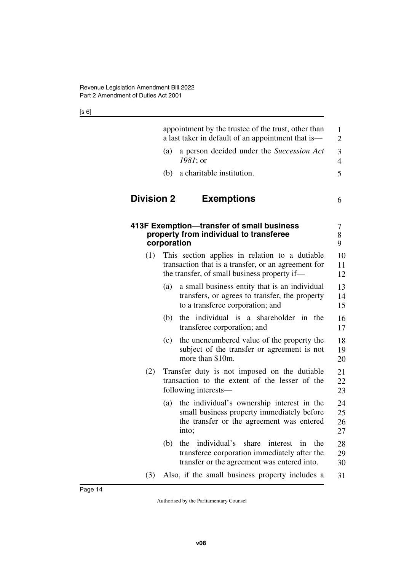<span id="page-15-3"></span><span id="page-15-2"></span><span id="page-15-1"></span><span id="page-15-0"></span>

|                   |             | appointment by the trustee of the trust, other than<br>a last taker in default of an appointment that is—                                             | 1<br>$\overline{2}$  |
|-------------------|-------------|-------------------------------------------------------------------------------------------------------------------------------------------------------|----------------------|
|                   | (a)         | a person decided under the <i>Succession Act</i><br>1981; or                                                                                          | 3<br>$\overline{4}$  |
|                   | (b)         | a charitable institution.                                                                                                                             | 5                    |
| <b>Division 2</b> |             | <b>Exemptions</b>                                                                                                                                     | 6                    |
|                   | corporation | 413F Exemption-transfer of small business<br>property from individual to transferee                                                                   | 7<br>8<br>9          |
| (1)               |             | This section applies in relation to a dutiable<br>transaction that is a transfer, or an agreement for<br>the transfer, of small business property if— | 10<br>11<br>12       |
|                   | (a)         | a small business entity that is an individual<br>transfers, or agrees to transfer, the property<br>to a transferee corporation; and                   | 13<br>14<br>15       |
|                   | (b)         | the individual is a shareholder in the<br>transferee corporation; and                                                                                 | 16<br>17             |
|                   | (c)         | the unencumbered value of the property the<br>subject of the transfer or agreement is not<br>more than \$10m.                                         | 18<br>19<br>20       |
| (2)               |             | Transfer duty is not imposed on the dutiable<br>transaction to the extent of the lesser of the<br>following interests—                                | 21<br>22<br>23       |
|                   | (a)         | the individual's ownership interest in the<br>small business property immediately before<br>the transfer or the agreement was entered<br>into;        | 24<br>25<br>26<br>27 |
|                   | (b)         | individual's<br>share<br>the<br>interest<br>the<br>in<br>transferee corporation immediately after the<br>transfer or the agreement was entered into.  | 28<br>29<br>30       |
| (3)               |             | Also, if the small business property includes a                                                                                                       | 31                   |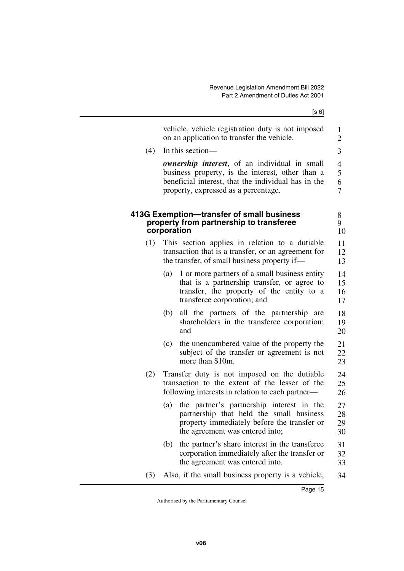[s 6]

<span id="page-16-1"></span><span id="page-16-0"></span>

|     | vehicle, vehicle registration duty is not imposed<br>on an application to transfer the vehicle.                                                                                                                 | 1<br>$\overline{2}$                        |
|-----|-----------------------------------------------------------------------------------------------------------------------------------------------------------------------------------------------------------------|--------------------------------------------|
| (4) | In this section-                                                                                                                                                                                                | 3                                          |
|     | <b><i>ownership interest</i></b> , of an individual in small<br>business property, is the interest, other than a<br>beneficial interest, that the individual has in the<br>property, expressed as a percentage. | $\overline{4}$<br>5<br>6<br>$\overline{7}$ |
|     | 413G Exemption—transfer of small business<br>property from partnership to transferee<br>corporation                                                                                                             | 8<br>9<br>10                               |
| (1) | This section applies in relation to a dutiable<br>transaction that is a transfer, or an agreement for<br>the transfer, of small business property if—                                                           | 11<br>12<br>13                             |
|     | 1 or more partners of a small business entity<br>(a)<br>that is a partnership transfer, or agree to<br>transfer, the property of the entity to a<br>transferee corporation; and                                 | 14<br>15<br>16<br>17                       |
|     | all the partners of the partnership are<br>(b)<br>shareholders in the transferee corporation;<br>and                                                                                                            | 18<br>19<br>20                             |
|     | the unencumbered value of the property the<br>(c)<br>subject of the transfer or agreement is not<br>more than \$10m.                                                                                            | 21<br>22<br>23                             |
| (2) | Transfer duty is not imposed on the dutiable<br>transaction to the extent of the lesser of the<br>following interests in relation to each partner—                                                              | 24<br>25<br>26                             |
|     | the partner's partnership interest in the<br>(a)<br>partnership that held the small business<br>property immediately before the transfer or<br>the agreement was entered into;                                  | 27<br>28<br>29<br>30                       |
|     | the partner's share interest in the transferee<br>(b)<br>corporation immediately after the transfer or<br>the agreement was entered into.                                                                       | 31<br>32<br>33                             |
| (3) | Also, if the small business property is a vehicle,                                                                                                                                                              | 34                                         |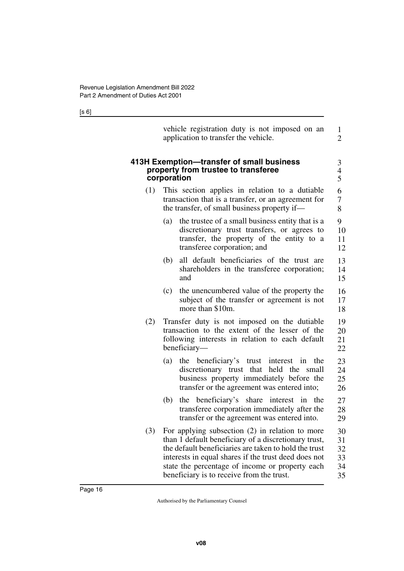[s 6]

<span id="page-17-1"></span><span id="page-17-0"></span>

|     | vehicle registration duty is not imposed on an<br>application to transfer the vehicle.                                                                                                                                                                                                                                     | 1<br>$\overline{2}$              |
|-----|----------------------------------------------------------------------------------------------------------------------------------------------------------------------------------------------------------------------------------------------------------------------------------------------------------------------------|----------------------------------|
|     | 413H Exemption-transfer of small business<br>property from trustee to transferee<br>corporation                                                                                                                                                                                                                            | $\mathfrak{Z}$<br>$\frac{4}{5}$  |
| (1) | This section applies in relation to a dutiable<br>transaction that is a transfer, or an agreement for<br>the transfer, of small business property if—                                                                                                                                                                      | 6<br>7<br>8                      |
|     | the trustee of a small business entity that is a<br>(a)<br>discretionary trust transfers, or agrees to<br>transfer, the property of the entity to a<br>transferee corporation; and                                                                                                                                         | 9<br>10<br>11<br>12              |
|     | all default beneficiaries of the trust are<br>(b)<br>shareholders in the transferee corporation;<br>and                                                                                                                                                                                                                    | 13<br>14<br>15                   |
|     | the unencumbered value of the property the<br>(c)<br>subject of the transfer or agreement is not<br>more than \$10m.                                                                                                                                                                                                       | 16<br>17<br>18                   |
| (2) | Transfer duty is not imposed on the dutiable<br>transaction to the extent of the lesser of the<br>following interests in relation to each default<br>beneficiary-                                                                                                                                                          | 19<br>20<br>21<br>22             |
|     | the beneficiary's trust<br>(a)<br>interest in<br>the<br>discretionary trust that<br>held the<br>small<br>business property immediately before the<br>transfer or the agreement was entered into;                                                                                                                           | 23<br>24<br>25<br>26             |
|     | the beneficiary's share<br>interest<br>the<br>(b)<br>in<br>transferee corporation immediately after the<br>transfer or the agreement was entered into.                                                                                                                                                                     | 27<br>28<br>29                   |
| (3) | For applying subsection $(2)$ in relation to more<br>than 1 default beneficiary of a discretionary trust,<br>the default beneficiaries are taken to hold the trust<br>interests in equal shares if the trust deed does not<br>state the percentage of income or property each<br>beneficiary is to receive from the trust. | 30<br>31<br>32<br>33<br>34<br>35 |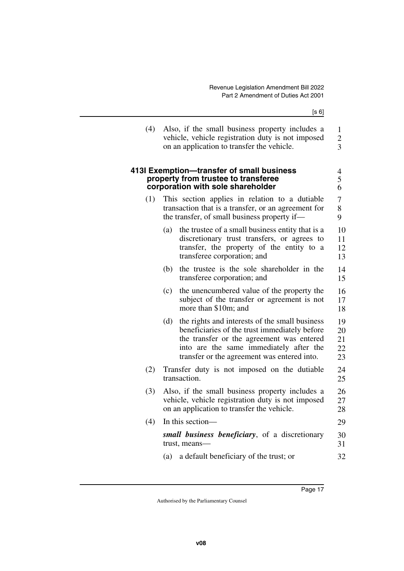<span id="page-18-1"></span><span id="page-18-0"></span>

|     | [s 6]                                                                                                                                                                                                                                         |                                       |
|-----|-----------------------------------------------------------------------------------------------------------------------------------------------------------------------------------------------------------------------------------------------|---------------------------------------|
| (4) | Also, if the small business property includes a<br>vehicle, vehicle registration duty is not imposed<br>on an application to transfer the vehicle.                                                                                            | 1<br>$\overline{c}$<br>$\overline{3}$ |
|     | 413I Exemption-transfer of small business<br>property from trustee to transferee<br>corporation with sole shareholder                                                                                                                         | $\overline{4}$<br>5<br>6              |
| (1) | This section applies in relation to a dutiable<br>transaction that is a transfer, or an agreement for<br>the transfer, of small business property if—                                                                                         | $\overline{7}$<br>8<br>9              |
|     | the trustee of a small business entity that is a<br>(a)<br>discretionary trust transfers, or agrees to<br>transfer, the property of the entity to a<br>transferee corporation; and                                                            | 10<br>11<br>12<br>13                  |
|     | the trustee is the sole shareholder in the<br>(b)<br>transferee corporation; and                                                                                                                                                              | 14<br>15                              |
|     | the unencumbered value of the property the<br>(c)<br>subject of the transfer or agreement is not<br>more than \$10m; and                                                                                                                      | 16<br>17<br>18                        |
|     | (d)<br>the rights and interests of the small business<br>beneficiaries of the trust immediately before<br>the transfer or the agreement was entered<br>into are the same immediately after the<br>transfer or the agreement was entered into. | 19<br>20<br>21<br>22<br>23            |
| (2) | Transfer duty is not imposed on the dutiable<br>transaction.                                                                                                                                                                                  | 24<br>25                              |
| (3) | Also, if the small business property includes a<br>vehicle, vehicle registration duty is not imposed<br>on an application to transfer the vehicle.                                                                                            | 26<br>27<br>28                        |
| (4) | In this section-                                                                                                                                                                                                                              | 29                                    |
|     | small business beneficiary, of a discretionary<br>trust, means-                                                                                                                                                                               | 30<br>31                              |
|     | a default beneficiary of the trust; or<br>(a)                                                                                                                                                                                                 | 32                                    |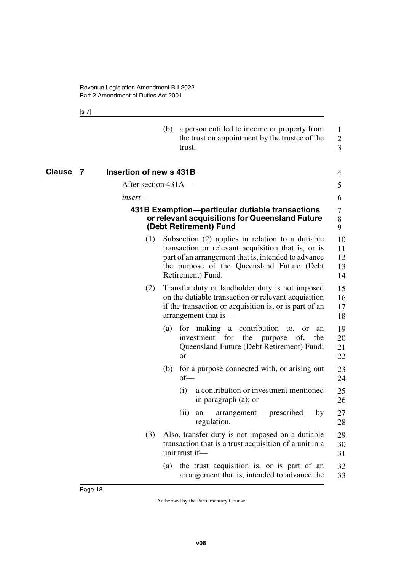<span id="page-19-3"></span><span id="page-19-2"></span><span id="page-19-1"></span>[s 7]

<span id="page-19-0"></span>

|             | (b)                     | a person entitled to income or property from<br>the trust on appointment by the trustee of the<br>trust.                                                                                                                         | $\mathbf{1}$<br>$\overline{2}$<br>3 |
|-------------|-------------------------|----------------------------------------------------------------------------------------------------------------------------------------------------------------------------------------------------------------------------------|-------------------------------------|
| Clause<br>7 | Insertion of new s 431B |                                                                                                                                                                                                                                  | 4                                   |
|             | After section 431A—     |                                                                                                                                                                                                                                  | 5                                   |
|             | insert—                 |                                                                                                                                                                                                                                  | 6                                   |
|             |                         | 431B Exemption--particular dutiable transactions<br>or relevant acquisitions for Queensland Future<br>(Debt Retirement) Fund                                                                                                     | 7<br>$8\,$<br>9                     |
|             | (1)                     | Subsection (2) applies in relation to a dutiable<br>transaction or relevant acquisition that is, or is<br>part of an arrangement that is, intended to advance<br>the purpose of the Queensland Future (Debt<br>Retirement) Fund. | 10<br>11<br>12<br>13<br>14          |
|             | (2)                     | Transfer duty or landholder duty is not imposed<br>on the dutiable transaction or relevant acquisition<br>if the transaction or acquisition is, or is part of an<br>arrangement that is—                                         | 15<br>16<br>17<br>18                |
|             | (a)                     | for making a<br>contribution<br>to,<br><sub>or</sub><br>an<br>the<br>investment<br>for<br>of,<br>the<br>purpose<br>Queensland Future (Debt Retirement) Fund;<br>or                                                               | 19<br>20<br>21<br>22                |
|             | (b)                     | for a purpose connected with, or arising out<br>$of$ —                                                                                                                                                                           | 23<br>24                            |
|             |                         | (i)<br>a contribution or investment mentioned<br>in paragraph (a); or                                                                                                                                                            | 25<br>26                            |
|             |                         | prescribed<br>(ii)<br>by<br>arrangement<br>an<br>regulation.                                                                                                                                                                     | 27<br>28                            |
|             | (3)                     | Also, transfer duty is not imposed on a dutiable<br>transaction that is a trust acquisition of a unit in a<br>unit trust if-                                                                                                     | 29<br>30<br>31                      |
|             | (a)                     | the trust acquisition is, or is part of an<br>arrangement that is, intended to advance the                                                                                                                                       | 32<br>33                            |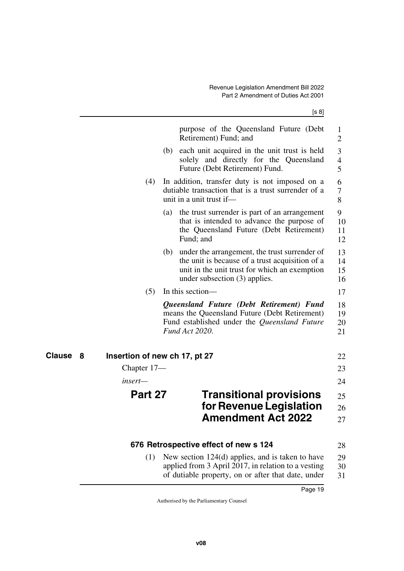<span id="page-20-5"></span><span id="page-20-4"></span><span id="page-20-3"></span><span id="page-20-2"></span><span id="page-20-1"></span><span id="page-20-0"></span>

|                                                     | purpose of the Queensland Future (Debt)<br>Retirement) Fund; and                                                                                                                         | 1<br>2                   |
|-----------------------------------------------------|------------------------------------------------------------------------------------------------------------------------------------------------------------------------------------------|--------------------------|
|                                                     | (b) each unit acquired in the unit trust is held<br>solely and directly for the Queensland<br>Future (Debt Retirement) Fund.                                                             | 3<br>$\overline{4}$<br>5 |
| (4)                                                 | In addition, transfer duty is not imposed on a<br>dutiable transaction that is a trust surrender of a<br>unit in a unit trust if-                                                        | 6<br>7<br>8              |
|                                                     | (a) the trust surrender is part of an arrangement<br>that is intended to advance the purpose of<br>the Queensland Future (Debt Retirement)<br>Fund; and                                  | 9<br>10<br>11<br>12      |
|                                                     | (b) under the arrangement, the trust surrender of<br>the unit is because of a trust acquisition of a<br>unit in the unit trust for which an exemption<br>under subsection $(3)$ applies. | 13<br>14<br>15<br>16     |
| (5)                                                 | In this section—                                                                                                                                                                         | 17                       |
|                                                     | Queensland Future (Debt Retirement) Fund<br>means the Queensland Future (Debt Retirement)<br>Fund established under the Queensland Future<br>Fund Act 2020.                              | 18<br>19<br>20<br>21     |
| <b>Clause</b><br>Insertion of new ch 17, pt 27<br>8 |                                                                                                                                                                                          | 22                       |
| Chapter 17—                                         |                                                                                                                                                                                          | 23                       |
| insert—                                             |                                                                                                                                                                                          | 24                       |
| Part 27                                             | <b>Transitional provisions</b>                                                                                                                                                           | 25                       |
|                                                     | for Revenue Legislation                                                                                                                                                                  | 26                       |
|                                                     | <b>Amendment Act 2022</b>                                                                                                                                                                | 27                       |
|                                                     | 676 Retrospective effect of new s 124                                                                                                                                                    | 28                       |
| (1)                                                 | New section 124(d) applies, and is taken to have<br>applied from 3 April 2017, in relation to a vesting<br>of dutiable property, on or after that date, under                            | 29<br>30<br>31           |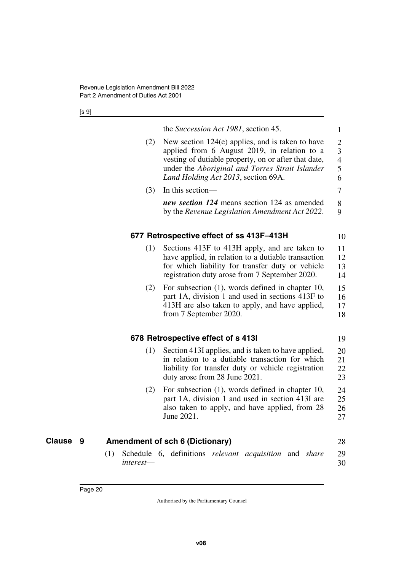[s 9]

<span id="page-21-1"></span><span id="page-21-0"></span>

|                  | the Succession Act 1981, section 45.                                                                                                                                                                                                                 | 1                                               |
|------------------|------------------------------------------------------------------------------------------------------------------------------------------------------------------------------------------------------------------------------------------------------|-------------------------------------------------|
| (2)              | New section $124(e)$ applies, and is taken to have<br>applied from 6 August 2019, in relation to a<br>vesting of dutiable property, on or after that date,<br>under the Aboriginal and Torres Strait Islander<br>Land Holding Act 2013, section 69A. | $\overline{2}$<br>3<br>$\overline{4}$<br>5<br>6 |
| (3)              | In this section-                                                                                                                                                                                                                                     | 7                                               |
|                  | new section 124 means section 124 as amended<br>by the Revenue Legislation Amendment Act 2022.                                                                                                                                                       | 8<br>9                                          |
|                  | 677 Retrospective effect of ss 413F-413H                                                                                                                                                                                                             | 10                                              |
| (1)              | Sections 413F to 413H apply, and are taken to<br>have applied, in relation to a dutiable transaction<br>for which liability for transfer duty or vehicle<br>registration duty arose from 7 September 2020.                                           | 11<br>12<br>13<br>14                            |
| (2)              | For subsection $(1)$ , words defined in chapter 10,<br>part 1A, division 1 and used in sections 413F to<br>413H are also taken to apply, and have applied,<br>from 7 September 2020.                                                                 | 15<br>16<br>17<br>18                            |
|                  | 678 Retrospective effect of s 4131                                                                                                                                                                                                                   | 19                                              |
| (1)              | Section 413I applies, and is taken to have applied,<br>in relation to a dutiable transaction for which<br>liability for transfer duty or vehicle registration<br>duty arose from 28 June 2021.                                                       | 20<br>21<br>22<br>23                            |
| (2)              | For subsection $(1)$ , words defined in chapter 10,<br>part 1A, division 1 and used in section 413I are<br>also taken to apply, and have applied, from 28<br>June 2021.                                                                              | 24<br>25<br>26<br>27                            |
|                  | <b>Amendment of sch 6 (Dictionary)</b>                                                                                                                                                                                                               | 28                                              |
| (1)<br>interest— | Schedule 6, definitions relevant acquisition and share                                                                                                                                                                                               | 29<br>30                                        |

<span id="page-21-5"></span><span id="page-21-4"></span><span id="page-21-3"></span><span id="page-21-2"></span>**Clause** 9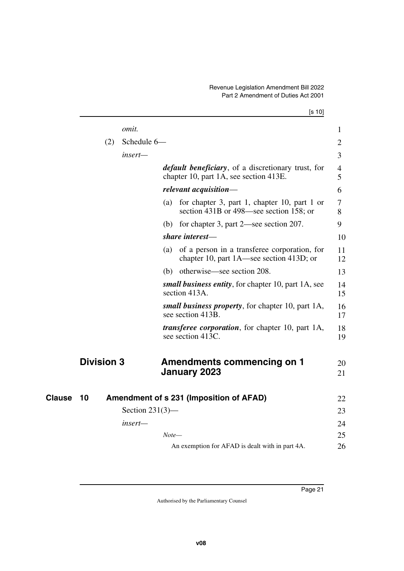<span id="page-22-3"></span><span id="page-22-2"></span><span id="page-22-1"></span><span id="page-22-0"></span>

|        |                   |                    |       | [s 10]                                                                                               |                     |
|--------|-------------------|--------------------|-------|------------------------------------------------------------------------------------------------------|---------------------|
|        |                   | omit.              |       |                                                                                                      | 1                   |
|        | (2)               | Schedule 6-        |       |                                                                                                      | $\overline{2}$      |
|        |                   | insert—            |       |                                                                                                      | 3                   |
|        |                   |                    |       | <i>default beneficiary</i> , of a discretionary trust, for<br>chapter 10, part 1A, see section 413E. | $\overline{4}$<br>5 |
|        |                   |                    |       | relevant acquisition-                                                                                | 6                   |
|        |                   |                    | (a)   | for chapter 3, part 1, chapter 10, part 1 or<br>section 431B or 498—see section 158; or              | 7<br>8              |
|        |                   |                    | (b)   | for chapter 3, part 2—see section 207.                                                               | 9                   |
|        |                   |                    |       | share interest-                                                                                      | 10                  |
|        |                   |                    | (a)   | of a person in a transferee corporation, for<br>chapter 10, part 1A—see section 413D; or             | 11<br>12            |
|        |                   |                    |       | (b) otherwise—see section 208.                                                                       | 13                  |
|        |                   |                    |       | small business entity, for chapter 10, part 1A, see<br>section 413A.                                 | 14<br>15            |
|        |                   |                    |       | small business property, for chapter 10, part 1A,<br>see section 413B.                               | 16<br>17            |
|        |                   |                    |       | <i>transferee corporation</i> , for chapter 10, part 1A,<br>see section 413C.                        | 18<br>19            |
|        | <b>Division 3</b> |                    |       | <b>Amendments commencing on 1</b>                                                                    | 20                  |
|        |                   |                    |       | January 2023                                                                                         | 21                  |
| Clause | 10                |                    |       | Amendment of s 231 (Imposition of AFAD)                                                              | 22                  |
|        |                   | Section $231(3)$ — |       |                                                                                                      | 23                  |
|        |                   | insert—            |       |                                                                                                      | 24                  |
|        |                   |                    | Note— |                                                                                                      | 25                  |
|        |                   |                    |       | An exemption for AFAD is dealt with in part 4A.                                                      | 26                  |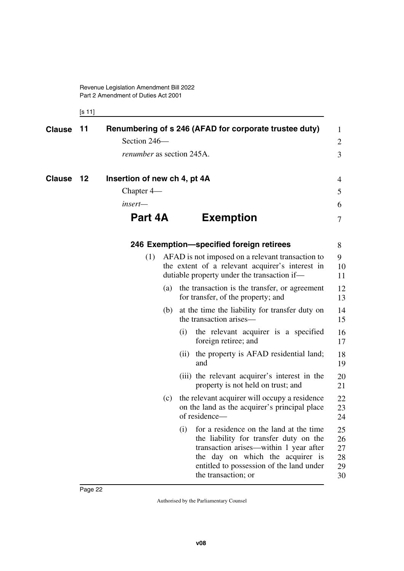Revenue Legislation Amendment Bill 2022 Part 2 Amendment of Duties Act 2001

<span id="page-23-7"></span><span id="page-23-6"></span><span id="page-23-5"></span><span id="page-23-4"></span><span id="page-23-3"></span><span id="page-23-1"></span><span id="page-23-0"></span>[s 11]

<span id="page-23-2"></span>

| <b>Clause</b> | Renumbering of s 246 (AFAD for corporate trustee duty)<br>- 11 |                                  |     |      | 1                                                                                                                                                                                                                                  |                                  |
|---------------|----------------------------------------------------------------|----------------------------------|-----|------|------------------------------------------------------------------------------------------------------------------------------------------------------------------------------------------------------------------------------------|----------------------------------|
|               |                                                                | Section 246-                     |     |      |                                                                                                                                                                                                                                    |                                  |
|               |                                                                | <i>renumber</i> as section 245A. |     |      |                                                                                                                                                                                                                                    | 3                                |
| <b>Clause</b> | - 12                                                           | Insertion of new ch 4, pt 4A     |     |      |                                                                                                                                                                                                                                    | 4                                |
|               |                                                                | Chapter $4-$                     |     |      |                                                                                                                                                                                                                                    | 5                                |
|               |                                                                | insert—                          |     |      |                                                                                                                                                                                                                                    | 6                                |
|               |                                                                | Part 4A                          |     |      | <b>Exemption</b>                                                                                                                                                                                                                   | 7                                |
|               |                                                                |                                  |     |      | 246 Exemption-specified foreign retirees                                                                                                                                                                                           | 8                                |
|               |                                                                | (1)                              |     |      | AFAD is not imposed on a relevant transaction to<br>the extent of a relevant acquirer's interest in<br>dutiable property under the transaction if—                                                                                 | 9<br>10<br>11                    |
|               |                                                                |                                  | (a) |      | the transaction is the transfer, or agreement<br>for transfer, of the property; and                                                                                                                                                | 12<br>13                         |
|               |                                                                |                                  | (b) |      | at the time the liability for transfer duty on<br>the transaction arises—                                                                                                                                                          | 14<br>15                         |
|               |                                                                |                                  |     | (i)  | the relevant acquirer is a specified<br>foreign retiree; and                                                                                                                                                                       | 16<br>17                         |
|               |                                                                |                                  |     | (ii) | the property is AFAD residential land;<br>and                                                                                                                                                                                      | 18<br>19                         |
|               |                                                                |                                  |     |      | (iii) the relevant acquirer's interest in the<br>property is not held on trust; and                                                                                                                                                | 20<br>21                         |
|               |                                                                |                                  | (c) |      | the relevant acquirer will occupy a residence<br>on the land as the acquirer's principal place<br>of residence-                                                                                                                    | 22<br>23<br>24                   |
|               |                                                                |                                  |     | (i)  | for a residence on the land at the time<br>the liability for transfer duty on the<br>transaction arises—within 1 year after<br>the day on which the acquirer is<br>entitled to possession of the land under<br>the transaction; or | 25<br>26<br>27<br>28<br>29<br>30 |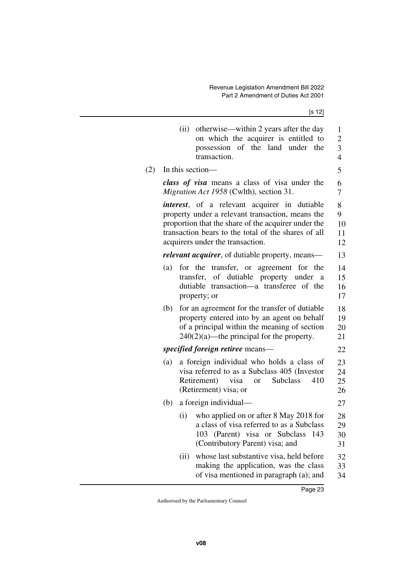[s 12]

|     |     | otherwise—within 2 years after the day<br>(ii)<br>on which the acquirer is entitled to<br>possession of the land under the<br>transaction.                                                                                                                 | 1<br>$\overline{c}$<br>3<br>$\overline{4}$ |
|-----|-----|------------------------------------------------------------------------------------------------------------------------------------------------------------------------------------------------------------------------------------------------------------|--------------------------------------------|
| (2) |     | In this section—                                                                                                                                                                                                                                           | 5                                          |
|     |     | class of visa means a class of visa under the<br>Migration Act 1958 (Cwlth), section 31.                                                                                                                                                                   | 6<br>7                                     |
|     |     | <i>interest</i> , of a relevant acquirer in dutiable<br>property under a relevant transaction, means the<br>proportion that the share of the acquirer under the<br>transaction bears to the total of the shares of all<br>acquirers under the transaction. | 8<br>9<br>10<br>11<br>12                   |
|     |     | <i>relevant acquirer</i> , of dutiable property, means—                                                                                                                                                                                                    | 13                                         |
|     | (a) | for the transfer, or agreement for the<br>transfer, of dutiable property under a<br>dutiable transaction—a transferee of the<br>property; or                                                                                                               | 14<br>15<br>16<br>17                       |
|     | (b) | for an agreement for the transfer of dutiable<br>property entered into by an agent on behalf<br>of a principal within the meaning of section<br>$240(2)(a)$ —the principal for the property.                                                               | 18<br>19<br>20<br>21                       |
|     |     | specified foreign retiree means—                                                                                                                                                                                                                           | 22                                         |
|     | (a) | a foreign individual who holds a class of<br>visa referred to as a Subclass 405 (Investor<br>Retirement)<br>visa<br><b>Subclass</b><br>410<br><sub>or</sub><br>(Retirement) visa; or                                                                       | 23<br>24<br>25<br>26                       |
|     | (b) | a foreign individual—                                                                                                                                                                                                                                      | 27                                         |
|     |     | who applied on or after 8 May 2018 for<br>(i)<br>a class of visa referred to as a Subclass<br>(Parent) visa or Subclass<br>103<br>143<br>(Contributory Parent) visa; and                                                                                   | 28<br>29<br>30<br>31                       |
|     |     | whose last substantive visa, held before<br>(ii)<br>making the application, was the class<br>of visa mentioned in paragraph (a); and                                                                                                                       | 32<br>33<br>34                             |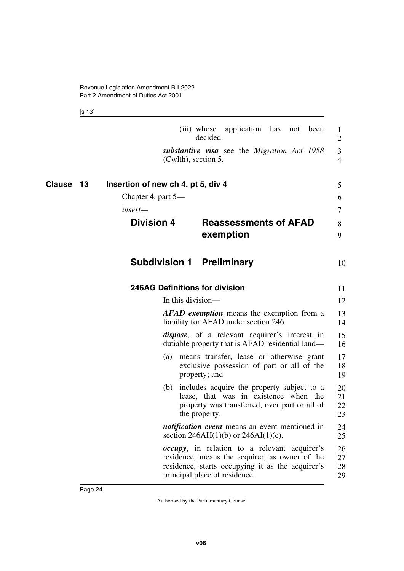<span id="page-25-7"></span><span id="page-25-6"></span><span id="page-25-5"></span><span id="page-25-4"></span><span id="page-25-3"></span><span id="page-25-2"></span><span id="page-25-1"></span>[s 13]

Page 24

<span id="page-25-0"></span>

|                     |                                       | (iii) whose application has<br>been<br>not<br>decided.                                                                                                                                      | $\mathbf{1}$<br>$\overline{2}$ |
|---------------------|---------------------------------------|---------------------------------------------------------------------------------------------------------------------------------------------------------------------------------------------|--------------------------------|
|                     | (Cwlth), section 5.                   | substantive visa see the Migration Act 1958                                                                                                                                                 | 3<br>4                         |
| <b>Clause</b><br>13 | Insertion of new ch 4, pt 5, div 4    |                                                                                                                                                                                             | 5                              |
|                     | Chapter 4, part 5—                    |                                                                                                                                                                                             | 6                              |
|                     | insert—                               |                                                                                                                                                                                             | 7                              |
|                     | <b>Division 4</b>                     | <b>Reassessments of AFAD</b><br>exemption                                                                                                                                                   | 8<br>9                         |
|                     | <b>Subdivision 1 Preliminary</b>      |                                                                                                                                                                                             | 10                             |
|                     | <b>246AG Definitions for division</b> |                                                                                                                                                                                             | 11                             |
|                     | In this division—                     |                                                                                                                                                                                             | 12                             |
|                     |                                       | AFAD exemption means the exemption from a<br>liability for AFAD under section 246.                                                                                                          | 13<br>14                       |
|                     |                                       | <i>dispose</i> , of a relevant acquirer's interest in<br>dutiable property that is AFAD residential land-                                                                                   | 15<br>16                       |
|                     |                                       | (a) means transfer, lease or otherwise grant<br>exclusive possession of part or all of the<br>property; and                                                                                 | 17<br>18<br>19                 |
|                     |                                       | (b) includes acquire the property subject to a<br>lease, that was in existence when the<br>property was transferred, over part or all of<br>the property.                                   | 20<br>21<br>22<br>23           |
|                     |                                       | <i>notification event</i> means an event mentioned in<br>section 246AH(1)(b) or 246AI(1)(c).                                                                                                | 24<br>25                       |
|                     |                                       | <i>occupy</i> , in relation to a relevant acquirer's<br>residence, means the acquirer, as owner of the<br>residence, starts occupying it as the acquirer's<br>principal place of residence. | 26<br>27<br>28<br>29           |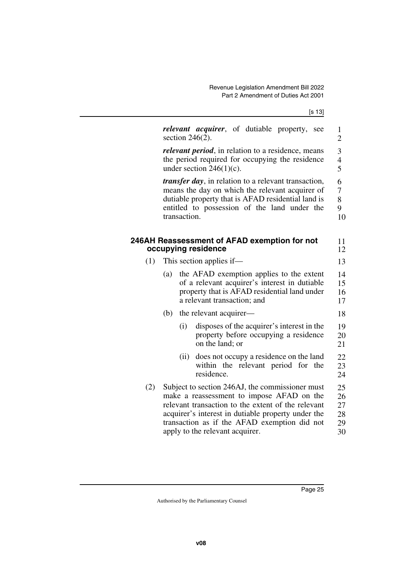| ł | × |
|---|---|

<span id="page-26-1"></span><span id="page-26-0"></span>

| section $246(2)$ .                 | $\mathbf{1}$<br>$\overline{2}$ |                                                                                                                                                                                                                                                                                                                                                                                                                                                                                                                                                                                                                                                                                                                                                                                                                                                                                                                                                                                                                         |
|------------------------------------|--------------------------------|-------------------------------------------------------------------------------------------------------------------------------------------------------------------------------------------------------------------------------------------------------------------------------------------------------------------------------------------------------------------------------------------------------------------------------------------------------------------------------------------------------------------------------------------------------------------------------------------------------------------------------------------------------------------------------------------------------------------------------------------------------------------------------------------------------------------------------------------------------------------------------------------------------------------------------------------------------------------------------------------------------------------------|
| under section $246(1)(c)$ .        | 3<br>$\overline{4}$<br>5       |                                                                                                                                                                                                                                                                                                                                                                                                                                                                                                                                                                                                                                                                                                                                                                                                                                                                                                                                                                                                                         |
| transaction.                       | 6<br>7<br>8<br>9               | 10                                                                                                                                                                                                                                                                                                                                                                                                                                                                                                                                                                                                                                                                                                                                                                                                                                                                                                                                                                                                                      |
| occupying residence                |                                | 11<br>12                                                                                                                                                                                                                                                                                                                                                                                                                                                                                                                                                                                                                                                                                                                                                                                                                                                                                                                                                                                                                |
| This section applies if—           |                                | 13                                                                                                                                                                                                                                                                                                                                                                                                                                                                                                                                                                                                                                                                                                                                                                                                                                                                                                                                                                                                                      |
| (a)<br>a relevant transaction; and |                                | 14<br>15<br>16<br>17                                                                                                                                                                                                                                                                                                                                                                                                                                                                                                                                                                                                                                                                                                                                                                                                                                                                                                                                                                                                    |
| (b)<br>the relevant acquirer—      |                                | 18                                                                                                                                                                                                                                                                                                                                                                                                                                                                                                                                                                                                                                                                                                                                                                                                                                                                                                                                                                                                                      |
| (i)<br>on the land; or             |                                | 19<br>20<br>21                                                                                                                                                                                                                                                                                                                                                                                                                                                                                                                                                                                                                                                                                                                                                                                                                                                                                                                                                                                                          |
| (ii)<br>residence.                 |                                | 22<br>23<br>24                                                                                                                                                                                                                                                                                                                                                                                                                                                                                                                                                                                                                                                                                                                                                                                                                                                                                                                                                                                                          |
| apply to the relevant acquirer.    |                                | 25<br>26<br>27<br>28<br>29<br>30                                                                                                                                                                                                                                                                                                                                                                                                                                                                                                                                                                                                                                                                                                                                                                                                                                                                                                                                                                                        |
|                                    |                                | relevant acquirer, of dutiable property, see<br><i>relevant period</i> , in relation to a residence, means<br>the period required for occupying the residence<br><i>transfer day</i> , in relation to a relevant transaction,<br>means the day on which the relevant acquirer of<br>dutiable property that is AFAD residential land is<br>entitled to possession of the land under the<br>246AH Reassessment of AFAD exemption for not<br>the AFAD exemption applies to the extent<br>of a relevant acquirer's interest in dutiable<br>property that is AFAD residential land under<br>disposes of the acquirer's interest in the<br>property before occupying a residence<br>does not occupy a residence on the land<br>within the relevant period for the<br>Subject to section 246AJ, the commissioner must<br>make a reassessment to impose AFAD on the<br>relevant transaction to the extent of the relevant<br>acquirer's interest in dutiable property under the<br>transaction as if the AFAD exemption did not |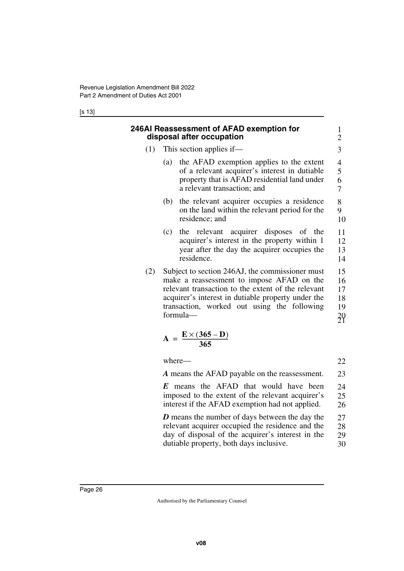[s 13]

<span id="page-27-1"></span><span id="page-27-0"></span>

|     | 246AI Reassessment of AFAD exemption for<br>disposal after occupation                                                                                                                                                                                               | $\mathbf{1}$<br>$\overline{c}$                              |
|-----|---------------------------------------------------------------------------------------------------------------------------------------------------------------------------------------------------------------------------------------------------------------------|-------------------------------------------------------------|
|     | $(1)$ This section applies if—                                                                                                                                                                                                                                      | 3                                                           |
|     | the AFAD exemption applies to the extent<br>(a)<br>of a relevant acquirer's interest in dutiable<br>property that is AFAD residential land under<br>a relevant transaction; and                                                                                     | $\overline{\mathcal{L}}$<br>$\frac{5}{6}$<br>$\overline{7}$ |
|     | the relevant acquirer occupies a residence<br>(b)<br>on the land within the relevant period for the<br>residence; and                                                                                                                                               | 8<br>9<br>10                                                |
|     | the relevant acquirer disposes of the<br>(c)<br>acquirer's interest in the property within 1<br>year after the day the acquirer occupies the<br>residence.                                                                                                          | 11<br>12<br>13<br>14                                        |
| (2) | Subject to section 246AJ, the commissioner must<br>make a reassessment to impose AFAD on the<br>relevant transaction to the extent of the relevant<br>acquirer's interest in dutiable property under the<br>transaction, worked out using the following<br>formula- | 15<br>16<br>17<br>18<br>19<br>$^{20}$                       |
|     | $A = \frac{E \times (365 - D)}{365}$                                                                                                                                                                                                                                |                                                             |
|     | where–                                                                                                                                                                                                                                                              | 22                                                          |

*A* means the AFAD payable on the reassessment. 23

*E* means the AFAD that would have been imposed to the extent of the relevant acquirer's interest if the AFAD exemption had not applied. 24 25 26

*D* means the number of days between the day the relevant acquirer occupied the residence and the day of disposal of the acquirer's interest in the dutiable property, both days inclusive. 27 28 29 30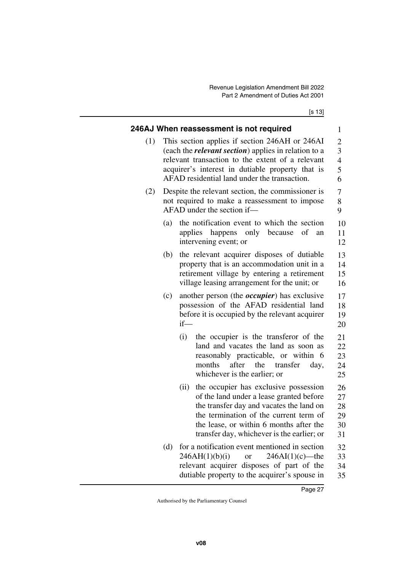[s 13]

<span id="page-28-1"></span><span id="page-28-0"></span>

|     |                                                                                                                                                                                                                                                                        | 246AJ When reassessment is not required                                                                                                                                                                                                                                  | $\mathbf{1}$                     |  |  |  |  |
|-----|------------------------------------------------------------------------------------------------------------------------------------------------------------------------------------------------------------------------------------------------------------------------|--------------------------------------------------------------------------------------------------------------------------------------------------------------------------------------------------------------------------------------------------------------------------|----------------------------------|--|--|--|--|
| (1) | This section applies if section 246AH or 246AI<br>(each the <i>relevant section</i> ) applies in relation to a<br>relevant transaction to the extent of a relevant<br>acquirer's interest in dutiable property that is<br>AFAD residential land under the transaction. |                                                                                                                                                                                                                                                                          |                                  |  |  |  |  |
| (2) | Despite the relevant section, the commissioner is<br>not required to make a reassessment to impose<br>AFAD under the section if—                                                                                                                                       |                                                                                                                                                                                                                                                                          |                                  |  |  |  |  |
|     | (a)                                                                                                                                                                                                                                                                    | the notification event to which the section<br>of<br>applies happens only because<br>an<br>intervening event; or                                                                                                                                                         | 10<br>11<br>12                   |  |  |  |  |
|     | (b)                                                                                                                                                                                                                                                                    | the relevant acquirer disposes of dutiable<br>property that is an accommodation unit in a<br>retirement village by entering a retirement<br>village leasing arrangement for the unit; or                                                                                 | 13<br>14<br>15<br>16             |  |  |  |  |
|     | (c)                                                                                                                                                                                                                                                                    | another person (the <i>occupier</i> ) has exclusive<br>possession of the AFAD residential land<br>before it is occupied by the relevant acquirer<br>$if$ —                                                                                                               | 17<br>18<br>19<br>20             |  |  |  |  |
|     |                                                                                                                                                                                                                                                                        | the occupier is the transferor of the<br>(i)<br>land and vacates the land as soon as<br>reasonably practicable, or within 6<br>months<br>after<br>the<br>transfer<br>day,<br>whichever is the earlier; or                                                                | 21<br>22<br>23<br>24<br>25       |  |  |  |  |
|     |                                                                                                                                                                                                                                                                        | the occupier has exclusive possession<br>(ii)<br>of the land under a lease granted before<br>the transfer day and vacates the land on<br>the termination of the current term of<br>the lease, or within 6 months after the<br>transfer day, whichever is the earlier; or | 26<br>27<br>28<br>29<br>30<br>31 |  |  |  |  |
|     | (d)                                                                                                                                                                                                                                                                    | for a notification event mentioned in section<br>246AH(1)(b)(i)<br>$246AI(1)(c)$ —the<br>or<br>relevant acquirer disposes of part of the<br>dutiable property to the acquirer's spouse in                                                                                | 32<br>33<br>34<br>35             |  |  |  |  |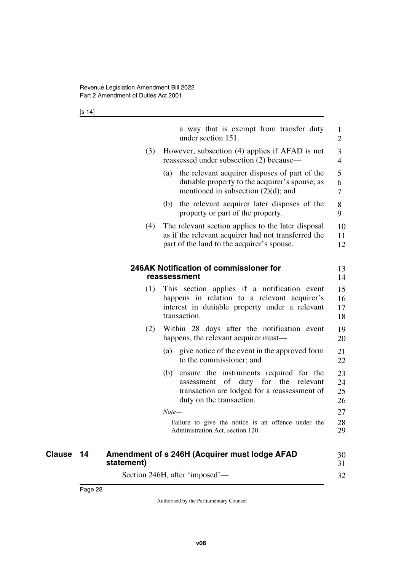<span id="page-29-1"></span><span id="page-29-0"></span>[s 14]

|                     |            | a way that is exempt from transfer duty<br>under section 151.                                                                                                              | 1<br>$\overline{2}$  |
|---------------------|------------|----------------------------------------------------------------------------------------------------------------------------------------------------------------------------|----------------------|
|                     | (3)        | However, subsection (4) applies if AFAD is not<br>reassessed under subsection (2) because—                                                                                 | 3<br>$\overline{4}$  |
|                     |            | the relevant acquirer disposes of part of the<br>(a)<br>dutiable property to the acquirer's spouse, as<br>mentioned in subsection $(2)(d)$ ; and                           | 5<br>6<br>7          |
|                     |            | (b) the relevant acquirer later disposes of the<br>property or part of the property.                                                                                       | 8<br>9               |
|                     | (4)        | The relevant section applies to the later disposal<br>as if the relevant acquirer had not transferred the<br>part of the land to the acquirer's spouse.                    | 10<br>11<br>12       |
|                     |            | 246AK Notification of commissioner for<br>reassessment                                                                                                                     | 13<br>14             |
|                     | (1)        | This section applies if a notification event<br>happens in relation to a relevant acquirer's<br>interest in dutiable property under a relevant<br>transaction.             | 15<br>16<br>17<br>18 |
|                     | (2)        | Within 28 days after the notification event<br>happens, the relevant acquirer must—                                                                                        | 19<br>20             |
|                     |            | (a) give notice of the event in the approved form<br>to the commissioner; and                                                                                              | 21<br>22             |
|                     |            | (b) ensure the instruments required for the<br>of<br>duty<br>for the<br>relevant<br>assessment<br>transaction are lodged for a reassessment of<br>duty on the transaction. | 23<br>24<br>25<br>26 |
|                     |            | $Note-$                                                                                                                                                                    | 27                   |
|                     |            | Failure to give the notice is an offence under the<br>Administration Act, section 120.                                                                                     | 28<br>29             |
| <b>Clause</b><br>14 | statement) | Amendment of s 246H (Acquirer must lodge AFAD                                                                                                                              | 30<br>31             |

<span id="page-29-3"></span><span id="page-29-2"></span>Section 246H, after 'imposed'—

32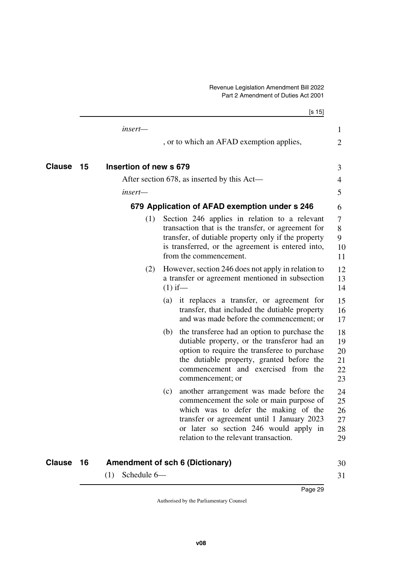<span id="page-30-3"></span><span id="page-30-2"></span><span id="page-30-1"></span><span id="page-30-0"></span>

|                     |                        | [s 15]                                                                                                                                                                                                                                                              |                                  |
|---------------------|------------------------|---------------------------------------------------------------------------------------------------------------------------------------------------------------------------------------------------------------------------------------------------------------------|----------------------------------|
|                     | insert-                |                                                                                                                                                                                                                                                                     | 1                                |
|                     |                        | , or to which an AFAD exemption applies,                                                                                                                                                                                                                            | $\overline{2}$                   |
| <b>Clause</b><br>15 | Insertion of new s 679 |                                                                                                                                                                                                                                                                     | 3                                |
|                     |                        | After section 678, as inserted by this Act—                                                                                                                                                                                                                         | 4                                |
|                     | insert—                |                                                                                                                                                                                                                                                                     | 5                                |
|                     |                        | 679 Application of AFAD exemption under s 246                                                                                                                                                                                                                       | 6                                |
|                     | (1)                    | Section 246 applies in relation to a relevant<br>transaction that is the transfer, or agreement for<br>transfer, of dutiable property only if the property<br>is transferred, or the agreement is entered into,<br>from the commencement.                           | 7<br>8<br>9<br>10<br>11          |
|                     | (2)                    | However, section 246 does not apply in relation to<br>a transfer or agreement mentioned in subsection<br>$(1)$ if—                                                                                                                                                  | 12<br>13<br>14                   |
|                     |                        | it replaces a transfer, or agreement for<br>(a)<br>transfer, that included the dutiable property<br>and was made before the commencement; or                                                                                                                        | 15<br>16<br>17                   |
|                     |                        | the transferee had an option to purchase the<br>(b)<br>dutiable property, or the transferor had an<br>option to require the transferee to purchase<br>the dutiable property, granted before the<br>commencement and exercised from the<br>commencement; or          | 18<br>19<br>20<br>21<br>22<br>23 |
|                     |                        | another arrangement was made before the<br>(c)<br>commencement the sole or main purpose of<br>which was to defer the making of the<br>transfer or agreement until 1 January 2023<br>or later so section 246 would apply in<br>relation to the relevant transaction. | 24<br>25<br>26<br>27<br>28<br>29 |

### **16 Amendment of sch 6 (Dictionary) Clause** 30

<span id="page-30-5"></span><span id="page-30-4"></span>(1) Schedule 6—

Page 29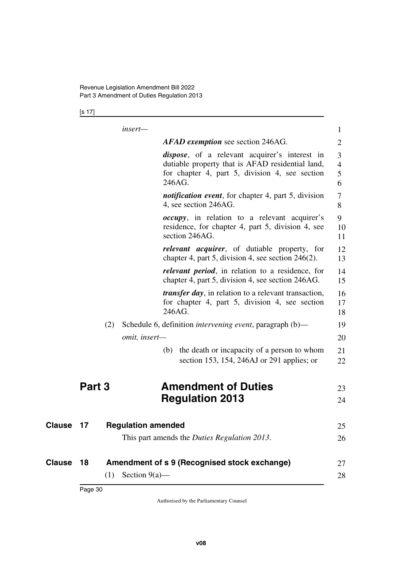[s 17]

|        |     | insert-                   |        |                                                                                                                                                             | $\mathbf{1}$                  |
|--------|-----|---------------------------|--------|-------------------------------------------------------------------------------------------------------------------------------------------------------------|-------------------------------|
|        |     |                           |        | <b>AFAD exemption</b> see section 246AG.                                                                                                                    | $\overline{2}$                |
|        |     |                           | 246AG. | <i>dispose</i> , of a relevant acquirer's interest in<br>dutiable property that is AFAD residential land,<br>for chapter 4, part 5, division 4, see section | 3<br>$\overline{4}$<br>5<br>6 |
|        |     |                           |        | <i>notification event</i> , for chapter 4, part 5, division<br>4, see section 246AG.                                                                        | 7<br>8                        |
|        |     |                           |        | <i>occupy</i> , in relation to a relevant acquirer's<br>residence, for chapter 4, part 5, division 4, see<br>section 246AG.                                 | 9<br>10<br>11                 |
|        |     |                           |        | <i>relevant acquirer</i> , of dutiable property, for<br>chapter 4, part 5, division 4, see section $246(2)$ .                                               | 12<br>13                      |
|        |     |                           |        | relevant period, in relation to a residence, for<br>chapter 4, part 5, division 4, see section 246AG.                                                       | 14<br>15                      |
|        |     |                           | 246AG. | <i>transfer day</i> , in relation to a relevant transaction,<br>for chapter 4, part 5, division 4, see section                                              | 16<br>17<br>18                |
|        | (2) |                           |        | Schedule 6, definition <i>intervening event</i> , paragraph (b)—                                                                                            | 19                            |
|        |     | omit, insert-             |        |                                                                                                                                                             | 20                            |
|        |     |                           |        | (b) the death or incapacity of a person to whom<br>section 153, 154, 246AJ or 291 applies; or                                                               | 21<br>22                      |
| Part 3 |     |                           |        | <b>Amendment of Duties</b>                                                                                                                                  | 23                            |
|        |     |                           |        | <b>Regulation 2013</b>                                                                                                                                      | 24                            |
| 17     |     | <b>Regulation amended</b> |        |                                                                                                                                                             | 25                            |
|        |     |                           |        | This part amends the <i>Duties Regulation 2013</i> .                                                                                                        | 26                            |
| 18     |     |                           |        | Amendment of s 9 (Recognised stock exchange)                                                                                                                | 27                            |
|        | (1) | Section $9(a)$ —          |        |                                                                                                                                                             | 28                            |

<span id="page-31-3"></span><span id="page-31-2"></span><span id="page-31-1"></span><span id="page-31-0"></span>**Clause** 17

<span id="page-31-5"></span><span id="page-31-4"></span>**Clause** 18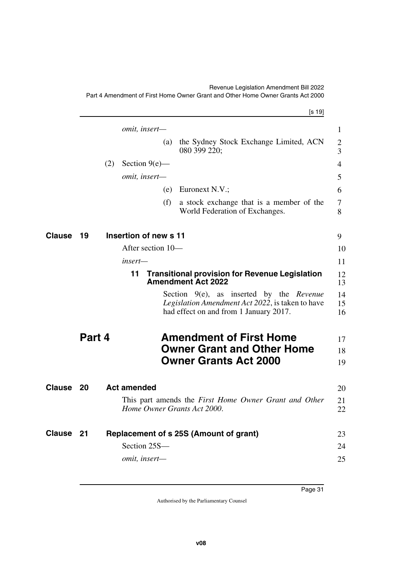#### Revenue Legislation Amendment Bill 2022

1

| Part 4 Amendment of First Home Owner Grant and Other Home Owner Grants Act 2000 |  |
|---------------------------------------------------------------------------------|--|
| $\lceil s \ 19 \rceil$                                                          |  |
| <i>omit, insert—</i>                                                            |  |
| the Sydney Stock Exchange Limited, ACN<br>(a)<br>ana ana aan                    |  |

Part 4 Amendment of First Home Owner Grant and Other Home Owner Grants Act 2000

<span id="page-32-9"></span><span id="page-32-8"></span><span id="page-32-7"></span><span id="page-32-6"></span><span id="page-32-5"></span><span id="page-32-4"></span><span id="page-32-3"></span><span id="page-32-2"></span><span id="page-32-1"></span><span id="page-32-0"></span>

|               |        |     | (a)                         | the Sydney Stock Exchange Limited, ACN<br>080 399 220;                                                                                           | $\overline{2}$<br>3 |
|---------------|--------|-----|-----------------------------|--------------------------------------------------------------------------------------------------------------------------------------------------|---------------------|
|               |        | (2) | Section $9(e)$ —            |                                                                                                                                                  | $\overline{4}$      |
|               |        |     | omit, insert-               |                                                                                                                                                  | 5                   |
|               |        |     | (e)                         | Euronext N.V.;                                                                                                                                   | 6                   |
|               |        |     | (f)                         | a stock exchange that is a member of the<br>World Federation of Exchanges.                                                                       | 7<br>8              |
| <b>Clause</b> | 19     |     | Insertion of new s 11       |                                                                                                                                                  | 9                   |
|               |        |     | After section 10-           |                                                                                                                                                  | 10                  |
|               |        |     | $insert-$                   |                                                                                                                                                  | 11                  |
|               |        |     | 11                          | <b>Transitional provision for Revenue Legislation</b><br><b>Amendment Act 2022</b>                                                               | 12<br>13            |
|               |        |     |                             | Section $9(e)$ , as inserted by the <i>Revenue</i><br>Legislation Amendment Act 2022, is taken to have<br>had effect on and from 1 January 2017. | 14<br>15<br>16      |
|               | Part 4 |     |                             | <b>Amendment of First Home</b><br><b>Owner Grant and Other Home</b>                                                                              | 17<br>18            |
|               |        |     |                             | <b>Owner Grants Act 2000</b>                                                                                                                     | 19                  |
| <b>Clause</b> | 20     |     | <b>Act amended</b>          |                                                                                                                                                  | 20                  |
|               |        |     | Home Owner Grants Act 2000. | This part amends the First Home Owner Grant and Other                                                                                            | 21<br>22            |
| Clause        | 21     |     |                             | Replacement of s 25S (Amount of grant)                                                                                                           | 23                  |
|               |        |     | Section 25S-                |                                                                                                                                                  | 24                  |
|               |        |     | omit, insert-               |                                                                                                                                                  | 25                  |
|               |        |     |                             |                                                                                                                                                  |                     |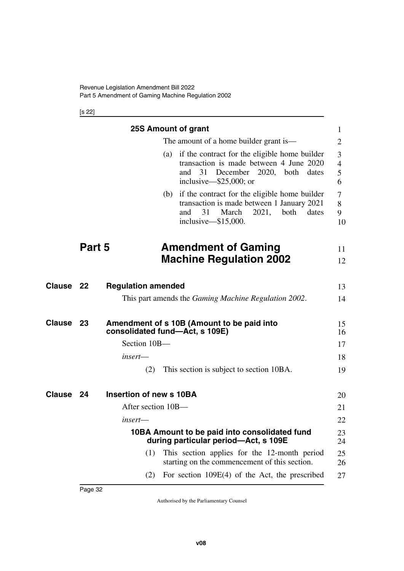<span id="page-33-3"></span><span id="page-33-1"></span><span id="page-33-0"></span>[s 22]

<span id="page-33-11"></span><span id="page-33-10"></span><span id="page-33-9"></span><span id="page-33-8"></span><span id="page-33-7"></span><span id="page-33-6"></span><span id="page-33-5"></span><span id="page-33-4"></span><span id="page-33-2"></span>

|           |                                        | <b>25S Amount of grant</b>     |  |                                                                                                                                                                           | 1                             |  |  |
|-----------|----------------------------------------|--------------------------------|--|---------------------------------------------------------------------------------------------------------------------------------------------------------------------------|-------------------------------|--|--|
|           | The amount of a home builder grant is— |                                |  |                                                                                                                                                                           |                               |  |  |
|           |                                        |                                |  | (a) if the contract for the eligible home builder<br>transaction is made between 4 June 2020<br>December 2020, both dates<br>31<br>and<br>inclusive— $$25,000$ ; or       | 3<br>$\overline{4}$<br>5<br>6 |  |  |
|           |                                        |                                |  | (b) if the contract for the eligible home builder<br>transaction is made between 1 January 2021<br>2021,<br>and<br>31<br>March<br>both<br>dates<br>inclusive— $$15,000$ . | 7<br>8<br>9<br>10             |  |  |
|           | Part 5                                 |                                |  | <b>Amendment of Gaming</b><br><b>Machine Regulation 2002</b>                                                                                                              | 11<br>12                      |  |  |
|           |                                        |                                |  |                                                                                                                                                                           |                               |  |  |
| Clause 22 |                                        | <b>Regulation amended</b>      |  |                                                                                                                                                                           | 13                            |  |  |
|           |                                        |                                |  | This part amends the <i>Gaming Machine Regulation 2002</i> .                                                                                                              | 14                            |  |  |
| Clause    | 23                                     | consolidated fund-Act, s 109E) |  | Amendment of s 10B (Amount to be paid into                                                                                                                                | 15<br>16                      |  |  |
|           |                                        | Section 10B-                   |  |                                                                                                                                                                           | 17                            |  |  |
|           |                                        | insert-                        |  |                                                                                                                                                                           | 18                            |  |  |
|           |                                        | (2)                            |  | This section is subject to section 10BA.                                                                                                                                  | 19                            |  |  |
| Clause    | 24                                     | <b>Insertion of new s 10BA</b> |  |                                                                                                                                                                           |                               |  |  |
|           |                                        | After section 10B-             |  |                                                                                                                                                                           | 20                            |  |  |
|           |                                        |                                |  |                                                                                                                                                                           | 21                            |  |  |
|           |                                        | insert—                        |  |                                                                                                                                                                           | 22                            |  |  |
|           |                                        |                                |  | 10BA Amount to be paid into consolidated fund<br>during particular period-Act, s 109E                                                                                     | 23<br>24                      |  |  |
|           |                                        | (1)                            |  | This section applies for the 12-month period<br>starting on the commencement of this section.                                                                             | 25<br>26                      |  |  |
|           |                                        | (2)                            |  | For section $109E(4)$ of the Act, the prescribed                                                                                                                          | 27                            |  |  |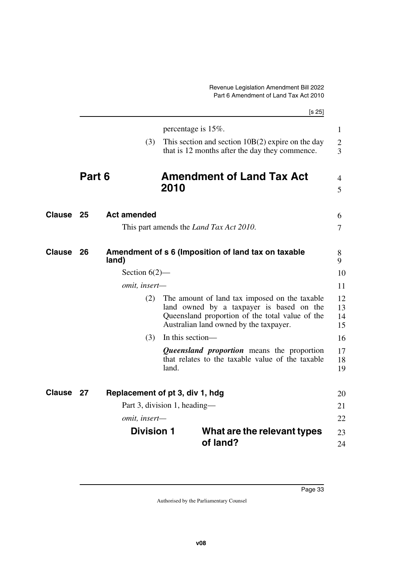<span id="page-34-7"></span><span id="page-34-6"></span><span id="page-34-5"></span><span id="page-34-4"></span><span id="page-34-3"></span><span id="page-34-2"></span><span id="page-34-1"></span><span id="page-34-0"></span>

|               |        |                                 |                  |                                                                                                                                                                                        | [s 25]               |
|---------------|--------|---------------------------------|------------------|----------------------------------------------------------------------------------------------------------------------------------------------------------------------------------------|----------------------|
|               |        |                                 |                  | percentage is $15\%$ .                                                                                                                                                                 | $\mathbf{1}$         |
|               |        | (3)                             |                  | This section and section $10B(2)$ expire on the day<br>that is 12 months after the day they commence.                                                                                  | $\overline{2}$<br>3  |
|               | Part 6 |                                 | 2010             | <b>Amendment of Land Tax Act</b>                                                                                                                                                       | 4<br>5               |
| <b>Clause</b> | 25     | <b>Act amended</b>              |                  |                                                                                                                                                                                        | 6                    |
|               |        |                                 |                  | This part amends the <i>Land Tax Act 2010</i> .                                                                                                                                        | $\overline{7}$       |
| Clause        | 26     | land)                           |                  | Amendment of s 6 (Imposition of land tax on taxable                                                                                                                                    | 8<br>9               |
|               |        | Section $6(2)$ —                |                  |                                                                                                                                                                                        | 10                   |
|               |        | omit, insert-                   |                  |                                                                                                                                                                                        | 11                   |
|               |        | (2)                             |                  | The amount of land tax imposed on the taxable<br>land owned by a taxpayer is based on the<br>Queensland proportion of the total value of the<br>Australian land owned by the taxpayer. | 12<br>13<br>14<br>15 |
|               |        | (3)                             | In this section- |                                                                                                                                                                                        | 16                   |
|               |        |                                 | land.            | <i>Queensland proportion</i> means the proportion<br>that relates to the taxable value of the taxable                                                                                  | 17<br>18<br>19       |
| Clause        | 27     | Replacement of pt 3, div 1, hdg |                  |                                                                                                                                                                                        | 20                   |
|               |        | Part 3, division 1, heading—    |                  |                                                                                                                                                                                        | 21                   |
|               |        | omit, insert-                   |                  |                                                                                                                                                                                        | 22                   |
|               |        | <b>Division 1</b>               |                  | What are the relevant types<br>of land?                                                                                                                                                | 23<br>24             |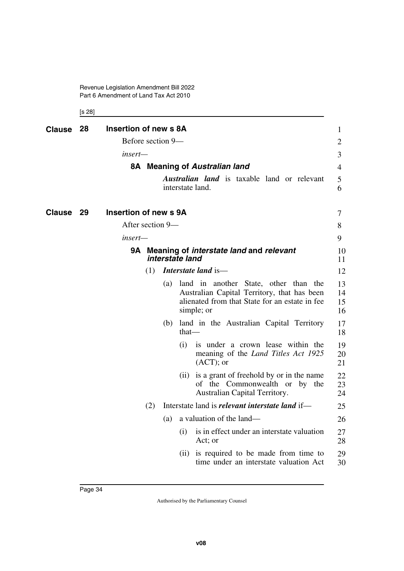Revenue Legislation Amendment Bill 2022 Part 6 Amendment of Land Tax Act 2010

<span id="page-35-7"></span><span id="page-35-6"></span><span id="page-35-5"></span><span id="page-35-3"></span><span id="page-35-2"></span><span id="page-35-1"></span><span id="page-35-0"></span>[s 28]

<span id="page-35-4"></span>

| <b>Clause</b> | 28 | Insertion of new s 8A                                                |     |     |                   |                                                                                                                                                      | $\mathbf{1}$         |
|---------------|----|----------------------------------------------------------------------|-----|-----|-------------------|------------------------------------------------------------------------------------------------------------------------------------------------------|----------------------|
|               |    | Before section 9-                                                    |     |     |                   |                                                                                                                                                      | $\overline{2}$       |
|               |    | insert—                                                              |     |     |                   |                                                                                                                                                      | 3                    |
|               |    |                                                                      |     |     |                   | 8A Meaning of Australian land                                                                                                                        | $\overline{4}$       |
|               |    |                                                                      |     |     |                   | <b>Australian land</b> is taxable land or relevant<br>interstate land.                                                                               | 5<br>6               |
| Clause        | 29 | Insertion of new s 9A                                                |     |     |                   |                                                                                                                                                      | 7                    |
|               |    | After section 9-                                                     |     |     |                   |                                                                                                                                                      | 8                    |
|               |    | insert—                                                              |     |     |                   |                                                                                                                                                      | 9                    |
|               |    | 9A Meaning of <i>interstate land</i> and relevant<br>interstate land |     |     |                   |                                                                                                                                                      |                      |
|               |    |                                                                      | (1) |     |                   | Interstate land is-                                                                                                                                  | 12                   |
|               |    |                                                                      |     | (a) |                   | land in another State, other than the<br>Australian Capital Territory, that has been<br>alienated from that State for an estate in fee<br>simple; or | 13<br>14<br>15<br>16 |
|               |    |                                                                      |     | (b) | $that$ —          | land in the Australian Capital Territory                                                                                                             | 17<br>18             |
|               |    |                                                                      |     |     | (i)               | is under a crown lease within the<br>meaning of the <i>Land Titles Act 1925</i><br>$(ACT);$ or                                                       | 19<br>20<br>21       |
|               |    |                                                                      |     |     | (i)               | is a grant of freehold by or in the name<br>of the Commonwealth or by the<br>Australian Capital Territory.                                           | 22<br>23<br>24       |
|               |    |                                                                      | (2) |     |                   | Interstate land is <i>relevant interstate land</i> if—                                                                                               | 25                   |
|               |    |                                                                      |     | (a) |                   | a valuation of the land—                                                                                                                             | 26                   |
|               |    |                                                                      |     |     | $\left( 1\right)$ | is in effect under an interstate valuation<br>Act; or                                                                                                | 27<br>28             |
|               |    |                                                                      |     |     | (11)              | is required to be made from time to<br>time under an interstate valuation Act                                                                        | 29<br>30             |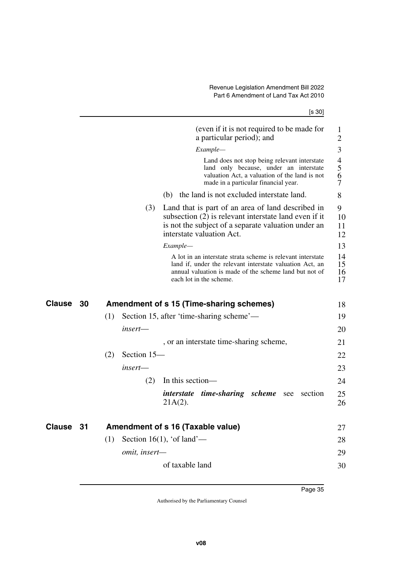| ۰.<br>۰,<br>× |  |
|---------------|--|
|---------------|--|

|               |    |     |               | (even if it is not required to be made for<br>a particular period); and                                                                                                                                      | $\mathbf{1}$<br>$\mathbf{2}$            |
|---------------|----|-----|---------------|--------------------------------------------------------------------------------------------------------------------------------------------------------------------------------------------------------------|-----------------------------------------|
|               |    |     |               | Example-                                                                                                                                                                                                     | 3                                       |
|               |    |     |               | Land does not stop being relevant interstate<br>land only because, under an interstate<br>valuation Act, a valuation of the land is not<br>made in a particular financial year.                              | $\overline{\mathcal{L}}$<br>5<br>6<br>7 |
|               |    |     |               | (b) the land is not excluded interstate land.                                                                                                                                                                | 8                                       |
|               |    |     | (3)           | Land that is part of an area of land described in<br>subsection (2) is relevant interstate land even if it<br>is not the subject of a separate valuation under an<br>interstate valuation Act.               | 9<br>10<br>11<br>12                     |
|               |    |     |               | Example-                                                                                                                                                                                                     | 13                                      |
|               |    |     |               | A lot in an interstate strata scheme is relevant interstate<br>land if, under the relevant interstate valuation Act, an<br>annual valuation is made of the scheme land but not of<br>each lot in the scheme. | 14<br>15<br>16<br>17                    |
|               |    |     |               |                                                                                                                                                                                                              |                                         |
| <b>Clause</b> | 30 |     |               | Amendment of s 15 (Time-sharing schemes)                                                                                                                                                                     | 18                                      |
|               |    | (1) |               | Section 15, after 'time-sharing scheme'—                                                                                                                                                                     | 19                                      |
|               |    |     | insert—       |                                                                                                                                                                                                              | 20                                      |
|               |    |     |               | , or an interstate time-sharing scheme,                                                                                                                                                                      | 21                                      |
|               |    | (2) | Section 15-   |                                                                                                                                                                                                              | 22                                      |
|               |    |     | insert—       |                                                                                                                                                                                                              | 23                                      |
|               |    |     | (2)           | In this section-                                                                                                                                                                                             | 24                                      |
|               |    |     |               | <i>interstate</i><br><i>time-sharing scheme</i> see<br>section<br>$21A(2)$ .                                                                                                                                 | 25<br>26                                |
| <b>Clause</b> | 31 |     |               | Amendment of s 16 (Taxable value)                                                                                                                                                                            | 27                                      |
|               |    | (1) |               | Section 16(1), 'of land'—                                                                                                                                                                                    | 28                                      |
|               |    |     | omit, insert- |                                                                                                                                                                                                              | 29                                      |
|               |    |     |               | of taxable land                                                                                                                                                                                              | 30                                      |
|               |    |     |               |                                                                                                                                                                                                              |                                         |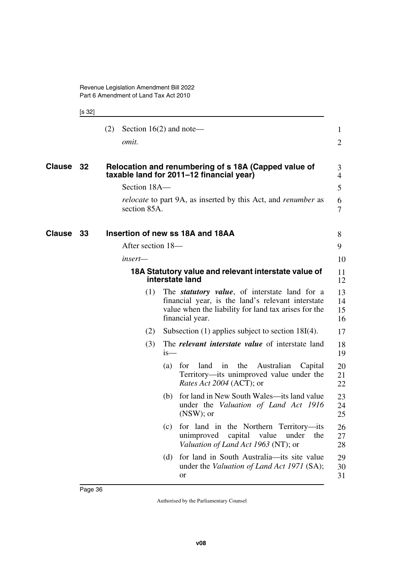Revenue Legislation Amendment Bill 2022 Part 6 Amendment of Land Tax Act 2010

[s 32]

|                  | (2)               | Section $16(2)$ and note—                                                                                                                                                             | $\mathbf{1}$         |
|------------------|-------------------|---------------------------------------------------------------------------------------------------------------------------------------------------------------------------------------|----------------------|
|                  | omit.             |                                                                                                                                                                                       | 2                    |
| <b>Clause 32</b> |                   | Relocation and renumbering of s 18A (Capped value of<br>taxable land for 2011-12 financial year)                                                                                      | 3<br>$\overline{4}$  |
|                  | Section 18A-      |                                                                                                                                                                                       | 5                    |
|                  | section 85A.      | <i>relocate</i> to part 9A, as inserted by this Act, and <i>renumber</i> as                                                                                                           | 6<br>7               |
| Clause<br>33     |                   | Insertion of new ss 18A and 18AA                                                                                                                                                      | 8                    |
|                  | After section 18— |                                                                                                                                                                                       | 9                    |
|                  | insert—           |                                                                                                                                                                                       | 10                   |
|                  |                   | 18A Statutory value and relevant interstate value of<br>interstate land                                                                                                               | 11<br>12             |
|                  | (1)               | The <i>statutory value</i> , of interstate land for a<br>financial year, is the land's relevant interstate<br>value when the liability for land tax arises for the<br>financial year. | 13<br>14<br>15<br>16 |
|                  | (2)               | Subsection $(1)$ applies subject to section 18I $(4)$ .                                                                                                                               | 17                   |
|                  | (3)               | The <i>relevant interstate value</i> of interstate land<br>$is-$                                                                                                                      | 18<br>19             |
|                  |                   | land<br>the<br>Australian<br>(a)<br>for<br>in<br>Capital<br>Territory—its unimproved value under the<br><i>Rates Act 2004</i> (ACT); or                                               | 20<br>21<br>22       |
|                  |                   | for land in New South Wales—its land value<br>(b)<br>under the Valuation of Land Act 1916<br>$(NSW)$ ; or                                                                             | 23<br>24<br>25       |
|                  |                   | (c)<br>for land in the Northern Territory—its<br>unimproved<br>capital<br>value<br>under<br>the<br>Valuation of Land Act 1963 (NT); or                                                | 26<br>27<br>28       |
|                  |                   | for land in South Australia—its site value<br>(d)<br>under the <i>Valuation of Land Act 1971</i> (SA);<br>or                                                                          | 29<br>30<br>31       |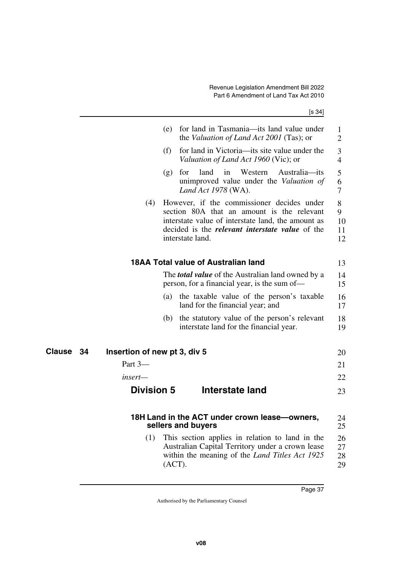|                                    | (e)    | for land in Tasmania—its land value under<br>the Valuation of Land Act 2001 (Tas); or                                                                                                                                        | 1<br>$\overline{2}$      |
|------------------------------------|--------|------------------------------------------------------------------------------------------------------------------------------------------------------------------------------------------------------------------------------|--------------------------|
|                                    | (f)    | for land in Victoria—its site value under the<br>Valuation of Land Act 1960 (Vic); or                                                                                                                                        | 3<br>$\overline{4}$      |
|                                    | (g)    | land in<br>Western<br>for<br>Australia—its<br>unimproved value under the Valuation of<br>Land Act 1978 (WA).                                                                                                                 | 5<br>6<br>7              |
| (4)                                |        | However, if the commissioner decides under<br>section 80A that an amount is the relevant<br>interstate value of interstate land, the amount as<br>decided is the <i>relevant interstate value</i> of the<br>interstate land. | 8<br>9<br>10<br>11<br>12 |
|                                    |        | <b>18AA Total value of Australian land</b>                                                                                                                                                                                   | 13                       |
|                                    |        | The <i>total value</i> of the Australian land owned by a<br>person, for a financial year, is the sum of—                                                                                                                     | 14<br>15                 |
|                                    | (a)    | the taxable value of the person's taxable<br>land for the financial year; and                                                                                                                                                | 16<br>17                 |
|                                    | (b)    | the statutory value of the person's relevant<br>interstate land for the financial year.                                                                                                                                      | 18<br>19                 |
| 34<br>Insertion of new pt 3, div 5 |        |                                                                                                                                                                                                                              | 20                       |
| Part 3-                            |        |                                                                                                                                                                                                                              | 21                       |
| insert—                            |        |                                                                                                                                                                                                                              | 22                       |
| <b>Division 5</b>                  |        | <b>Interstate land</b>                                                                                                                                                                                                       | 23                       |
|                                    |        | 18H Land in the ACT under crown lease-owners,<br>sellers and buyers                                                                                                                                                          | 24<br>25                 |
| (1)                                | (ACT). | This section applies in relation to land in the<br>Australian Capital Territory under a crown lease<br>within the meaning of the Land Titles Act 1925                                                                        | 26<br>27<br>28<br>29     |
|                                    |        |                                                                                                                                                                                                                              |                          |

**Clause** 34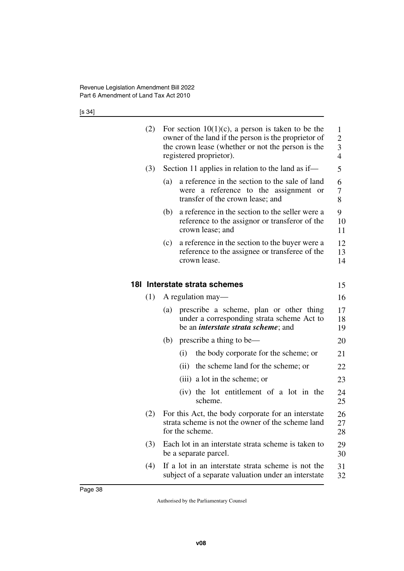[s 34]

| (2) |     | For section $10(1)(c)$ , a person is taken to be the<br>owner of the land if the person is the proprietor of<br>the crown lease (whether or not the person is the<br>registered proprietor). | 1<br>$\overline{2}$<br>3<br>$\overline{4}$ |
|-----|-----|----------------------------------------------------------------------------------------------------------------------------------------------------------------------------------------------|--------------------------------------------|
| (3) |     | Section 11 applies in relation to the land as if—                                                                                                                                            | 5                                          |
|     | (a) | a reference in the section to the sale of land<br>were a reference to the assignment or<br>transfer of the crown lease; and                                                                  | 6<br>7<br>8                                |
|     | (b) | a reference in the section to the seller were a<br>reference to the assignor or transferor of the<br>crown lease; and                                                                        | 9<br>10<br>11                              |
|     | (c) | a reference in the section to the buyer were a<br>reference to the assignee or transferee of the<br>crown lease.                                                                             | 12<br>13<br>14                             |
|     |     | 181 Interstate strata schemes                                                                                                                                                                | 15                                         |
| (1) |     | A regulation may-                                                                                                                                                                            | 16                                         |
|     | (a) | prescribe a scheme, plan or other thing<br>under a corresponding strata scheme Act to<br>be an <i>interstate strata scheme</i> ; and                                                         | 17<br>18<br>19                             |
|     | (b) | prescribe a thing to be—                                                                                                                                                                     | 20                                         |
|     |     | the body corporate for the scheme; or<br>(i)                                                                                                                                                 | 21                                         |
|     |     | (ii) the scheme land for the scheme; or                                                                                                                                                      | 22                                         |
|     |     | (iii) a lot in the scheme; or                                                                                                                                                                | 23                                         |
|     |     | (iv) the lot entitlement of a lot in the<br>scheme.                                                                                                                                          | 24<br>25                                   |
| (2) |     | For this Act, the body corporate for an interstate<br>strata scheme is not the owner of the scheme land<br>for the scheme.                                                                   | 26<br>27<br>28                             |
| (3) |     | Each lot in an interstate strata scheme is taken to<br>be a separate parcel.                                                                                                                 | 29<br>30                                   |
| (4) |     | If a lot in an interstate strata scheme is not the<br>subject of a separate valuation under an interstate                                                                                    | 31<br>32                                   |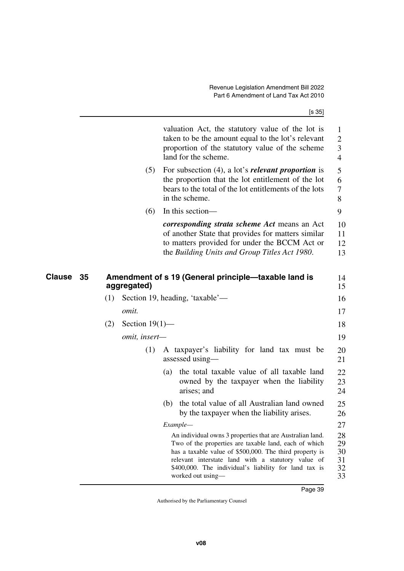| ×<br>۰,<br>ł |
|--------------|
|--------------|

|              |     |                   | valuation Act, the statutory value of the lot is<br>taken to be the amount equal to the lot's relevant<br>proportion of the statutory value of the scheme<br>land for the scheme.                                                                                                                                 | 1<br>$\overline{2}$<br>3<br>$\overline{4}$ |
|--------------|-----|-------------------|-------------------------------------------------------------------------------------------------------------------------------------------------------------------------------------------------------------------------------------------------------------------------------------------------------------------|--------------------------------------------|
|              |     | (5)               | For subsection $(4)$ , a lot's <i>relevant proportion</i> is<br>the proportion that the lot entitlement of the lot<br>bears to the total of the lot entitlements of the lots<br>in the scheme.                                                                                                                    | 5<br>6<br>7<br>8                           |
|              |     | (6)               | In this section-                                                                                                                                                                                                                                                                                                  | 9                                          |
|              |     |                   | <i>corresponding strata scheme Act</i> means an Act<br>of another State that provides for matters similar<br>to matters provided for under the BCCM Act or<br>the Building Units and Group Titles Act 1980.                                                                                                       | 10<br>11<br>12<br>13                       |
| Clause<br>35 |     | aggregated)       | Amendment of s 19 (General principle-taxable land is                                                                                                                                                                                                                                                              | 14<br>15                                   |
|              | (1) |                   | Section 19, heading, 'taxable'—                                                                                                                                                                                                                                                                                   | 16                                         |
|              |     | omit.             |                                                                                                                                                                                                                                                                                                                   | 17                                         |
|              | (2) | Section $19(1)$ — |                                                                                                                                                                                                                                                                                                                   | 18                                         |
|              |     | omit, insert-     |                                                                                                                                                                                                                                                                                                                   | 19                                         |
|              |     | (1)               | A taxpayer's liability for land tax must be<br>assessed using—                                                                                                                                                                                                                                                    | 20<br>21                                   |
|              |     |                   | the total taxable value of all taxable land<br>(a)<br>owned by the taxpayer when the liability<br>arises; and                                                                                                                                                                                                     | 22<br>23<br>24                             |
|              |     |                   | the total value of all Australian land owned<br>(b)<br>by the taxpayer when the liability arises.                                                                                                                                                                                                                 | 25<br>26                                   |
|              |     |                   | Example-                                                                                                                                                                                                                                                                                                          | 27                                         |
|              |     |                   | An individual owns 3 properties that are Australian land.<br>Two of the properties are taxable land, each of which<br>has a taxable value of \$500,000. The third property is<br>relevant interstate land with a statutory value of<br>\$400,000. The individual's liability for land tax is<br>worked out using- | 28<br>29<br>30<br>31<br>32<br>33           |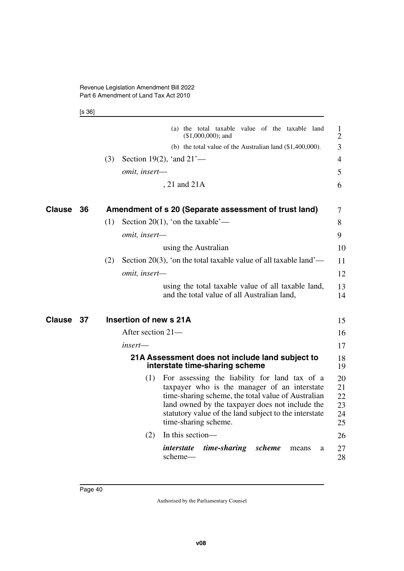[s 36]

|        |    | (a) the total taxable value of the taxable land<br>$($1,000,000);$ and                                                                                                                                                                                                                         | $\mathbf{1}$<br>$\overline{2}$   |
|--------|----|------------------------------------------------------------------------------------------------------------------------------------------------------------------------------------------------------------------------------------------------------------------------------------------------|----------------------------------|
|        |    | (b) the total value of the Australian land $(\$1,400,000)$ .                                                                                                                                                                                                                                   | 3                                |
|        |    | Section 19(2), 'and $21'$ —<br>(3)                                                                                                                                                                                                                                                             | $\overline{4}$                   |
|        |    | omit, insert-                                                                                                                                                                                                                                                                                  | 5                                |
|        |    | , 21 and 21A                                                                                                                                                                                                                                                                                   | 6                                |
| Clause | 36 | Amendment of s 20 (Separate assessment of trust land)                                                                                                                                                                                                                                          | 7                                |
|        |    | Section 20(1), 'on the taxable'—<br>(1)                                                                                                                                                                                                                                                        | 8                                |
|        |    | omit, insert-                                                                                                                                                                                                                                                                                  | 9                                |
|        |    | using the Australian                                                                                                                                                                                                                                                                           | 10                               |
|        |    | Section 20(3), 'on the total taxable value of all taxable land'—<br>(2)                                                                                                                                                                                                                        | 11                               |
|        |    | omit, insert-                                                                                                                                                                                                                                                                                  | 12                               |
|        |    | using the total taxable value of all taxable land,<br>and the total value of all Australian land,                                                                                                                                                                                              | 13<br>14                         |
| Clause | 37 | Insertion of new s 21A                                                                                                                                                                                                                                                                         | 15                               |
|        |    | After section 21-                                                                                                                                                                                                                                                                              | 16                               |
|        |    | insert—                                                                                                                                                                                                                                                                                        | 17                               |
|        |    | 21A Assessment does not include land subject to<br>interstate time-sharing scheme                                                                                                                                                                                                              | 18<br>19                         |
|        |    | For assessing the liability for land tax of a<br>(1)<br>taxpayer who is the manager of an interstate<br>time-sharing scheme, the total value of Australian<br>land owned by the taxpayer does not include the<br>statutory value of the land subject to the interstate<br>time-sharing scheme. | 20<br>21<br>22<br>23<br>24<br>25 |
|        |    | In this section-<br>(2)                                                                                                                                                                                                                                                                        | 26                               |
|        |    | <i>interstate</i><br>time-sharing<br>scheme<br>means<br>a<br>scheme-                                                                                                                                                                                                                           | 27<br>28                         |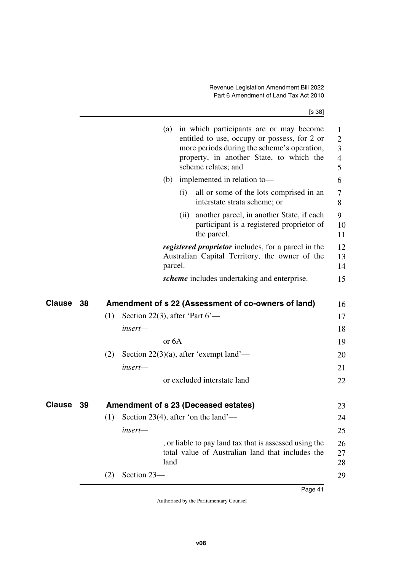[s 38]

| property, in another State, to which the<br>scheme relates; and                                                               | entitled to use, occupy or possess, for 2 or<br>$\overline{2}$<br>more periods during the scheme's operation,<br>$\overline{3}$<br>$\overline{4}$<br>5 |
|-------------------------------------------------------------------------------------------------------------------------------|--------------------------------------------------------------------------------------------------------------------------------------------------------|
| implemented in relation to-<br>(b)                                                                                            | 6                                                                                                                                                      |
| all or some of the lots comprised in an<br>(i)<br>interstate strata scheme; or                                                | $\tau$<br>8                                                                                                                                            |
| another parcel, in another State, if each<br>(ii)<br>participant is a registered proprietor of<br>the parcel.                 | 9<br>10<br>11                                                                                                                                          |
| registered proprietor includes, for a parcel in the<br>Australian Capital Territory, the owner of the<br>parcel.              | 12<br>13<br>14                                                                                                                                         |
| <i>scheme</i> includes undertaking and enterprise.                                                                            | 15                                                                                                                                                     |
|                                                                                                                               |                                                                                                                                                        |
| Clause<br>Amendment of s 22 (Assessment of co-owners of land)<br>38                                                           | 16                                                                                                                                                     |
| Section 22(3), after 'Part $6'$ —<br>(1)                                                                                      | 17                                                                                                                                                     |
| insert-                                                                                                                       | 18                                                                                                                                                     |
| or <sub>6</sub> A                                                                                                             | 19                                                                                                                                                     |
| Section 22(3)(a), after 'exempt land'—<br>(2)                                                                                 | 20                                                                                                                                                     |
| insert—                                                                                                                       | 21                                                                                                                                                     |
| or excluded interstate land                                                                                                   | 22                                                                                                                                                     |
| Clause<br>39<br>Amendment of s 23 (Deceased estates)                                                                          | 23                                                                                                                                                     |
| Section 23(4), after 'on the land'—<br>(1)                                                                                    | 24                                                                                                                                                     |
|                                                                                                                               | 25                                                                                                                                                     |
|                                                                                                                               |                                                                                                                                                        |
| insert-<br>, or liable to pay land tax that is assessed using the<br>total value of Australian land that includes the<br>land | 26<br>27<br>28                                                                                                                                         |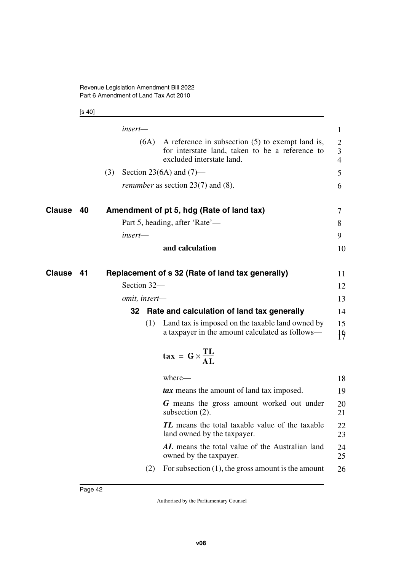[s 40]

|               |    |     | insert-       |                                                                                                                                    | $\mathbf{1}$                          |
|---------------|----|-----|---------------|------------------------------------------------------------------------------------------------------------------------------------|---------------------------------------|
|               |    |     | (6A)          | A reference in subsection $(5)$ to exempt land is,<br>for interstate land, taken to be a reference to<br>excluded interstate land. | $\overline{2}$<br>3<br>$\overline{4}$ |
|               |    | (3) |               | Section 23(6A) and $(7)$ —                                                                                                         | 5                                     |
|               |    |     |               | <i>renumber</i> as section $23(7)$ and (8).                                                                                        | 6                                     |
| <b>Clause</b> | 40 |     |               | Amendment of pt 5, hdg (Rate of land tax)                                                                                          | 7                                     |
|               |    |     |               | Part 5, heading, after 'Rate'—                                                                                                     | 8                                     |
|               |    |     | insert-       |                                                                                                                                    | 9                                     |
|               |    |     |               | and calculation                                                                                                                    | 10                                    |
| <b>Clause</b> | 41 |     |               | Replacement of s 32 (Rate of land tax generally)                                                                                   | 11                                    |
|               |    |     | Section 32-   |                                                                                                                                    | 12                                    |
|               |    |     | omit, insert- |                                                                                                                                    | 13                                    |
|               |    |     | 32            | Rate and calculation of land tax generally                                                                                         | 14                                    |
|               |    |     | (1)           | Land tax is imposed on the taxable land owned by<br>a taxpayer in the amount calculated as follows—                                | 15<br>$\frac{1}{2}$                   |
|               |    |     |               | $\tan = G \times \frac{TL}{AL}$                                                                                                    |                                       |
|               |    |     |               | where-                                                                                                                             | 18                                    |
|               |    |     |               | tax means the amount of land tax imposed.                                                                                          | 19                                    |
|               |    |     |               | G means the gross amount worked out under<br>subsection $(2)$ .                                                                    | 20<br>21                              |
|               |    |     |               | TL means the total taxable value of the taxable<br>land owned by the taxpayer.                                                     | 22<br>23                              |
|               |    |     |               | AL means the total value of the Australian land<br>owned by the taxpayer.                                                          | 24<br>25                              |
|               |    |     | (2)           | For subsection $(1)$ , the gross amount is the amount                                                                              | 26                                    |
|               |    |     |               |                                                                                                                                    |                                       |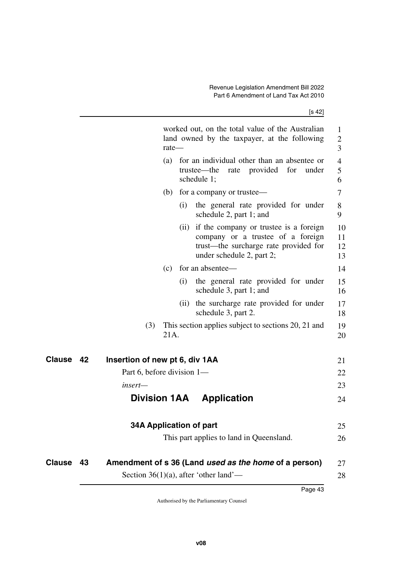[s 42]

|               |    |                                | $rate$ — |     | worked out, on the total value of the Australian<br>land owned by the taxpayer, at the following                                                       | $\mathbf{1}$<br>$\overline{2}$<br>3 |
|---------------|----|--------------------------------|----------|-----|--------------------------------------------------------------------------------------------------------------------------------------------------------|-------------------------------------|
|               |    |                                | (a)      |     | for an individual other than an absentee or<br>trustee—the<br>provided for<br>rate<br>under<br>schedule 1;                                             | $\overline{4}$<br>5<br>6            |
|               |    |                                | (b)      |     | for a company or trustee—                                                                                                                              | $\tau$                              |
|               |    |                                |          | (i) | the general rate provided for under<br>schedule 2, part 1; and                                                                                         | 8<br>9                              |
|               |    |                                |          |     | (ii) if the company or trustee is a foreign<br>company or a trustee of a foreign<br>trust—the surcharge rate provided for<br>under schedule 2, part 2; | 10<br>11<br>12<br>13                |
|               |    |                                | (c)      |     | for an absentee—                                                                                                                                       | 14                                  |
|               |    |                                |          | (i) | the general rate provided for under<br>schedule 3, part 1; and                                                                                         | 15<br>16                            |
|               |    |                                |          | (i) | the surcharge rate provided for under<br>schedule 3, part 2.                                                                                           | 17<br>18                            |
|               |    | (3)                            | 21A.     |     | This section applies subject to sections 20, 21 and                                                                                                    | 19<br>20                            |
| Clause        | 42 | Insertion of new pt 6, div 1AA |          |     |                                                                                                                                                        | 21                                  |
|               |    | Part 6, before division 1-     |          |     |                                                                                                                                                        | 22                                  |
|               |    | insert—                        |          |     |                                                                                                                                                        | 23                                  |
|               |    | <b>Division 1AA</b>            |          |     | <b>Application</b>                                                                                                                                     | 24                                  |
|               |    | <b>34A Application of part</b> |          |     |                                                                                                                                                        | 25                                  |
|               |    |                                |          |     | This part applies to land in Queensland.                                                                                                               | 26                                  |
| <b>Clause</b> | 43 |                                |          |     | Amendment of s 36 (Land used as the home of a person)                                                                                                  | 27                                  |
|               |    |                                |          |     | Section 36(1)(a), after 'other land'—                                                                                                                  | 28                                  |
|               |    |                                |          |     |                                                                                                                                                        |                                     |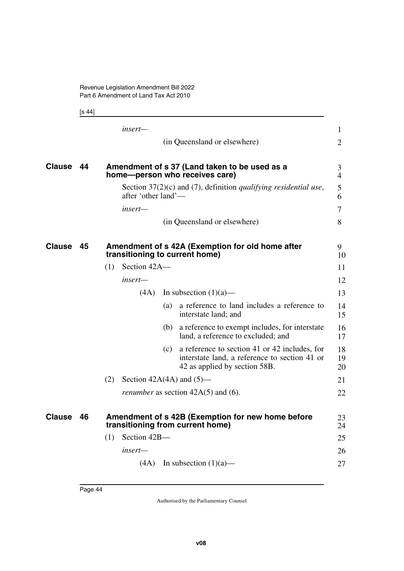[s 44]

|               |    | insert-                                                                                                                                | $\mathbf{1}$        |
|---------------|----|----------------------------------------------------------------------------------------------------------------------------------------|---------------------|
|               |    | (in Queensland or elsewhere)                                                                                                           | $\overline{2}$      |
| <b>Clause</b> | 44 | Amendment of s 37 (Land taken to be used as a<br>home-person who receives care)                                                        | 3<br>$\overline{4}$ |
|               |    | Section $37(2)(c)$ and (7), definition <i>qualifying residential use</i> ,<br>after 'other land'—                                      | 5<br>6              |
|               |    | insert—                                                                                                                                | 7                   |
|               |    | (in Queensland or elsewhere)                                                                                                           | 8                   |
| <b>Clause</b> | 45 | Amendment of s 42A (Exemption for old home after<br>transitioning to current home)                                                     | 9.<br>10            |
|               |    | Section 42A-<br>(1)                                                                                                                    | 11                  |
|               |    | insert—                                                                                                                                | 12                  |
|               |    | In subsection $(1)(a)$ —<br>(4A)                                                                                                       | 13                  |
|               |    | a reference to land includes a reference to<br>(a)<br>interstate land; and                                                             | 14<br>15            |
|               |    | a reference to exempt includes, for interstate<br>(b)<br>land, a reference to excluded; and                                            | 16<br>17            |
|               |    | a reference to section 41 or 42 includes, for<br>(c)<br>interstate land, a reference to section 41 or<br>42 as applied by section 58B. | 18<br>19<br>20      |
|               |    | (2)<br>Section $42A(4A)$ and $(5)$ —                                                                                                   | 21                  |
|               |    | <i>renumber</i> as section $42A(5)$ and (6).                                                                                           | 22                  |
| <b>Clause</b> | 46 | Amendment of s 42B (Exemption for new home before<br>transitioning from current home)                                                  | 23<br>24            |
|               |    | Section 42B-<br>(1)                                                                                                                    | 25                  |
|               |    | insert—                                                                                                                                | 26                  |
|               |    | $(4A)$ In subsection $(1)(a)$ —                                                                                                        | 27                  |
|               |    |                                                                                                                                        |                     |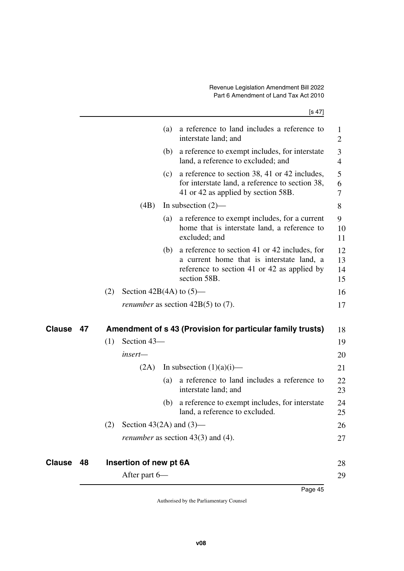| a reference to exempt includes, for interstate<br>(b)<br>land, a reference to excluded; and<br>a reference to section 38, 41 or 42 includes,<br>(c)<br>for interstate land, a reference to section 38,<br>41 or 42 as applied by section 58B.<br>(4B)<br>In subsection $(2)$ —<br>a reference to exempt includes, for a current<br>(a)<br>home that is interstate land, a reference to<br>excluded; and<br>a reference to section 41 or 42 includes, for<br>(b)<br>a current home that is interstate land, a<br>reference to section 41 or 42 as applied by<br>section 58B.<br>(2)<br>Section 42B(4A) to $(5)$ —<br><i>renumber</i> as section $42B(5)$ to (7).<br>Amendment of s 43 (Provision for particular family trusts)<br>Clause<br>47<br>Section 43-<br>(1)<br>insert—<br>In subsection $(1)(a)(i)$ —<br>(2A)<br>a reference to land includes a reference to<br>(a)<br>interstate land; and<br>a reference to exempt includes, for interstate<br>(b)<br>land, a reference to excluded.<br>(2) Section 43(2A) and $(3)$ —<br><i>renumber</i> as section $43(3)$ and $(4)$ .<br>Clause<br>Insertion of new pt 6A<br>48 | a reference to land includes a reference to<br>$\mathbf{1}$<br>$\overline{2}$ |
|------------------------------------------------------------------------------------------------------------------------------------------------------------------------------------------------------------------------------------------------------------------------------------------------------------------------------------------------------------------------------------------------------------------------------------------------------------------------------------------------------------------------------------------------------------------------------------------------------------------------------------------------------------------------------------------------------------------------------------------------------------------------------------------------------------------------------------------------------------------------------------------------------------------------------------------------------------------------------------------------------------------------------------------------------------------------------------------------------------------------------|-------------------------------------------------------------------------------|
|                                                                                                                                                                                                                                                                                                                                                                                                                                                                                                                                                                                                                                                                                                                                                                                                                                                                                                                                                                                                                                                                                                                              | 3<br>$\overline{4}$                                                           |
|                                                                                                                                                                                                                                                                                                                                                                                                                                                                                                                                                                                                                                                                                                                                                                                                                                                                                                                                                                                                                                                                                                                              | 5<br>6<br>7                                                                   |
|                                                                                                                                                                                                                                                                                                                                                                                                                                                                                                                                                                                                                                                                                                                                                                                                                                                                                                                                                                                                                                                                                                                              | 8                                                                             |
|                                                                                                                                                                                                                                                                                                                                                                                                                                                                                                                                                                                                                                                                                                                                                                                                                                                                                                                                                                                                                                                                                                                              | 9<br>10<br>11                                                                 |
|                                                                                                                                                                                                                                                                                                                                                                                                                                                                                                                                                                                                                                                                                                                                                                                                                                                                                                                                                                                                                                                                                                                              | 12<br>13<br>14<br>15                                                          |
|                                                                                                                                                                                                                                                                                                                                                                                                                                                                                                                                                                                                                                                                                                                                                                                                                                                                                                                                                                                                                                                                                                                              | 16                                                                            |
|                                                                                                                                                                                                                                                                                                                                                                                                                                                                                                                                                                                                                                                                                                                                                                                                                                                                                                                                                                                                                                                                                                                              | 17                                                                            |
|                                                                                                                                                                                                                                                                                                                                                                                                                                                                                                                                                                                                                                                                                                                                                                                                                                                                                                                                                                                                                                                                                                                              | 18                                                                            |
|                                                                                                                                                                                                                                                                                                                                                                                                                                                                                                                                                                                                                                                                                                                                                                                                                                                                                                                                                                                                                                                                                                                              | 19                                                                            |
|                                                                                                                                                                                                                                                                                                                                                                                                                                                                                                                                                                                                                                                                                                                                                                                                                                                                                                                                                                                                                                                                                                                              | 20                                                                            |
|                                                                                                                                                                                                                                                                                                                                                                                                                                                                                                                                                                                                                                                                                                                                                                                                                                                                                                                                                                                                                                                                                                                              | 21                                                                            |
|                                                                                                                                                                                                                                                                                                                                                                                                                                                                                                                                                                                                                                                                                                                                                                                                                                                                                                                                                                                                                                                                                                                              | 22<br>23                                                                      |
|                                                                                                                                                                                                                                                                                                                                                                                                                                                                                                                                                                                                                                                                                                                                                                                                                                                                                                                                                                                                                                                                                                                              | 24<br>25                                                                      |
|                                                                                                                                                                                                                                                                                                                                                                                                                                                                                                                                                                                                                                                                                                                                                                                                                                                                                                                                                                                                                                                                                                                              | 26                                                                            |
|                                                                                                                                                                                                                                                                                                                                                                                                                                                                                                                                                                                                                                                                                                                                                                                                                                                                                                                                                                                                                                                                                                                              | 27                                                                            |
|                                                                                                                                                                                                                                                                                                                                                                                                                                                                                                                                                                                                                                                                                                                                                                                                                                                                                                                                                                                                                                                                                                                              | 28                                                                            |
| After part 6-                                                                                                                                                                                                                                                                                                                                                                                                                                                                                                                                                                                                                                                                                                                                                                                                                                                                                                                                                                                                                                                                                                                | 29                                                                            |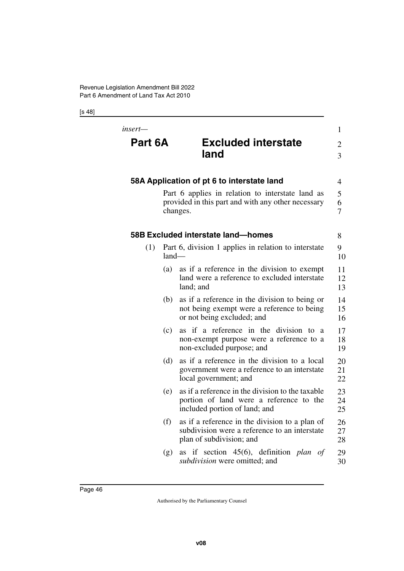| insert—<br>Part 6A |         | <b>Excluded interstate</b><br>land                                                                                           | 1<br>$\overline{2}$<br>3 |
|--------------------|---------|------------------------------------------------------------------------------------------------------------------------------|--------------------------|
|                    |         | 58A Application of pt 6 to interstate land                                                                                   | 4                        |
|                    |         | Part 6 applies in relation to interstate land as<br>provided in this part and with any other necessary<br>changes.           | 5<br>6<br>$\tau$         |
|                    |         | 58B Excluded interstate land-homes                                                                                           | 8                        |
| (1)                | $land-$ | Part 6, division 1 applies in relation to interstate                                                                         | 9<br>10                  |
|                    | (a)     | as if a reference in the division to exempt<br>land were a reference to excluded interstate<br>land; and                     | 11<br>12<br>13           |
|                    | (b)     | as if a reference in the division to being or<br>not being exempt were a reference to being<br>or not being excluded; and    | 14<br>15<br>16           |
|                    | (c)     | as if a reference in the division to a<br>non-exempt purpose were a reference to a<br>non-excluded purpose; and              | 17<br>18<br>19           |
|                    | (d)     | as if a reference in the division to a local<br>government were a reference to an interstate<br>local government; and        | 20<br>21<br>22           |
|                    | (e)     | as if a reference in the division to the taxable<br>portion of land were a reference to the<br>included portion of land; and | 23<br>24<br>25           |
|                    | (f)     | as if a reference in the division to a plan of<br>subdivision were a reference to an interstate<br>plan of subdivision; and  | 26<br>27<br>28           |
|                    | (g)     | if section 45(6), definition plan of<br>as<br><i>subdivision</i> were omitted; and                                           | 29<br>30                 |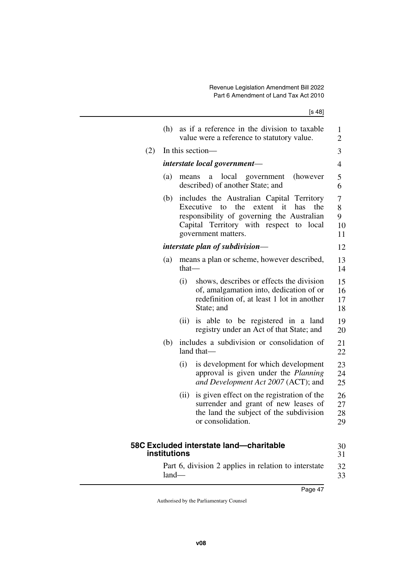|     | (h)          |          | as if a reference in the division to taxable<br>value were a reference to statutory value.                                                                                                                     | 1<br>$\overline{2}$     |
|-----|--------------|----------|----------------------------------------------------------------------------------------------------------------------------------------------------------------------------------------------------------------|-------------------------|
| (2) |              |          | In this section—                                                                                                                                                                                               | 3                       |
|     |              |          | interstate local government—                                                                                                                                                                                   | $\overline{4}$          |
|     | (a)          | means    | local<br>government<br>(however<br>a<br>described) of another State; and                                                                                                                                       | 5<br>6                  |
|     | (b)          |          | includes the Australian Capital Territory<br>the<br>it<br>Executive to<br>extent<br>has<br>the<br>responsibility of governing the Australian<br>Capital Territory with respect to local<br>government matters. | 7<br>8<br>9<br>10<br>11 |
|     |              |          | interstate plan of subdivision—                                                                                                                                                                                | 12                      |
|     | (a)          | $that$ — | means a plan or scheme, however described,                                                                                                                                                                     | 13<br>14                |
|     |              | (i)      | shows, describes or effects the division<br>of, amalgamation into, dedication of or<br>redefinition of, at least 1 lot in another<br>State; and                                                                | 15<br>16<br>17<br>18    |
|     |              | (ii)     | is able to be registered in a land<br>registry under an Act of that State; and                                                                                                                                 | 19<br>20                |
|     | (b)          |          | includes a subdivision or consolidation of<br>land that-                                                                                                                                                       | 21<br>22                |
|     |              | (i)      | is development for which development<br>approval is given under the Planning<br>and Development Act 2007 (ACT); and                                                                                            | 23<br>24<br>25          |
|     |              | (ii)     | is given effect on the registration of the<br>surrender and grant of new leases of<br>the land the subject of the subdivision<br>or consolidation.                                                             | 26<br>27<br>28<br>29    |
|     | institutions |          | 58C Excluded interstate land-charitable                                                                                                                                                                        | 30<br>31                |
|     | $land-$      |          | Part 6, division 2 applies in relation to interstate                                                                                                                                                           | 32<br>33                |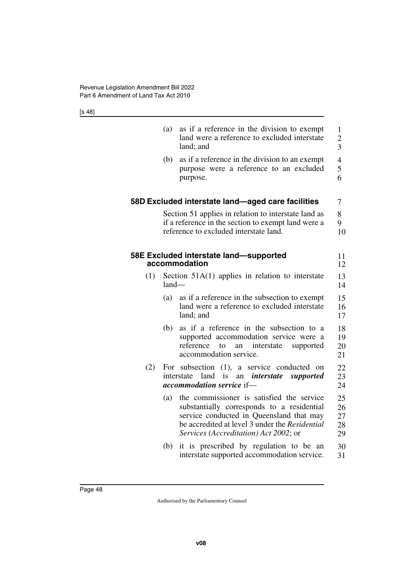|     | (a)     | as if a reference in the division to exempt<br>land were a reference to excluded interstate<br>land; and                                                                                                                       | $\mathbf{1}$<br>$\overline{c}$<br>$\overline{3}$ |
|-----|---------|--------------------------------------------------------------------------------------------------------------------------------------------------------------------------------------------------------------------------------|--------------------------------------------------|
|     | (b)     | as if a reference in the division to an exempt<br>purpose were a reference to an excluded<br>purpose.                                                                                                                          | 4<br>5<br>6                                      |
|     |         | 58D Excluded interstate land-aged care facilities                                                                                                                                                                              | 7                                                |
|     |         | Section 51 applies in relation to interstate land as<br>if a reference in the section to exempt land were a<br>reference to excluded interstate land.                                                                          | 8<br>9<br>10                                     |
|     |         | 58E Excluded interstate land-supported<br>accommodation                                                                                                                                                                        | 11<br>12                                         |
| (1) | $land-$ | Section $51A(1)$ applies in relation to interstate                                                                                                                                                                             | 13<br>14                                         |
|     | (a)     | as if a reference in the subsection to exempt<br>land were a reference to excluded interstate<br>land; and                                                                                                                     | 15<br>16<br>17                                   |
|     | (b)     | as if a reference in the subsection to a<br>supported accommodation service were a<br>reference<br>to<br>interstate<br>supported<br>an<br>accommodation service.                                                               | 18<br>19<br>20<br>21                             |
| (2) | For     | subsection (1), a service conducted<br>on<br>land<br>interstate<br>is<br><i>interstate</i><br>supported<br>an<br><i>accommodation service</i> if-                                                                              | 22<br>23<br>24                                   |
|     | (a)     | the commissioner is satisfied the service<br>substantially corresponds to a residential<br>service conducted in Queensland that may<br>be accredited at level 3 under the Residential<br>Services (Accreditation) Act 2002; or | 25<br>26<br>27<br>28<br>29                       |
|     | (b)     | it is prescribed by regulation to be an<br>interstate supported accommodation service.                                                                                                                                         | 30<br>31                                         |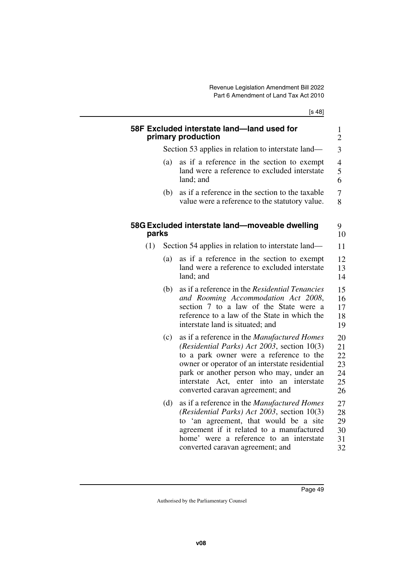[s 48] **58F Excluded interstate land—land used for primary production** Section 53 applies in relation to interstate land— (a) as if a reference in the section to exempt land were a reference to excluded interstate land; and (b) as if a reference in the section to the taxable value were a reference to the statutory value. **58G Excluded interstate land—moveable dwelling parks** (1) Section 54 applies in relation to interstate land— (a) as if a reference in the section to exempt land were a reference to excluded interstate land; and (b) as if a reference in the *Residential Tenancies and Rooming Accommodation Act 2008*, section 7 to a law of the State were a reference to a law of the State in which the interstate land is situated; and (c) as if a reference in the *Manufactured Homes (Residential Parks) Act 2003*, section 10(3) to a park owner were a reference to the owner or operator of an interstate residential park or another person who may, under an interstate Act, enter into an interstate converted caravan agreement; and (d) as if a reference in the *Manufactured Homes (Residential Parks) Act 2003*, section 10(3) to 'an agreement, that would be a site agreement if it related to a manufactured home' were a reference to an interstate converted caravan agreement; and 1 2 3 4 5 6 7 8 9 10 11 12 13 14 15 16 17 18 19 20 21 22 23 24 25 26 27 28 29 30 31 32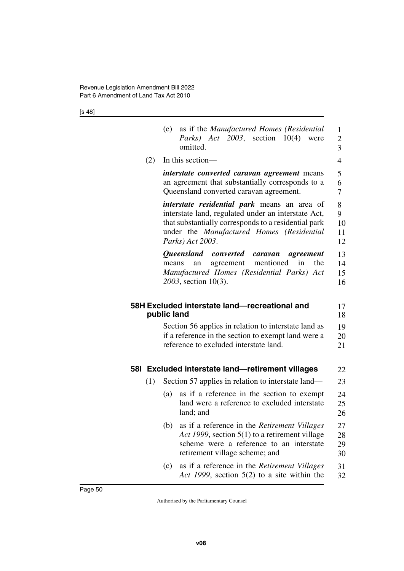|     | as if the Manufactured Homes (Residential<br>(e)<br>Parks) Act 2003, section 10(4) were<br>omitted.                                                                                                                          | $\mathbf{1}$<br>$\overline{c}$<br>3 |
|-----|------------------------------------------------------------------------------------------------------------------------------------------------------------------------------------------------------------------------------|-------------------------------------|
| (2) | In this section-                                                                                                                                                                                                             | $\overline{4}$                      |
|     | <i>interstate converted caravan agreement</i> means<br>an agreement that substantially corresponds to a<br>Queensland converted caravan agreement.                                                                           | 5<br>6<br>7                         |
|     | interstate residential park means an area of<br>interstate land, regulated under an interstate Act,<br>that substantially corresponds to a residential park<br>under the Manufactured Homes (Residential<br>Parks) Act 2003. | 8<br>9<br>10<br>11<br>12            |
|     | Queensland converted caravan<br>agreement<br>mentioned<br>the<br>agreement<br>in<br>means<br>an<br>Manufactured Homes (Residential Parks) Act<br>2003, section 10(3).                                                        | 13<br>14<br>15<br>16                |
|     | 58H Excluded interstate land-recreational and<br>public land                                                                                                                                                                 | 17<br>18                            |
|     | Section 56 applies in relation to interstate land as<br>if a reference in the section to exempt land were a<br>reference to excluded interstate land.                                                                        | 19<br>20<br>21                      |
|     | 581 Excluded interstate land-retirement villages                                                                                                                                                                             | 22                                  |
| (1) | Section 57 applies in relation to interstate land—                                                                                                                                                                           | 23                                  |
|     | as if a reference in the section to exempt<br>(a)<br>land were a reference to excluded interstate<br>land; and                                                                                                               | 24<br>25<br>26                      |
|     | as if a reference in the Retirement Villages<br>(b)<br>Act 1999, section 5(1) to a retirement village<br>scheme were a reference to an interstate<br>retirement village scheme; and                                          | 27<br>28<br>29<br>30                |
|     | as if a reference in the <i>Retirement Villages</i><br>(c)<br>Act 1999, section $5(2)$ to a site within the                                                                                                                  | 31<br>32                            |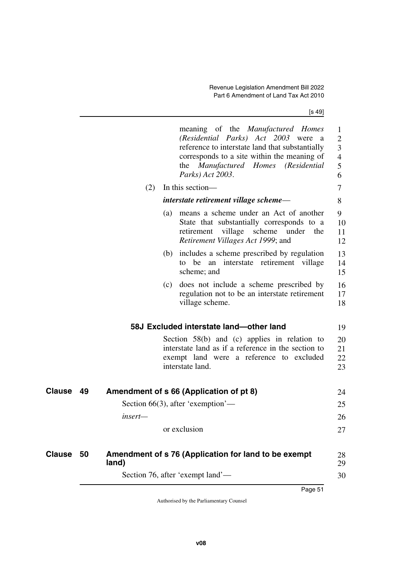[s 49]

|               |    |         | meaning of the <i>Manufactured Homes</i><br>(Residential Parks) Act 2003 were<br>a a<br>reference to interstate land that substantially<br>corresponds to a site within the meaning of<br>the Manufactured Homes (Residential<br>Parks) Act 2003. | $\mathbf 1$<br>$\overline{2}$<br>3<br>$\overline{4}$<br>5<br>6 |
|---------------|----|---------|---------------------------------------------------------------------------------------------------------------------------------------------------------------------------------------------------------------------------------------------------|----------------------------------------------------------------|
|               |    | (2)     | In this section—                                                                                                                                                                                                                                  | 7                                                              |
|               |    |         | interstate retirement village scheme—                                                                                                                                                                                                             | 8                                                              |
|               |    |         | (a) means a scheme under an Act of another<br>State that substantially corresponds to a<br>village scheme<br>retirement<br>under<br>the<br><i>Retirement Villages Act 1999; and</i>                                                               | 9<br>10<br>11<br>12                                            |
|               |    |         | (b) includes a scheme prescribed by regulation<br>to be an interstate retirement village<br>scheme; and                                                                                                                                           | 13<br>14<br>15                                                 |
|               |    | (c)     | does not include a scheme prescribed by<br>regulation not to be an interstate retirement<br>village scheme.                                                                                                                                       | 16<br>17<br>18                                                 |
|               |    |         | 58J Excluded interstate land-other land                                                                                                                                                                                                           | 19                                                             |
|               |    |         | Section $58(b)$ and (c) applies in relation to<br>interstate land as if a reference in the section to<br>exempt land were a reference to excluded<br>interstate land.                                                                             | 20<br>21<br>22<br>23                                           |
| Clause        | 49 |         | Amendment of s 66 (Application of pt 8)                                                                                                                                                                                                           | 24                                                             |
|               |    |         | Section 66(3), after 'exemption'—                                                                                                                                                                                                                 | 25                                                             |
|               |    | insert— |                                                                                                                                                                                                                                                   | 26                                                             |
|               |    |         | or exclusion                                                                                                                                                                                                                                      | 27                                                             |
| <b>Clause</b> | 50 | land)   | Amendment of s 76 (Application for land to be exempt                                                                                                                                                                                              | 28<br>29                                                       |
|               |    |         | Section 76, after 'exempt land'—                                                                                                                                                                                                                  | 30                                                             |
|               |    |         |                                                                                                                                                                                                                                                   |                                                                |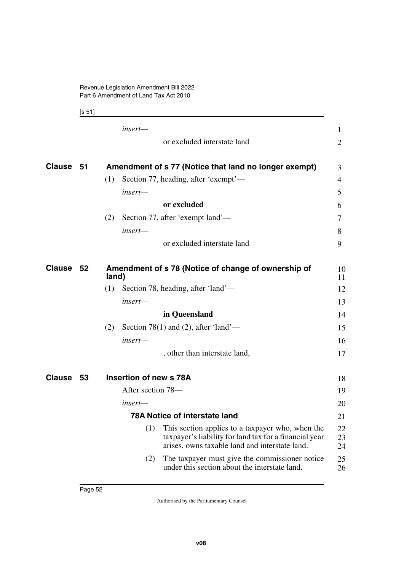[s 51]

|           | insert-                                                                                                                                                             | 1              |
|-----------|---------------------------------------------------------------------------------------------------------------------------------------------------------------------|----------------|
|           | or excluded interstate land                                                                                                                                         | $\overline{2}$ |
| Clause 51 | Amendment of s 77 (Notice that land no longer exempt)                                                                                                               | 3              |
|           | (1)<br>Section 77, heading, after 'exempt'—                                                                                                                         | 4              |
|           | insert-                                                                                                                                                             | 5              |
|           | or excluded                                                                                                                                                         | 6              |
|           | Section 77, after 'exempt land'—<br>(2)                                                                                                                             | 7              |
|           | insert-                                                                                                                                                             | 8              |
|           | or excluded interstate land                                                                                                                                         | 9              |
| Clause 52 | Amendment of s 78 (Notice of change of ownership of<br>land)                                                                                                        | 10<br>11       |
|           | (1)<br>Section 78, heading, after 'land'—                                                                                                                           | 12             |
|           | insert-                                                                                                                                                             | 13             |
|           | in Queensland                                                                                                                                                       | 14             |
|           | Section 78(1) and (2), after 'land'—<br>(2)                                                                                                                         | 15             |
|           | insert—                                                                                                                                                             | 16             |
|           | , other than interstate land,                                                                                                                                       | 17             |
| Clause 53 | Insertion of new s 78A                                                                                                                                              | 18             |
|           | After section 78—                                                                                                                                                   | 19             |
|           | insert-                                                                                                                                                             | 20             |
|           | <b>78A Notice of interstate land</b>                                                                                                                                | 21             |
|           | (1)<br>This section applies to a taxpayer who, when the<br>taxpayer's liability for land tax for a financial year<br>arises, owns taxable land and interstate land. | 22<br>23<br>24 |
|           | The taxpayer must give the commissioner notice<br>(2)<br>under this section about the interstate land.                                                              | 25<br>26       |
|           |                                                                                                                                                                     |                |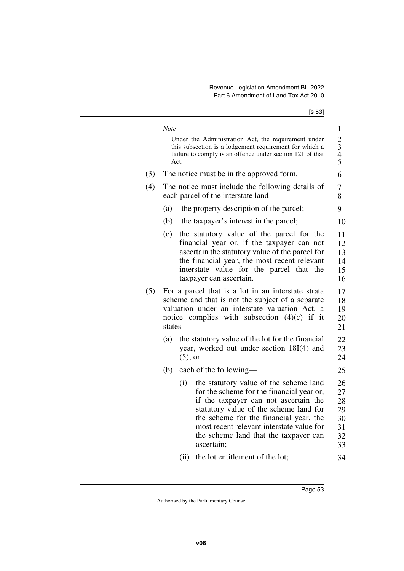|  | ×<br>I |
|--|--------|
|--|--------|

|     | Note— |                                          |                                                                                                                                                                                                                                                                                                                      | $\mathbf{1}$                                 |  |  |  |  |  |
|-----|-------|------------------------------------------|----------------------------------------------------------------------------------------------------------------------------------------------------------------------------------------------------------------------------------------------------------------------------------------------------------------------|----------------------------------------------|--|--|--|--|--|
|     |       | Act.                                     | Under the Administration Act, the requirement under<br>this subsection is a lodgement requirement for which a<br>failure to comply is an offence under section 121 of that                                                                                                                                           | $\frac{2}{3}$<br>4 5                         |  |  |  |  |  |
| (3) |       | The notice must be in the approved form. |                                                                                                                                                                                                                                                                                                                      |                                              |  |  |  |  |  |
| (4) |       |                                          | The notice must include the following details of<br>each parcel of the interstate land-                                                                                                                                                                                                                              | 7<br>8                                       |  |  |  |  |  |
|     | (a)   |                                          | the property description of the parcel;                                                                                                                                                                                                                                                                              | 9                                            |  |  |  |  |  |
|     | (b)   |                                          | the taxpayer's interest in the parcel;                                                                                                                                                                                                                                                                               | 10                                           |  |  |  |  |  |
|     | (c)   |                                          | the statutory value of the parcel for the<br>financial year or, if the taxpayer can not<br>ascertain the statutory value of the parcel for<br>the financial year, the most recent relevant<br>interstate value for the parcel that the<br>taxpayer can ascertain.                                                    | 11<br>12<br>13<br>14<br>15<br>16             |  |  |  |  |  |
| (5) |       | states-                                  | For a parcel that is a lot in an interstate strata<br>scheme and that is not the subject of a separate<br>valuation under an interstate valuation Act, a<br>notice complies with subsection $(4)(c)$ if it                                                                                                           | 17<br>18<br>19<br>20<br>21                   |  |  |  |  |  |
|     | (a)   | $(5)$ ; or                               | the statutory value of the lot for the financial<br>year, worked out under section 18I(4) and                                                                                                                                                                                                                        | 22<br>23<br>24                               |  |  |  |  |  |
|     | (b)   |                                          | each of the following-                                                                                                                                                                                                                                                                                               | 25                                           |  |  |  |  |  |
|     |       | (i)                                      | the statutory value of the scheme land<br>for the scheme for the financial year or,<br>if the taxpayer can not ascertain the<br>statutory value of the scheme land for<br>the scheme for the financial year, the<br>most recent relevant interstate value for<br>the scheme land that the taxpayer can<br>ascertain; | 26<br>27<br>28<br>29<br>30<br>31<br>32<br>33 |  |  |  |  |  |
|     |       | (ii)                                     | the lot entitlement of the lot;                                                                                                                                                                                                                                                                                      | 34                                           |  |  |  |  |  |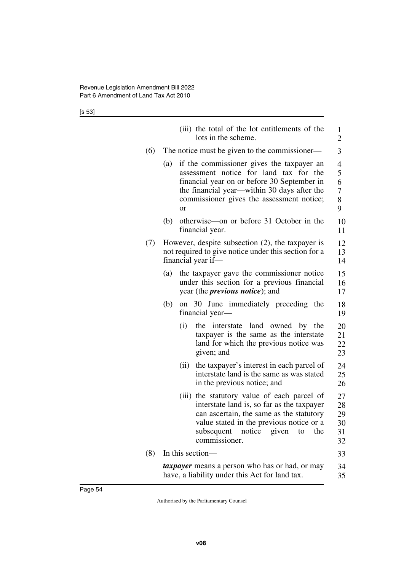[s 53]

|     |     | (iii) the total of the lot entitlements of the<br>lots in the scheme.                                                                                                                                                                         | 1<br>$\overline{2}$                     |
|-----|-----|-----------------------------------------------------------------------------------------------------------------------------------------------------------------------------------------------------------------------------------------------|-----------------------------------------|
| (6) |     | The notice must be given to the commissioner—                                                                                                                                                                                                 | 3                                       |
|     | (a) | if the commissioner gives the taxpayer an<br>assessment notice for land tax for the<br>financial year on or before 30 September in<br>the financial year—within 30 days after the<br>commissioner gives the assessment notice;<br><b>or</b>   | $\overline{4}$<br>5<br>6<br>7<br>8<br>9 |
|     | (b) | otherwise—on or before 31 October in the<br>financial year.                                                                                                                                                                                   | 10<br>11                                |
| (7) |     | However, despite subsection $(2)$ , the taxpayer is<br>not required to give notice under this section for a<br>financial year if—                                                                                                             | 12<br>13<br>14                          |
|     | (a) | the taxpayer gave the commissioner notice<br>under this section for a previous financial<br>year (the <i>previous notice</i> ); and                                                                                                           | 15<br>16<br>17                          |
|     | (b) | on 30 June immediately preceding the<br>financial year—                                                                                                                                                                                       | 18<br>19                                |
|     |     | (i)<br>interstate land owned by the<br>the<br>taxpayer is the same as the interstate<br>land for which the previous notice was<br>given; and                                                                                                  | 20<br>21<br>22<br>23                    |
|     |     | the taxpayer's interest in each parcel of<br>(ii)<br>interstate land is the same as was stated<br>in the previous notice; and                                                                                                                 | 24<br>25<br>26                          |
|     |     | (iii) the statutory value of each parcel of<br>interstate land is, so far as the taxpayer<br>can ascertain, the same as the statutory<br>value stated in the previous notice or a<br>subsequent<br>notice given<br>the<br>to<br>commissioner. | 27<br>28<br>29<br>30<br>31<br>32        |
| (8) |     | In this section—                                                                                                                                                                                                                              | 33                                      |
|     |     | <i>taxpayer</i> means a person who has or had, or may<br>have, a liability under this Act for land tax.                                                                                                                                       | 34<br>35                                |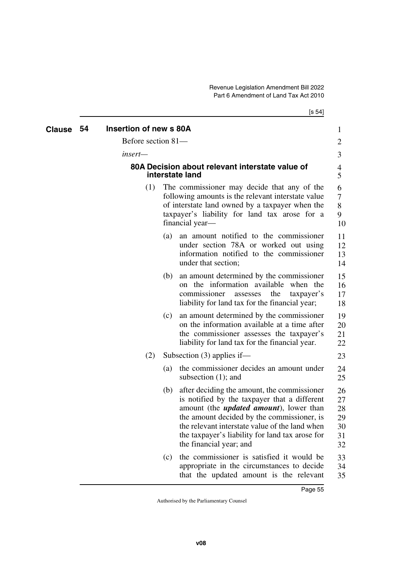| Clause | 54 | <b>Insertion of new s 80A</b> |     |                                                                                                                                                                                                                                                                                                                              | 1                                      |
|--------|----|-------------------------------|-----|------------------------------------------------------------------------------------------------------------------------------------------------------------------------------------------------------------------------------------------------------------------------------------------------------------------------------|----------------------------------------|
|        |    | Before section 81-            |     |                                                                                                                                                                                                                                                                                                                              | $\overline{2}$                         |
|        |    | insert—                       |     |                                                                                                                                                                                                                                                                                                                              | 3                                      |
|        |    |                               |     | 80A Decision about relevant interstate value of<br>interstate land                                                                                                                                                                                                                                                           | 4<br>5                                 |
|        |    | (1)                           |     | The commissioner may decide that any of the<br>following amounts is the relevant interstate value<br>of interstate land owned by a taxpayer when the<br>taxpayer's liability for land tax arose for a<br>financial year-                                                                                                     | 6<br>7<br>8<br>9<br>10                 |
|        |    |                               | (a) | an amount notified to the commissioner<br>under section 78A or worked out using<br>information notified to the commissioner<br>under that section;                                                                                                                                                                           | 11<br>12<br>13<br>14                   |
|        |    |                               | (b) | an amount determined by the commissioner<br>on the information available when the<br>commissioner<br>the<br>taxpayer's<br>assesses<br>liability for land tax for the financial year;                                                                                                                                         | 15<br>16<br>17<br>18                   |
|        |    |                               | (c) | an amount determined by the commissioner<br>on the information available at a time after<br>the commissioner assesses the taxpayer's<br>liability for land tax for the financial year.                                                                                                                                       | 19<br>20<br>21<br>22                   |
|        |    | (2)                           |     | Subsection $(3)$ applies if—                                                                                                                                                                                                                                                                                                 | 23                                     |
|        |    |                               | (a) | the commissioner decides an amount under<br>subsection $(1)$ ; and                                                                                                                                                                                                                                                           | 24<br>25                               |
|        |    |                               | (b) | after deciding the amount, the commissioner<br>is notified by the taxpayer that a different<br>amount (the <i>updated amount</i> ), lower than<br>the amount decided by the commissioner, is<br>the relevant interstate value of the land when<br>the taxpayer's liability for land tax arose for<br>the financial year; and | 26<br>27<br>28<br>29<br>30<br>31<br>32 |
|        |    |                               | (c) | the commissioner is satisfied it would be<br>appropriate in the circumstances to decide<br>that the updated amount is the relevant                                                                                                                                                                                           | 33<br>34<br>35                         |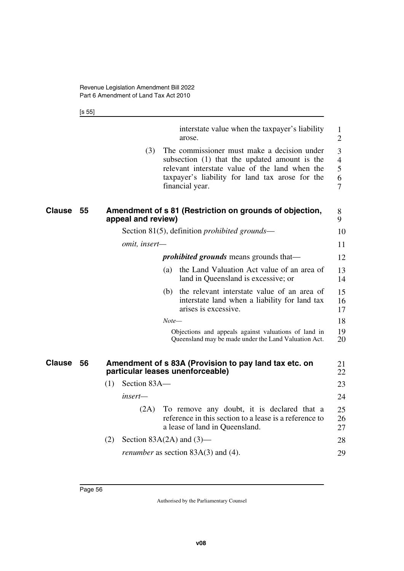[s 55]

|               |    |                     | interstate value when the taxpayer's liability<br>arose.                                                                                                                                                             | $\mathbf{1}$<br>$\overline{2}$     |
|---------------|----|---------------------|----------------------------------------------------------------------------------------------------------------------------------------------------------------------------------------------------------------------|------------------------------------|
|               |    | (3)                 | The commissioner must make a decision under<br>subsection (1) that the updated amount is the<br>relevant interstate value of the land when the<br>taxpayer's liability for land tax arose for the<br>financial year. | 3<br>$\overline{4}$<br>5<br>6<br>7 |
| <b>Clause</b> | 55 | appeal and review)  | Amendment of s 81 (Restriction on grounds of objection,                                                                                                                                                              | 8<br>9                             |
|               |    |                     | Section 81(5), definition <i>prohibited grounds</i> —                                                                                                                                                                | 10                                 |
|               |    | omit, insert-       |                                                                                                                                                                                                                      | 11                                 |
|               |    |                     | <i>prohibited grounds</i> means grounds that—                                                                                                                                                                        | 12                                 |
|               |    |                     | the Land Valuation Act value of an area of<br>(a)<br>land in Queensland is excessive; or                                                                                                                             | 13<br>14                           |
|               |    |                     | (b) the relevant interstate value of an area of<br>interstate land when a liability for land tax<br>arises is excessive.                                                                                             | 15<br>16<br>17                     |
|               |    |                     | $Note-$                                                                                                                                                                                                              | 18                                 |
|               |    |                     | Objections and appeals against valuations of land in<br>Queensland may be made under the Land Valuation Act.                                                                                                         | 19<br>20                           |
| <b>Clause</b> | 56 |                     | Amendment of s 83A (Provision to pay land tax etc. on<br>particular leases unenforceable)                                                                                                                            | 21<br>22                           |
|               |    | (1)<br>Section 83A- |                                                                                                                                                                                                                      | 23                                 |
|               |    | insert—             |                                                                                                                                                                                                                      | 24                                 |
|               |    | (2A)                | To remove any doubt, it is declared that a<br>reference in this section to a lease is a reference to<br>a lease of land in Queensland.                                                                               | 25<br>26<br>27                     |
|               |    | (2)                 | Section $83A(2A)$ and $(3)$ —                                                                                                                                                                                        | 28                                 |
|               |    |                     | <i>renumber</i> as section $83A(3)$ and (4).                                                                                                                                                                         | 29                                 |
|               |    |                     |                                                                                                                                                                                                                      |                                    |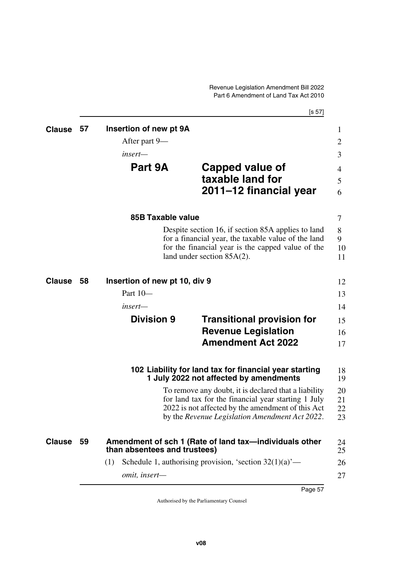|               |      |                               | [s 57]                                                                                                   |
|---------------|------|-------------------------------|----------------------------------------------------------------------------------------------------------|
| <b>Clause</b> | 57   | Insertion of new pt 9A        |                                                                                                          |
|               |      | After part 9—                 |                                                                                                          |
|               |      | insert—                       |                                                                                                          |
|               |      | Part 9A                       | Capped value of                                                                                          |
|               |      |                               | taxable land for                                                                                         |
|               |      |                               | 2011–12 financial year                                                                                   |
|               |      | <b>85B Taxable value</b>      |                                                                                                          |
|               |      |                               | Despite section 16, if section 85A applies to land                                                       |
|               |      |                               | for a financial year, the taxable value of the land<br>for the financial year is the capped value of the |
|               |      |                               | land under section 85A(2).                                                                               |
| <b>Clause</b> | - 58 | Insertion of new pt 10, div 9 |                                                                                                          |
|               |      | Part 10-                      |                                                                                                          |
|               |      | insert—                       |                                                                                                          |
|               |      | <b>Division 9</b>             | <b>Transitional provision for</b>                                                                        |
|               |      |                               | <b>Revenue Legislation</b>                                                                               |
|               |      |                               | <b>Amendment Act 2022</b>                                                                                |
|               |      |                               | 102 Liability for land tax for financial year starting<br>1 July 2022 not affected by amendments         |
|               |      |                               | To remove any doubt, it is declared that a liability                                                     |
|               |      |                               | for land tax for the financial year starting 1 July                                                      |
|               |      |                               | 2022 is not affected by the amendment of this Act<br>by the Revenue Legislation Amendment Act 2022.      |
| <b>Clause</b> | - 59 | than absentees and trustees)  | Amendment of sch 1 (Rate of land tax—individuals other                                                   |
|               |      |                               |                                                                                                          |
|               |      | (1)                           | Schedule 1, authorising provision, 'section $32(1)(a)$ '—                                                |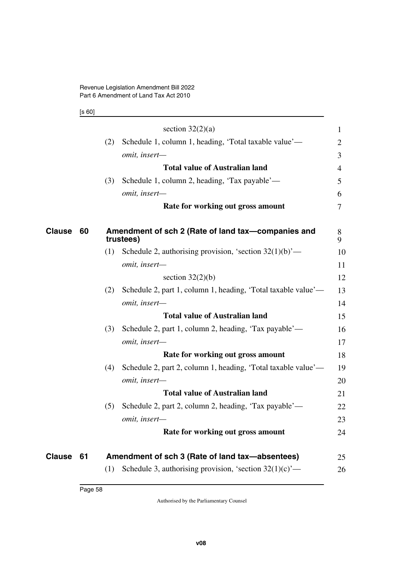[s 60]

|        |    |     | section $32(2)(a)$                                              | $\mathbf{1}$ |
|--------|----|-----|-----------------------------------------------------------------|--------------|
|        |    | (2) | Schedule 1, column 1, heading, 'Total taxable value'—           | 2            |
|        |    |     | omit, insert-                                                   | 3            |
|        |    |     | <b>Total value of Australian land</b>                           | 4            |
|        |    | (3) | Schedule 1, column 2, heading, 'Tax payable'—                   | 5            |
|        |    |     | omit, insert-                                                   | 6            |
|        |    |     | Rate for working out gross amount                               | 7            |
| Clause | 60 |     | Amendment of sch 2 (Rate of land tax-companies and<br>trustees) | 8<br>9       |
|        |    | (1) | Schedule 2, authorising provision, 'section $32(1)(b)$ '—       | 10           |
|        |    |     | omit, insert-                                                   | 11           |
|        |    |     | section $32(2)(b)$                                              | 12           |
|        |    | (2) | Schedule 2, part 1, column 1, heading, 'Total taxable value'—   | 13           |
|        |    |     | omit, insert-                                                   | 14           |
|        |    |     | <b>Total value of Australian land</b>                           | 15           |
|        |    | (3) | Schedule 2, part 1, column 2, heading, 'Tax payable'—           | 16           |
|        |    |     | omit, insert-                                                   | 17           |
|        |    |     | Rate for working out gross amount                               | 18           |
|        |    | (4) | Schedule 2, part 2, column 1, heading, 'Total taxable value'—   | 19           |
|        |    |     | omit, insert-                                                   | 20           |
|        |    |     | <b>Total value of Australian land</b>                           | 21           |
|        |    | (5) | Schedule 2, part 2, column 2, heading, 'Tax payable'—           | 22           |
|        |    |     | omit, insert-                                                   | 23           |
|        |    |     | Rate for working out gross amount                               | 24           |
| Clause | 61 |     | Amendment of sch 3 (Rate of land tax-absentees)                 | 25           |
|        |    | (1) | Schedule 3, authorising provision, 'section $32(1)(c)$ '—       | 26           |
|        |    |     |                                                                 |              |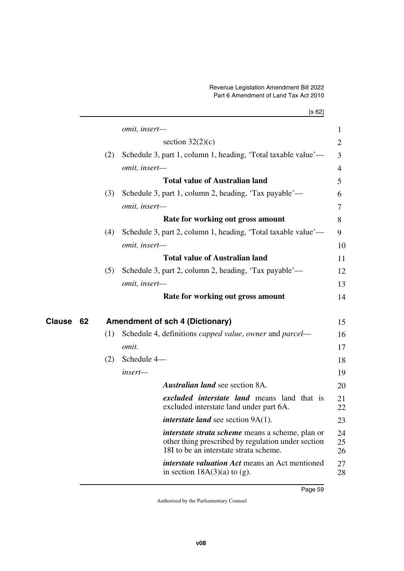|              |       |                                                                                                                                                         | [s 62] |
|--------------|-------|---------------------------------------------------------------------------------------------------------------------------------------------------------|--------|
|              |       | omit, insert-                                                                                                                                           |        |
|              |       | section $32(2)(c)$                                                                                                                                      |        |
|              | (2)   | Schedule 3, part 1, column 1, heading, 'Total taxable value'—                                                                                           |        |
|              |       | omit, insert-                                                                                                                                           |        |
|              |       | <b>Total value of Australian land</b>                                                                                                                   |        |
|              | (3)   | Schedule 3, part 1, column 2, heading, 'Tax payable'—                                                                                                   |        |
|              |       | omit, insert-                                                                                                                                           |        |
|              |       | Rate for working out gross amount                                                                                                                       |        |
|              | (4)   | Schedule 3, part 2, column 1, heading, 'Total taxable value'—                                                                                           |        |
|              |       | omit, insert-                                                                                                                                           |        |
|              |       | <b>Total value of Australian land</b>                                                                                                                   |        |
|              | (5)   | Schedule 3, part 2, column 2, heading, 'Tax payable'—                                                                                                   |        |
|              |       | omit, insert-                                                                                                                                           |        |
|              |       | Rate for working out gross amount                                                                                                                       |        |
| Clause<br>62 |       | <b>Amendment of sch 4 (Dictionary)</b>                                                                                                                  |        |
|              | (1)   | Schedule 4, definitions capped value, owner and parcel—                                                                                                 |        |
|              | omit. |                                                                                                                                                         |        |
|              | (2)   | Schedule 4-                                                                                                                                             |        |
|              |       | insert-                                                                                                                                                 |        |
|              |       | <b>Australian land see section 8A.</b>                                                                                                                  |        |
|              |       | <i>excluded interstate land</i> means land that is<br>excluded interstate land under part 6A.                                                           |        |
|              |       | <i>interstate land</i> see section 9A(1).                                                                                                               |        |
|              |       | <i>interstate strata scheme</i> means a scheme, plan or<br>other thing prescribed by regulation under section<br>18I to be an interstate strata scheme. |        |
|              |       | <i>interstate valuation Act</i> means an Act mentioned<br>in section $18A(3)(a)$ to (g).                                                                |        |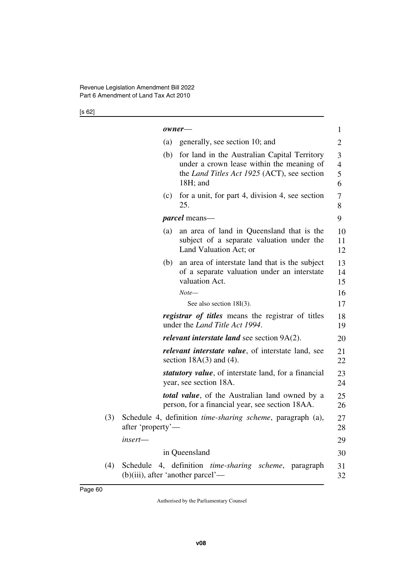[s 62]

|     |                   | owner-                                                                                                                                                  | $\mathbf{1}$                  |
|-----|-------------------|---------------------------------------------------------------------------------------------------------------------------------------------------------|-------------------------------|
|     | (a)               | generally, see section 10; and                                                                                                                          | $\overline{2}$                |
|     | (b)               | for land in the Australian Capital Territory<br>under a crown lease within the meaning of<br>the Land Titles Act 1925 (ACT), see section<br>$18H$ ; and | 3<br>$\overline{4}$<br>5<br>6 |
|     | (c)               | for a unit, for part 4, division 4, see section<br>25.                                                                                                  | 7<br>8                        |
|     |                   | <i>parcel</i> means—                                                                                                                                    | 9                             |
|     | (a)               | an area of land in Queensland that is the<br>subject of a separate valuation under the<br>Land Valuation Act; or                                        | 10<br>11<br>12                |
|     | (b)               | an area of interstate land that is the subject<br>of a separate valuation under an interstate<br>valuation Act.                                         | 13<br>14<br>15                |
|     |                   | Note—                                                                                                                                                   | 16                            |
|     |                   | See also section 18I(3).                                                                                                                                | 17                            |
|     |                   | <i>registrar of titles</i> means the registrar of titles<br>under the <i>Land Title Act 1994</i> .                                                      | 18<br>19                      |
|     |                   | <i>relevant interstate land</i> see section $9A(2)$ .                                                                                                   | 20                            |
|     |                   | <i>relevant interstate value,</i> of interstate land, see<br>section $18A(3)$ and (4).                                                                  | 21<br>22                      |
|     |                   | <i>statutory value,</i> of interstate land, for a financial<br>year, see section 18A.                                                                   | 23<br>24                      |
|     |                   | <i>total value</i> , of the Australian land owned by a<br>person, for a financial year, see section 18AA.                                               | 25<br>26                      |
| (3) | after 'property'— | Schedule 4, definition <i>time-sharing scheme</i> , paragraph (a),                                                                                      | 27<br>28                      |
|     | insert-           |                                                                                                                                                         | 29                            |
|     |                   | in Queensland                                                                                                                                           | 30                            |
| (4) |                   | Schedule 4, definition <i>time-sharing scheme</i> , paragraph<br>(b)(iii), after 'another parcel'—                                                      | 31<br>32                      |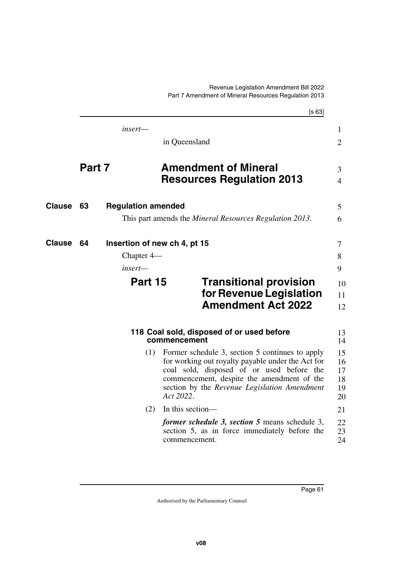|               |        |                              |                                                                                                                                                                                                                                                              | [s 63]                           |  |
|---------------|--------|------------------------------|--------------------------------------------------------------------------------------------------------------------------------------------------------------------------------------------------------------------------------------------------------------|----------------------------------|--|
|               |        | insert—                      |                                                                                                                                                                                                                                                              | 1                                |  |
|               |        |                              | in Queensland                                                                                                                                                                                                                                                | 2                                |  |
|               | Part 7 |                              | <b>Amendment of Mineral</b><br><b>Resources Regulation 2013</b>                                                                                                                                                                                              | 3<br>$\overline{4}$              |  |
| <b>Clause</b> | 63     | <b>Regulation amended</b>    |                                                                                                                                                                                                                                                              | 5                                |  |
|               |        |                              | This part amends the <i>Mineral Resources Regulation 2013</i> .                                                                                                                                                                                              | 6                                |  |
| <b>Clause</b> | 64     | Insertion of new ch 4, pt 15 |                                                                                                                                                                                                                                                              | 7                                |  |
|               |        | Chapter $4-$                 |                                                                                                                                                                                                                                                              | 8                                |  |
|               |        | insert—                      |                                                                                                                                                                                                                                                              | 9                                |  |
|               |        | Part 15                      | <b>Transitional provision</b><br>for Revenue Legislation<br><b>Amendment Act 2022</b>                                                                                                                                                                        | 10<br>11<br>12                   |  |
|               |        |                              | 118 Coal sold, disposed of or used before<br>commencement                                                                                                                                                                                                    | 13<br>14                         |  |
|               |        | (1)                          | Former schedule 3, section 5 continues to apply<br>for working out royalty payable under the Act for<br>coal sold, disposed of or used before the<br>commencement, despite the amendment of the<br>section by the Revenue Legislation Amendment<br>Act 2022. | 15<br>16<br>17<br>18<br>19<br>20 |  |
|               |        | (2)                          | In this section-                                                                                                                                                                                                                                             | 21                               |  |
|               |        |                              | <i>former schedule 3, section 5</i> means schedule 3,<br>section 5, as in force immediately before the<br>commencement.                                                                                                                                      | 22<br>23<br>24                   |  |
|               |        |                              |                                                                                                                                                                                                                                                              |                                  |  |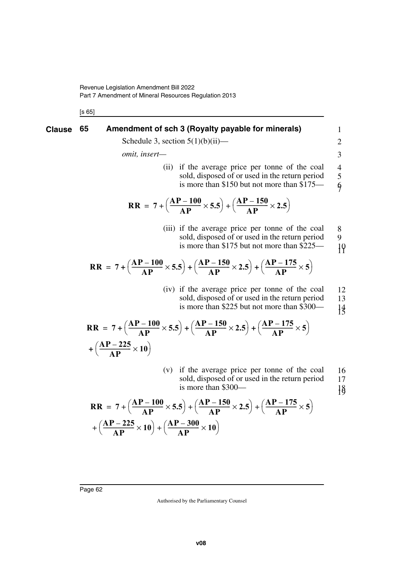[s 65]

## **Clause** 65 Amendment of sch 3 (Royalty payable for minerals) 1

Schedule 3, section  $5(1)(b)(ii)$ —

*omit, insert—*

(ii) if the average price per tonne of the coal sold, disposed of or used in the return period is more than \$150 but not more than \$175— 4 5 6 7

2 3

$$
RR = 7 + \left(\frac{AP - 100}{AP} \times 5.5\right) + \left(\frac{AP - 150}{AP} \times 2.5\right)
$$

(iii) if the average price per tonne of the coal sold, disposed of or used in the return period is more than \$175 but not more than \$225— 8 9 10 11

$$
RR = 7 + \left(\frac{AP - 100}{AP} \times 5.5\right) + \left(\frac{AP - 150}{AP} \times 2.5\right) + \left(\frac{AP - 175}{AP} \times 5\right)
$$

(iv) if the average price per tonne of the coal sold, disposed of or used in the return period is more than \$225 but not more than \$300— 12 13 14 15

$$
RR = 7 + \left(\frac{AP - 100}{AP} \times 5.5\right) + \left(\frac{AP - 150}{AP} \times 2.5\right) + \left(\frac{AP - 175}{AP} \times 5\right) + \left(\frac{AP - 225}{AP} \times 10\right)
$$

(v) if the average price per tonne of the coal sold, disposed of or used in the return period is more than \$300— 16 17 18 19

$$
RR = 7 + \left(\frac{AP - 100}{AP} \times 5.5\right) + \left(\frac{AP - 150}{AP} \times 2.5\right) + \left(\frac{AP - 175}{AP} \times 5\right) + \left(\frac{AP - 225}{AP} \times 10\right) + \left(\frac{AP - 300}{AP} \times 10\right)
$$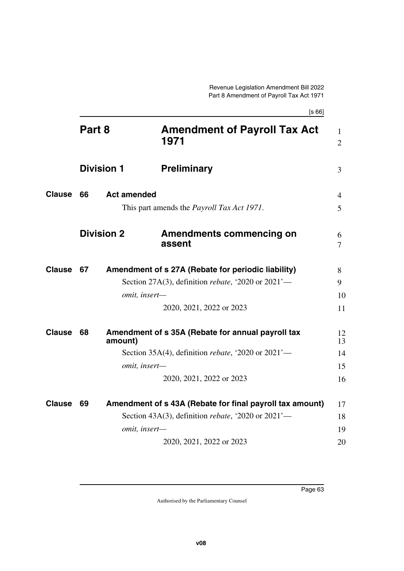|               | Part 8            |                    | <b>Amendment of Payroll Tax Act</b><br>1971                   | $\mathbf{1}$<br>$\overline{2}$ |
|---------------|-------------------|--------------------|---------------------------------------------------------------|--------------------------------|
|               | <b>Division 1</b> |                    | <b>Preliminary</b>                                            | 3                              |
| <b>Clause</b> | 66                | <b>Act amended</b> |                                                               | $\overline{4}$                 |
|               |                   |                    | This part amends the <i>Payroll Tax Act 1971</i> .            | 5                              |
|               |                   | <b>Division 2</b>  | <b>Amendments commencing on</b><br>assent                     | 6<br>7                         |
| <b>Clause</b> | 67                |                    | Amendment of s 27A (Rebate for periodic liability)            | 8                              |
|               |                   |                    | Section 27A(3), definition <i>rebate</i> , '2020 or $2021'$ — | 9                              |
|               |                   | omit, insert-      |                                                               | 10                             |
|               |                   |                    | 2020, 2021, 2022 or 2023                                      | 11                             |
| <b>Clause</b> | 68                | amount)            | Amendment of s 35A (Rebate for annual payroll tax             | 12<br>13                       |
|               |                   |                    | Section 35A(4), definition <i>rebate</i> , '2020 or $2021'$ — | 14                             |
|               |                   | omit, insert-      |                                                               | 15                             |
|               |                   |                    | 2020, 2021, 2022 or 2023                                      | 16                             |
| <b>Clause</b> | 69                |                    | Amendment of s 43A (Rebate for final payroll tax amount)      | 17                             |
|               |                   |                    | Section 43A(3), definition <i>rebate</i> , '2020 or $2021'$ — | 18                             |
|               |                   | omit, insert-      |                                                               | 19                             |
|               |                   |                    | 2020, 2021, 2022 or 2023                                      | 20                             |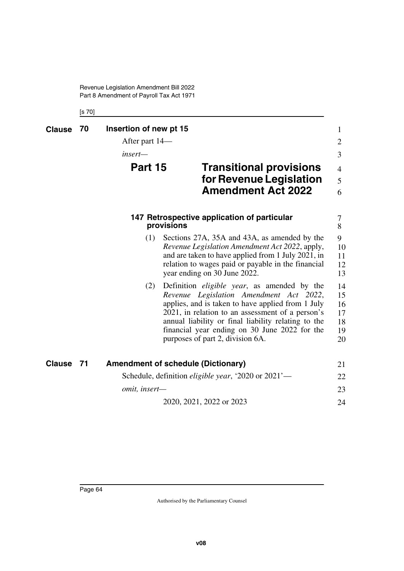Revenue Legislation Amendment Bill 2022 Part 8 Amendment of Payroll Tax Act 1971

[s 70]

| <b>Clause</b> | 70   | Insertion of new pt 15<br>After part 14—<br>insert—<br><b>Part 15</b> |                              | <b>Transitional provisions</b><br>for Revenue Legislation<br><b>Amendment Act 2022</b>                                                                                                                                                                                                                                                              | $\mathbf{1}$<br>$\overline{2}$<br>3<br>$\overline{4}$<br>5<br>6 |
|---------------|------|-----------------------------------------------------------------------|------------------------------|-----------------------------------------------------------------------------------------------------------------------------------------------------------------------------------------------------------------------------------------------------------------------------------------------------------------------------------------------------|-----------------------------------------------------------------|
|               |      |                                                                       | provisions                   | 147 Retrospective application of particular                                                                                                                                                                                                                                                                                                         | 7<br>8                                                          |
|               |      | (1)                                                                   | year ending on 30 June 2022. | Sections 27A, 35A and 43A, as amended by the<br>Revenue Legislation Amendment Act 2022, apply,<br>and are taken to have applied from 1 July 2021, in<br>relation to wages paid or payable in the financial                                                                                                                                          | 9<br>10<br>11<br>12<br>13                                       |
|               |      | (2)                                                                   |                              | Definition <i>eligible year</i> , as amended by the<br>Revenue Legislation Amendment Act 2022,<br>applies, and is taken to have applied from 1 July<br>2021, in relation to an assessment of a person's<br>annual liability or final liability relating to the<br>financial year ending on 30 June 2022 for the<br>purposes of part 2, division 6A. | 14<br>15<br>16<br>17<br>18<br>19<br>20                          |
| <b>Clause</b> | - 71 | <b>Amendment of schedule (Dictionary)</b>                             |                              |                                                                                                                                                                                                                                                                                                                                                     | 21                                                              |
|               |      |                                                                       |                              | Schedule, definition <i>eligible year</i> , '2020 or 2021'—                                                                                                                                                                                                                                                                                         | 22                                                              |
|               |      | omit, insert-                                                         |                              |                                                                                                                                                                                                                                                                                                                                                     | 23                                                              |
|               |      |                                                                       | 2020, 2021, 2022 or 2023     |                                                                                                                                                                                                                                                                                                                                                     | 24                                                              |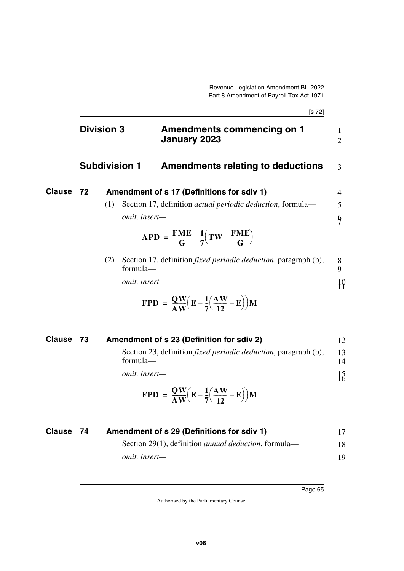|        |                      |               |                                                                                                | [s 72] |                     |
|--------|----------------------|---------------|------------------------------------------------------------------------------------------------|--------|---------------------|
|        | <b>Division 3</b>    |               | Amendments commencing on 1<br><b>January 2023</b>                                              |        | 1<br>$\overline{2}$ |
|        | <b>Subdivision 1</b> |               | Amendments relating to deductions                                                              |        | 3                   |
| Clause | 72                   |               | Amendment of s 17 (Definitions for sdiv 1)                                                     |        | 4                   |
|        | (1)                  |               | Section 17, definition <i>actual periodic deduction</i> , formula—                             |        | 5                   |
|        |                      | omit, insert- |                                                                                                |        | $\frac{6}{7}$       |
|        |                      |               | $APD = \frac{FME}{G} - \frac{1}{7}(TW - \frac{FME}{G})$                                        |        |                     |
|        | (2)                  | formula-      | Section 17, definition <i>fixed periodic deduction</i> , paragraph (b),                        |        | 8<br>9              |
|        |                      | omit, insert- |                                                                                                |        |                     |
|        |                      |               | $\text{FPD} = \frac{QW}{4W} \left( E - \frac{1}{7} \left( \frac{AW}{12} - E \right) \right) M$ |        |                     |

| Clause 73 | Amendment of s 23 (Definition for sdiv 2)                                                                        | 12              |
|-----------|------------------------------------------------------------------------------------------------------------------|-----------------|
|           | Section 23, definition <i>fixed periodic deduction</i> , paragraph (b),<br>formula—                              | 13<br>14        |
|           | <i>omit, insert—</i>                                                                                             | $\frac{15}{16}$ |
|           | $\text{FPD} = \frac{QW}{AW} \left( \mathbf{E} - \frac{1}{7} \left( \frac{AW}{12} - \mathbf{E} \right) \right) M$ |                 |

| <b>Clause 74</b> | Amendment of s 29 (Definitions for sdiv 1)                   |    |
|------------------|--------------------------------------------------------------|----|
|                  | Section 29(1), definition <i>annual deduction</i> , formula— | 18 |
|                  | <i>omit, insert—</i>                                         | 19 |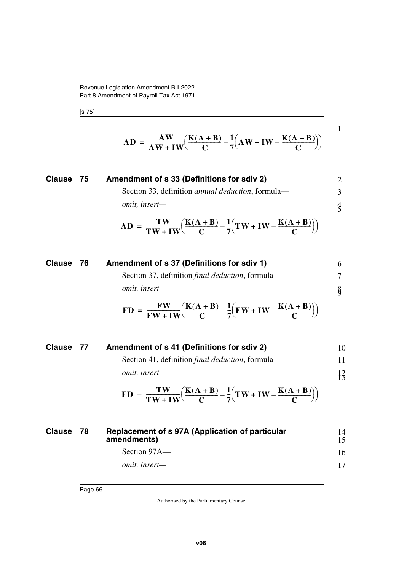Revenue Legislation Amendment Bill 2022 Part 8 Amendment of Payroll Tax Act 1971

[s 75]

$$
AD = \frac{AW}{AW + IW} \left( \frac{K(A + B)}{C} - \frac{1}{7} \left( AW + IW - \frac{K(A + B)}{C} \right) \right)
$$

1

| Clause 75                                                                                                             | Amendment of s 33 (Definitions for sdiv 2)                      | 2  |
|-----------------------------------------------------------------------------------------------------------------------|-----------------------------------------------------------------|----|
| Section 33, definition annual deduction, formula—                                                                     | 3                                                               |    |
| <i>omit, insert</i> —                                                                                                 | 4                                                               |    |
| $AD = \frac{TW}{TW + IW} \left( \frac{K(A + B)}{C} - \frac{1}{7} \left( TW + IW - \frac{K(A + B)}{C} \right) \right)$ |                                                                 |    |
| Clause 76                                                                                                             | Amendment of s 37 (Definitions for sdiv 1)                      | 6  |
| Section 37, definition final deduction, formula—                                                                      | 7                                                               |    |
| <i>emit, insert</i> —                                                                                                 | 8                                                               |    |
| $FD = \frac{FW}{FW + IW} \left( \frac{K(A + B)}{C} - \frac{1}{7} \left( FW + IW - \frac{K(A + B)}{C} \right) \right)$ |                                                                 |    |
| Clause 77                                                                                                             | Amendment of s 41 (Definitions for sdiv 2)                      | 10 |
| Section 41, definition final deduction, formula—                                                                      | 11                                                              |    |
| <i>emit, insert</i> —                                                                                                 | 13                                                              |    |
| $FD = \frac{TW}{TW + IW} \left( \frac{K(A + B)}{C} - \frac{1}{7} \left( TW + IW - \frac{K(A + B)}{C} \right) \right)$ |                                                                 |    |
| Clause 78                                                                                                             | Repla cement of s 97A (Application of particular<br>amendments) | 14 |
| Section 97A—                                                                                                          | 16                                                              |    |
| <i>emit, insert</i> —                                                                                                 | 17                                                              |    |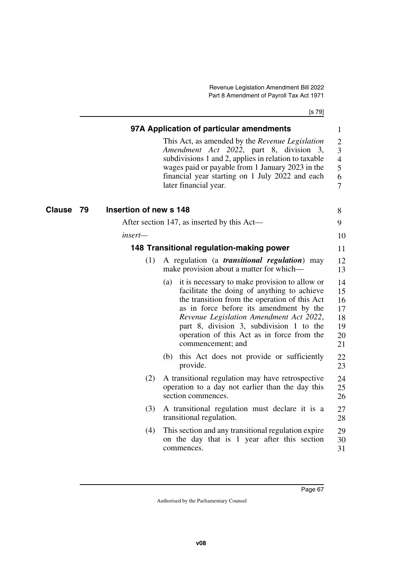[s 79]

|              |                        | 97A Application of particular amendments                                                                                                                                                                                                                                                                                                                  | $\mathbf{1}$                                                      |
|--------------|------------------------|-----------------------------------------------------------------------------------------------------------------------------------------------------------------------------------------------------------------------------------------------------------------------------------------------------------------------------------------------------------|-------------------------------------------------------------------|
|              |                        | This Act, as amended by the Revenue Legislation<br>Amendment Act 2022, part 8, division 3,<br>subdivisions 1 and 2, applies in relation to taxable<br>wages paid or payable from 1 January 2023 in the<br>financial year starting on 1 July 2022 and each<br>later financial year.                                                                        | $\overline{2}$<br>3<br>$\overline{4}$<br>5<br>6<br>$\overline{7}$ |
| Clause<br>79 | Insertion of new s 148 |                                                                                                                                                                                                                                                                                                                                                           | 8                                                                 |
|              |                        | After section 147, as inserted by this Act-                                                                                                                                                                                                                                                                                                               | 9                                                                 |
|              | insert-                |                                                                                                                                                                                                                                                                                                                                                           | 10                                                                |
|              |                        | 148 Transitional regulation-making power                                                                                                                                                                                                                                                                                                                  | 11                                                                |
|              | (1)                    | A regulation (a <i>transitional regulation</i> ) may<br>make provision about a matter for which—                                                                                                                                                                                                                                                          | 12<br>13                                                          |
|              |                        | it is necessary to make provision to allow or<br>(a)<br>facilitate the doing of anything to achieve<br>the transition from the operation of this Act<br>as in force before its amendment by the<br>Revenue Legislation Amendment Act 2022,<br>part 8, division 3, subdivision 1 to the<br>operation of this Act as in force from the<br>commencement; and | 14<br>15<br>16<br>17<br>18<br>19<br>20<br>21                      |
|              |                        | this Act does not provide or sufficiently<br>(b)<br>provide.                                                                                                                                                                                                                                                                                              | 22<br>23                                                          |
|              | (2)                    | A transitional regulation may have retrospective<br>operation to a day not earlier than the day this<br>section commences.                                                                                                                                                                                                                                | 24<br>25<br>26                                                    |
|              | (3)                    | A transitional regulation must declare it is a<br>transitional regulation.                                                                                                                                                                                                                                                                                | 27<br>28                                                          |
|              | (4)                    | This section and any transitional regulation expire<br>on the day that is 1 year after this section<br>commences.                                                                                                                                                                                                                                         | 29<br>30<br>31                                                    |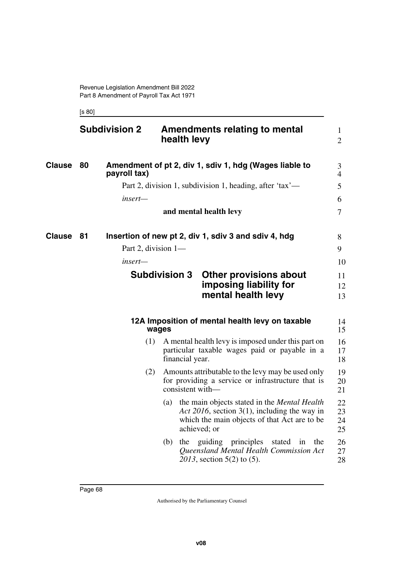[s 80]

|               | <b>Subdivision 2</b> |                      | health levy      | <b>Amendments relating to mental</b>                                                                                                                |              |     | $\mathbf{1}$<br>$\overline{2}$ |
|---------------|----------------------|----------------------|------------------|-----------------------------------------------------------------------------------------------------------------------------------------------------|--------------|-----|--------------------------------|
| <b>Clause</b> | 80<br>payroll tax)   |                      |                  | Amendment of pt 2, div 1, sdiv 1, hdg (Wages liable to                                                                                              |              |     | 3<br>$\overline{4}$            |
|               |                      |                      |                  | Part 2, division 1, subdivision 1, heading, after 'tax'—                                                                                            |              |     | 5                              |
|               |                      | insert—              |                  |                                                                                                                                                     |              |     | 6                              |
|               |                      |                      |                  | and mental health levy                                                                                                                              |              |     | $\overline{7}$                 |
| Clause        | 81                   |                      |                  | Insertion of new pt 2, div 1, sdiv 3 and sdiv 4, hdg                                                                                                |              |     | 8                              |
|               |                      | Part 2, division 1-  |                  |                                                                                                                                                     |              |     | 9                              |
|               |                      | insert—              |                  |                                                                                                                                                     |              |     | 10                             |
|               |                      | <b>Subdivision 3</b> |                  | <b>Other provisions about</b><br>imposing liability for<br>mental health levy                                                                       |              |     | 11<br>12<br>13                 |
|               |                      | wages                |                  | 12A Imposition of mental health levy on taxable                                                                                                     |              |     | 14<br>15                       |
|               |                      | (1)                  | financial year.  | A mental health levy is imposed under this part on<br>particular taxable wages paid or payable in a                                                 |              |     | 16<br>17<br>18                 |
|               |                      | (2)                  | consistent with- | Amounts attributable to the levy may be used only<br>for providing a service or infrastructure that is                                              |              |     | 19<br>20<br>21                 |
|               |                      | (a)                  | achieved; or     | the main objects stated in the <i>Mental Health</i><br>Act 2016, section 3(1), including the way in<br>which the main objects of that Act are to be |              |     | 22<br>23<br>24<br>25           |
|               |                      | (b)                  | the              | guiding principles<br>Queensland Mental Health Commission Act<br>2013, section 5(2) to (5).                                                         | stated<br>in | the | 26<br>27<br>28                 |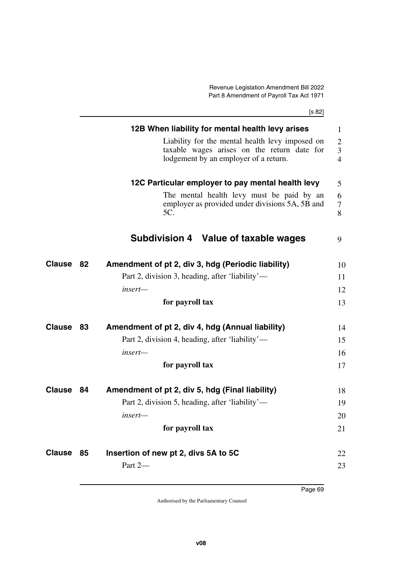[s 82]

|                  |    | 12B When liability for mental health levy arises<br>Liability for the mental health levy imposed on<br>taxable wages arises on the return date for<br>lodgement by an employer of a return. | 1<br>$\overline{2}$<br>3<br>$\overline{4}$ |
|------------------|----|---------------------------------------------------------------------------------------------------------------------------------------------------------------------------------------------|--------------------------------------------|
|                  |    | 12C Particular employer to pay mental health levy<br>The mental health levy must be paid by an<br>employer as provided under divisions 5A, 5B and<br>5C.                                    | 5<br>6<br>7<br>8                           |
|                  |    | Subdivision 4 Value of taxable wages                                                                                                                                                        | 9                                          |
| <b>Clause 82</b> |    | Amendment of pt 2, div 3, hdg (Periodic liability)                                                                                                                                          | 10                                         |
|                  |    | Part 2, division 3, heading, after 'liability'—                                                                                                                                             | 11                                         |
|                  |    | insert-                                                                                                                                                                                     | 12                                         |
|                  |    | for payroll tax                                                                                                                                                                             | 13                                         |
| Clause           | 83 | Amendment of pt 2, div 4, hdg (Annual liability)                                                                                                                                            | 14                                         |
|                  |    | Part 2, division 4, heading, after 'liability'—                                                                                                                                             | 15                                         |
|                  |    | insert—                                                                                                                                                                                     | 16                                         |
|                  |    | for payroll tax                                                                                                                                                                             | 17                                         |
| Clause           | 84 | Amendment of pt 2, div 5, hdg (Final liability)                                                                                                                                             | 18                                         |
|                  |    | Part 2, division 5, heading, after 'liability'—                                                                                                                                             | 19                                         |
|                  |    | insert—                                                                                                                                                                                     | 20                                         |
|                  |    | for payroll tax                                                                                                                                                                             | 21                                         |
| Clause           | 85 | Insertion of new pt 2, divs 5A to 5C                                                                                                                                                        | 22                                         |
|                  |    | Part 2-                                                                                                                                                                                     | 23                                         |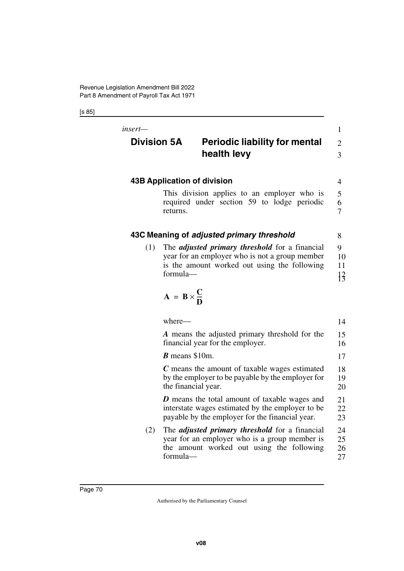[s 85]

| insert-<br><b>Division 5A</b>                        | <b>Periodic liability for mental</b><br>health levy                                                                                                                                               | $\mathbf{1}$<br>$\overline{2}$<br>$\overline{3}$ |  |  |
|------------------------------------------------------|---------------------------------------------------------------------------------------------------------------------------------------------------------------------------------------------------|--------------------------------------------------|--|--|
| <b>43B Application of division</b><br>$\overline{4}$ |                                                                                                                                                                                                   |                                                  |  |  |
|                                                      | This division applies to an employer who is<br>required under section 59 to lodge periodic<br>returns.                                                                                            | 5<br>6<br>$\overline{7}$                         |  |  |
|                                                      | 43C Meaning of adjusted primary threshold                                                                                                                                                         | 8                                                |  |  |
| (1)                                                  | The <i>adjusted primary threshold</i> for a financial<br>year for an employer who is not a group member<br>is the amount worked out using the following<br>formula-<br>$A = B \times \frac{C}{D}$ | 9<br>10<br>11<br>$\frac{12}{3}$                  |  |  |
|                                                      | where-                                                                                                                                                                                            | 14                                               |  |  |
|                                                      | A means the adjusted primary threshold for the<br>financial year for the employer.                                                                                                                | 15<br>16                                         |  |  |
|                                                      | $B$ means \$10m.                                                                                                                                                                                  | 17                                               |  |  |
|                                                      | C means the amount of taxable wages estimated<br>by the employer to be payable by the employer for<br>the financial year.                                                                         | 18<br>19<br>20                                   |  |  |
|                                                      | <b>D</b> means the total amount of taxable wages and<br>interstate wages estimated by the employer to be<br>payable by the employer for the financial year.                                       | 21<br>22<br>23                                   |  |  |
| (2)                                                  | The <i>adjusted primary threshold</i> for a financial<br>year for an employer who is a group member is<br>the amount worked out using the following<br>formula-                                   | 24<br>25<br>26<br>27                             |  |  |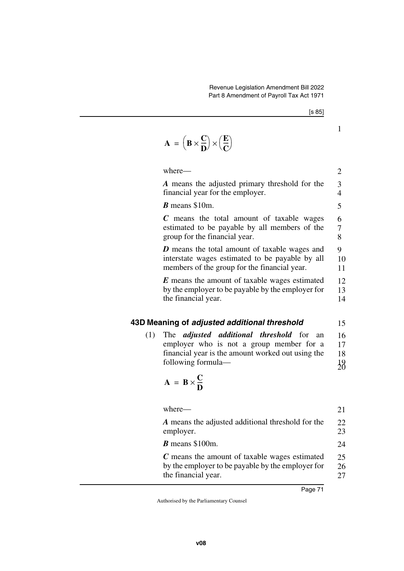1

| $\Delta$ |  | $= \left( \mathbf{B} \times \frac{\mathbf{C}}{\mathbf{D}} \right) \times \left( \frac{\mathbf{E}}{\mathbf{C}} \right)$ |  |  |
|----------|--|------------------------------------------------------------------------------------------------------------------------|--|--|
|----------|--|------------------------------------------------------------------------------------------------------------------------|--|--|

|     | where-                                                                                                                                                                                                  | $\mathbf{2}$                      |
|-----|---------------------------------------------------------------------------------------------------------------------------------------------------------------------------------------------------------|-----------------------------------|
|     | A means the adjusted primary threshold for the<br>financial year for the employer.                                                                                                                      | 3<br>$\overline{4}$               |
|     | $\boldsymbol{B}$ means \$10m.                                                                                                                                                                           | 5                                 |
|     | $C$ means the total amount of taxable wages<br>estimated to be payable by all members of the<br>group for the financial year.                                                                           | 6<br>$\overline{7}$<br>8          |
|     | <b>D</b> means the total amount of taxable wages and<br>interstate wages estimated to be payable by all<br>members of the group for the financial year.                                                 | 9<br>10<br>11                     |
|     | <b>E</b> means the amount of taxable wages estimated<br>by the employer to be payable by the employer for<br>the financial year.                                                                        | 12<br>13<br>14                    |
|     | 43D Meaning of adjusted additional threshold                                                                                                                                                            | 15                                |
| (1) | The <i>adjusted additional threshold</i> for<br>an<br>employer who is not a group member for a<br>financial year is the amount worked out using the<br>following formula—<br>$A = B \times \frac{C}{D}$ | 16<br>17<br>18<br>$\frac{19}{20}$ |
|     | where-                                                                                                                                                                                                  | 21                                |
|     | A means the adjusted additional threshold for the<br>employer.                                                                                                                                          | 22<br>23                          |
|     | $\boldsymbol{B}$ means \$100m.                                                                                                                                                                          | 24                                |
|     | C means the amount of taxable wages estimated                                                                                                                                                           | つく                                |

*C* means the amount of taxable wages estimated by the employer to be payable by the employer for the financial year. 25 26 27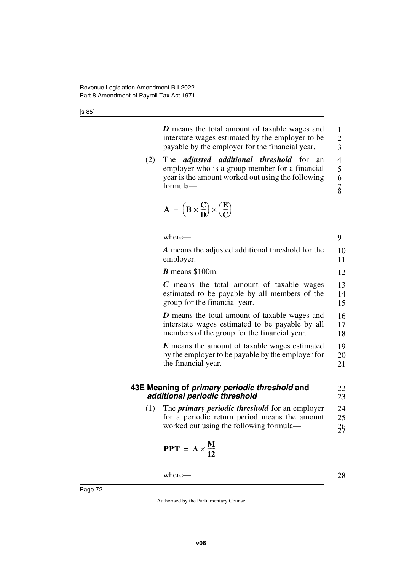*D* means the total amount of taxable wages and interstate wages estimated by the employer to be payable by the employer for the financial year. 1 2 3

(2) The *adjusted additional threshold* for an employer who is a group member for a financial year is the amount worked out using the following formula— 4 5 6 7 8

$$
\mathbf{A} = \left(\mathbf{B} \times \frac{\mathbf{C}}{\mathbf{D}}\right) \times \left(\frac{\mathbf{E}}{\mathbf{C}}\right)
$$

where— *A* means the adjusted additional threshold for the employer. *B* means \$100m. *C* means the total amount of taxable wages estimated to be payable by all members of the group for the financial year. *D* means the total amount of taxable wages and interstate wages estimated to be payable by all members of the group for the financial year. *E* means the amount of taxable wages estimated by the employer to be payable by the employer for the financial year. **43E Meaning of** *primary periodic threshold* **and**  *additional periodic threshold* 9 10 11 12 13 14 15 16 17 18 19 20 21 22 23 24

(1) The *primary periodic threshold* for an employer for a periodic return period means the amount worked out using the following formula— 25 26 27

$$
PPT = A \times \frac{M}{12}
$$

where—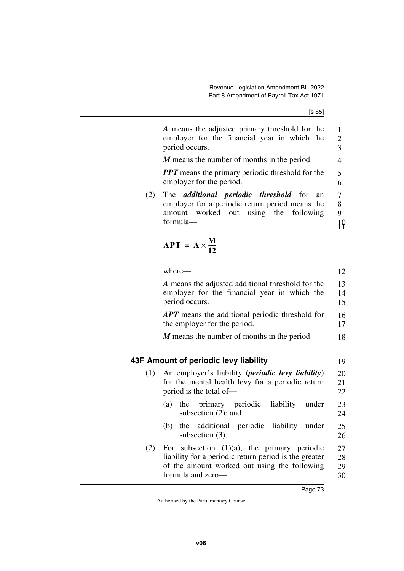|                                                                                                                     | A means the adjusted primary threshold for the<br>employer for the financial year in which the<br>period occurs.                                                             | 1<br>$\overline{c}$<br>$\overline{\mathbf{3}}$ |
|---------------------------------------------------------------------------------------------------------------------|------------------------------------------------------------------------------------------------------------------------------------------------------------------------------|------------------------------------------------|
|                                                                                                                     | M means the number of months in the period.                                                                                                                                  | $\overline{4}$                                 |
|                                                                                                                     | <b>PPT</b> means the primary periodic threshold for the<br>employer for the period.                                                                                          | 5<br>6                                         |
| (2)                                                                                                                 | The <i>additional</i> periodic threshold<br>for<br>an<br>employer for a periodic return period means the<br>amount worked out using the<br>following<br>formula-             | 7<br>8<br>9<br>19                              |
|                                                                                                                     | $APT = A \times \frac{M}{12}$                                                                                                                                                |                                                |
|                                                                                                                     | where-                                                                                                                                                                       | 12                                             |
| A means the adjusted additional threshold for the<br>employer for the financial year in which the<br>period occurs. |                                                                                                                                                                              |                                                |
|                                                                                                                     | <b>APT</b> means the additional periodic threshold for<br>the employer for the period.                                                                                       | 16<br>17                                       |
|                                                                                                                     | M means the number of months in the period.                                                                                                                                  | 18                                             |
|                                                                                                                     |                                                                                                                                                                              |                                                |
|                                                                                                                     | 43F Amount of periodic levy liability                                                                                                                                        | 19                                             |
| (1)                                                                                                                 | An employer's liability ( <i>periodic levy liability</i> )<br>for the mental health levy for a periodic return<br>period is the total of-                                    | 20<br>21<br>22                                 |
|                                                                                                                     | the primary periodic<br>liability<br>under<br>(a)<br>subsection $(2)$ ; and                                                                                                  | 23<br>24                                       |
|                                                                                                                     | additional<br>periodic liability under<br>(b)<br>the<br>subsection (3).                                                                                                      | 25<br>26                                       |
| (2)                                                                                                                 | For subsection $(1)(a)$ , the primary periodic<br>liability for a periodic return period is the greater<br>of the amount worked out using the following<br>formula and zero- | 27<br>28<br>29<br>30                           |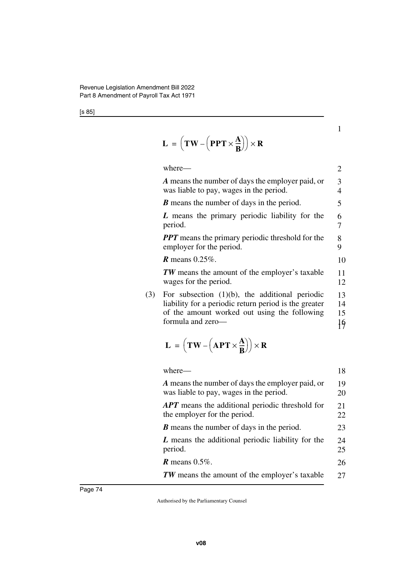$$
L = \left(TW - \left(PPT \times \frac{A}{B}\right)\right) \times R
$$

where— *A* means the number of days the employer paid, or was liable to pay, wages in the period. *B* means the number of days in the period. *L* means the primary periodic liability for the period. *PPT* means the primary periodic threshold for the employer for the period. *R* means 0.25%. *TW* means the amount of the employer's taxable wages for the period. (3) For subsection (1)(b), the additional periodic liability for a periodic return period is the greater of the amount worked out using the following 2 3 4 5 6 7 8 9 10 11 12 13 14 15

1

16 17

$$
L = \left(TW - \left(APT \times \frac{A}{B}\right)\right) \times R
$$

formula and zero—

| where—                                                                                      | 18       |
|---------------------------------------------------------------------------------------------|----------|
| A means the number of days the employer paid, or<br>was liable to pay, wages in the period. | 19<br>20 |
| <b>APT</b> means the additional periodic threshold for<br>the employer for the period.      | 21<br>22 |
| <b>B</b> means the number of days in the period.                                            | 23       |
| L means the additional periodic liability for the<br>period.                                | 24<br>25 |
| $R$ means 0.5%.                                                                             | 26       |
| <b>TW</b> means the amount of the employer's taxable                                        | 27       |
|                                                                                             |          |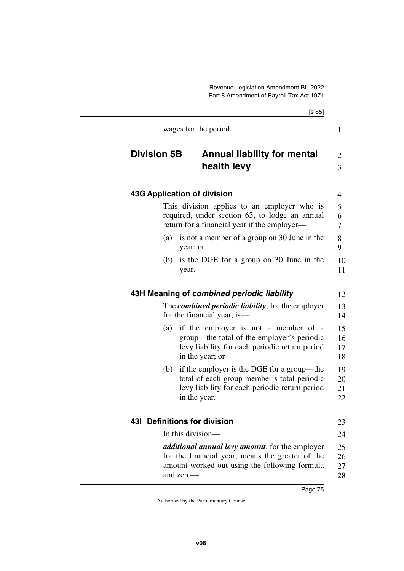|                    | [s 85]                                                                                                                                                                    |  |
|--------------------|---------------------------------------------------------------------------------------------------------------------------------------------------------------------------|--|
|                    | wages for the period.                                                                                                                                                     |  |
| <b>Division 5B</b> | <b>Annual liability for mental</b><br>health levy                                                                                                                         |  |
|                    | 43G Application of division                                                                                                                                               |  |
|                    | This division applies to an employer who is<br>required, under section 63, to lodge an annual<br>return for a financial year if the employer—                             |  |
| (a)                | is not a member of a group on 30 June in the<br>year; or                                                                                                                  |  |
| (b)                | is the DGE for a group on 30 June in the<br>year.                                                                                                                         |  |
|                    | 43H Meaning of combined periodic liability                                                                                                                                |  |
|                    | The <b><i>combined periodic liability</i></b> , for the employer<br>for the financial year, is—                                                                           |  |
| (a)                | if the employer is not a member of a<br>group—the total of the employer's periodic<br>levy liability for each periodic return period<br>in the year; or                   |  |
| (b)                | if the employer is the DGE for a group—the<br>total of each group member's total periodic<br>levy liability for each periodic return period<br>in the year.               |  |
|                    | <b>431 Definitions for division</b>                                                                                                                                       |  |
|                    | In this division-                                                                                                                                                         |  |
|                    | <i>additional annual levy amount</i> , for the employer<br>for the financial year, means the greater of the<br>amount worked out using the following formula<br>and zero- |  |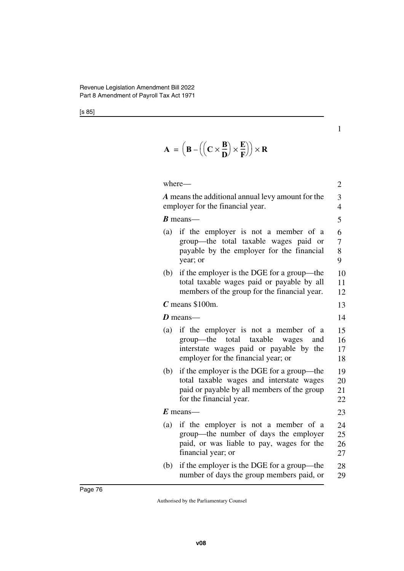$$
\mathbf{A} = \left( \mathbf{B} - \left( \left( \mathbf{C} \times \frac{\mathbf{B}}{\mathbf{D}} \right) \times \frac{\mathbf{E}}{\mathbf{F}} \right) \right) \times \mathbf{R}
$$

|          | where-                                                                                                                                                            | $\overline{c}$       |  |
|----------|-------------------------------------------------------------------------------------------------------------------------------------------------------------------|----------------------|--|
|          | A means the additional annual levy amount for the<br>employer for the financial year.                                                                             | 3<br>$\overline{4}$  |  |
|          | $\boldsymbol{B}$ means—                                                                                                                                           | 5                    |  |
| (a)      | if the employer is not a member of a<br>group—the total taxable wages paid or<br>payable by the employer for the financial<br>year; or                            | 6<br>7<br>8<br>9     |  |
| (b)      | if the employer is the DGE for a group—the<br>total taxable wages paid or payable by all<br>members of the group for the financial year.                          | 10<br>11<br>12       |  |
|          | $C$ means \$100m.                                                                                                                                                 | 13                   |  |
| D means— |                                                                                                                                                                   |                      |  |
| (a)      | if the employer is not a member of a<br>group—the<br>total taxable wages<br>and<br>interstate wages paid or payable by the<br>employer for the financial year; or | 15<br>16<br>17<br>18 |  |
| (b)      | if the employer is the DGE for a group—the<br>total taxable wages and interstate wages<br>paid or payable by all members of the group<br>for the financial year.  | 19<br>20<br>21<br>22 |  |
|          | $E$ means-                                                                                                                                                        | 23                   |  |
| (a)      | if the employer is not a member of a<br>group—the number of days the employer<br>paid, or was liable to pay, wages for the<br>financial year; or                  | 24<br>25<br>26<br>27 |  |
| (b)      | if the employer is the DGE for a group—the<br>number of days the group members paid, or                                                                           | 28<br>29             |  |

1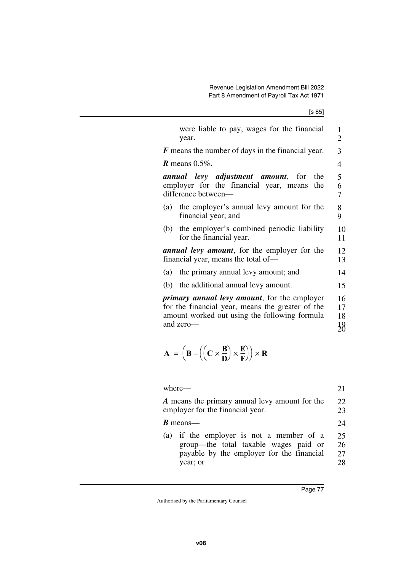| were liable to pay, wages for the financial<br>year.                                                                                                                   | 1<br>$\overline{2}$ |
|------------------------------------------------------------------------------------------------------------------------------------------------------------------------|---------------------|
| <b>F</b> means the number of days in the financial year.                                                                                                               | 3                   |
| <b>R</b> means $0.5\%$ .                                                                                                                                               | $\overline{4}$      |
| <i>annual levy adjustment amount</i> , for<br>the<br>employer for the financial year, means<br>the<br>difference between—                                              | 5<br>6<br>7         |
| (a) the employer's annual levy amount for the<br>financial year; and                                                                                                   | 8<br>9              |
| (b) the employer's combined periodic liability<br>for the financial year.                                                                                              | 10<br>11            |
| <i>annual levy amount</i> , for the employer for the<br>financial year, means the total of—                                                                            |                     |
| (a) the primary annual levy amount; and                                                                                                                                | 14                  |
| (b) the additional annual levy amount.                                                                                                                                 | 15                  |
| <i>primary annual levy amount</i> , for the employer<br>for the financial year, means the greater of the<br>amount worked out using the following formula<br>and zero- |                     |

$$
\mathbf{A} = \left( \mathbf{B} - \left( \left( \mathbf{C} \times \frac{\mathbf{B}}{\mathbf{D}} \right) \times \frac{\mathbf{E}}{\mathbf{F}} \right) \right) \times \mathbf{R}
$$

| where-                                         | 21  |
|------------------------------------------------|-----|
| A means the primary annual levy amount for the | 22. |
| employer for the financial year.               | 23  |
| <b>B</b> means—                                | 24  |
| (a) if the employer is not a member of a       | 25  |
| group—the total taxable wages paid or          | 26  |
| payable by the employer for the financial      | 27  |
| year; or                                       | 28  |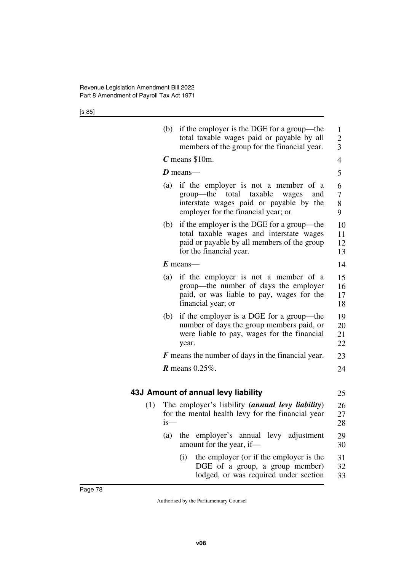|     | (b) | if the employer is the DGE for a group—the<br>total taxable wages paid or payable by all<br>members of the group for the financial year.                                | $\mathbf{1}$<br>$\overline{c}$<br>$\overline{3}$ |
|-----|-----|-------------------------------------------------------------------------------------------------------------------------------------------------------------------------|--------------------------------------------------|
|     |     | $C$ means \$10m.                                                                                                                                                        | $\overline{4}$                                   |
|     |     | $D$ means—                                                                                                                                                              | 5                                                |
|     | (a) | if the employer is not a member of a<br>taxable<br>group—the<br>total<br>wages<br>and<br>interstate wages paid or payable by the<br>employer for the financial year; or | 6<br>7<br>8<br>9                                 |
|     | (b) | if the employer is the DGE for a group—the<br>total taxable wages and interstate wages<br>paid or payable by all members of the group<br>for the financial year.        | 10<br>11<br>12<br>13                             |
|     |     | $E$ means—                                                                                                                                                              | 14                                               |
|     | (a) | if the employer is not a member of a<br>group—the number of days the employer<br>paid, or was liable to pay, wages for the<br>financial year; or                        | 15<br>16<br>17<br>18                             |
|     | (b) | if the employer is a DGE for a group—the<br>number of days the group members paid, or<br>were liable to pay, wages for the financial<br>year.                           | 19<br>20<br>21<br>22                             |
|     |     | $\bf{F}$ means the number of days in the financial year.                                                                                                                | 23                                               |
|     |     | $R$ means 0.25%.                                                                                                                                                        | 24                                               |
|     |     |                                                                                                                                                                         |                                                  |
|     |     | 43J Amount of annual levy liability                                                                                                                                     | 25                                               |
| (1) | is- | The employer's liability ( <i>annual levy liability</i> )<br>for the mental health levy for the financial year                                                          | 26<br>27<br>28                                   |
|     | (a) | employer's annual levy adjustment<br>the<br>amount for the year, if-                                                                                                    | 29<br>30                                         |
|     |     | the employer (or if the employer is the<br>(i)<br>DGE of a group, a group member)<br>lodged, or was required under section                                              | 31<br>32<br>33                                   |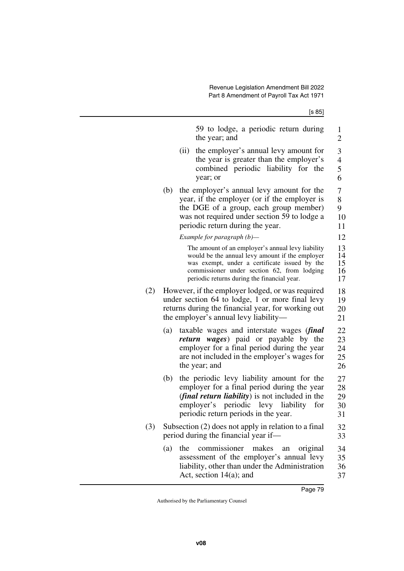|     | 59 to lodge, a periodic return during<br>the year; and                                                                                                                                                                                              | $\mathbf{1}$<br>$\overline{c}$         |
|-----|-----------------------------------------------------------------------------------------------------------------------------------------------------------------------------------------------------------------------------------------------------|----------------------------------------|
|     | the employer's annual levy amount for<br>(ii)<br>the year is greater than the employer's<br>combined periodic liability for the<br>year; or                                                                                                         | 3<br>$\overline{\mathbf{4}}$<br>5<br>6 |
|     | the employer's annual levy amount for the<br>(b)<br>year, if the employer (or if the employer is<br>the DGE of a group, each group member)<br>was not required under section 59 to lodge a<br>periodic return during the year.                      | 7<br>8<br>9<br>10<br>11                |
|     | Example for paragraph $(b)$ —                                                                                                                                                                                                                       | 12                                     |
|     | The amount of an employer's annual levy liability<br>would be the annual levy amount if the employer<br>was exempt, under a certificate issued by the<br>commissioner under section 62, from lodging<br>periodic returns during the financial year. | 13<br>14<br>15<br>16<br>17             |
| (2) | However, if the employer lodged, or was required<br>under section 64 to lodge, 1 or more final levy<br>returns during the financial year, for working out<br>the employer's annual levy liability—                                                  | 18<br>19<br>20<br>21                   |
|     | taxable wages and interstate wages ( <i>final</i><br>(a)<br>return wages) paid or payable by the<br>employer for a final period during the year<br>are not included in the employer's wages for<br>the year; and                                    | 22<br>23<br>24<br>25<br>26             |
|     | the periodic levy liability amount for the<br>(b)<br>employer for a final period during the year<br>( <i>final return liability</i> ) is not included in the<br>employer's periodic levy liability<br>for<br>periodic return periods in the year.   | 27<br>28<br>29<br>30<br>31             |
| (3) | Subsection (2) does not apply in relation to a final<br>period during the financial year if—                                                                                                                                                        | 32<br>33                               |
|     | commissioner<br>(a)<br>the<br>makes<br>original<br>an<br>assessment of the employer's annual levy<br>liability, other than under the Administration<br>Act, section $14(a)$ ; and                                                                   | 34<br>35<br>36<br>37                   |
|     |                                                                                                                                                                                                                                                     |                                        |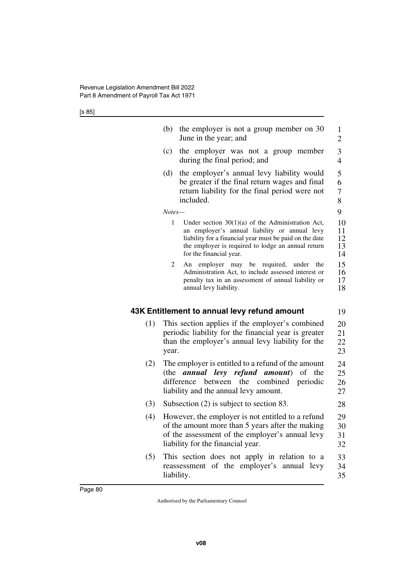|     | (b)<br>the employer is not a group member on 30<br>June in the year; and                                                                                                                                                                              | 1<br>2                        |
|-----|-------------------------------------------------------------------------------------------------------------------------------------------------------------------------------------------------------------------------------------------------------|-------------------------------|
|     | (c)<br>the employer was not a group member<br>during the final period; and                                                                                                                                                                            | 3<br>$\overline{4}$           |
|     | (d)<br>the employer's annual levy liability would<br>be greater if the final return wages and final<br>return liability for the final period were not<br>included.                                                                                    | 5<br>6<br>$\overline{7}$<br>8 |
|     | Notes-                                                                                                                                                                                                                                                | 9                             |
|     | 1<br>Under section $30(1)(a)$ of the Administration Act,<br>an employer's annual liability or annual levy<br>liability for a financial year must be paid on the date<br>the employer is required to lodge an annual return<br>for the financial year. | 10<br>11<br>12<br>13<br>14    |
|     | 2<br>An employer may be required, under<br>the<br>Administration Act, to include assessed interest or<br>penalty tax in an assessment of annual liability or<br>annual levy liability.                                                                | 15<br>16<br>17<br>18          |
|     | 43K Entitlement to annual levy refund amount                                                                                                                                                                                                          | 19                            |
| (1) | This section applies if the employer's combined<br>periodic liability for the financial year is greater<br>than the employer's annual levy liability for the<br>year.                                                                                 | 20<br>21<br>22<br>23          |
| (2) | The employer is entitled to a refund of the amount<br>annual levy<br>refund amount)<br>(the<br>of the<br>difference between the combined<br>periodic<br>liability and the annual levy amount.                                                         | 24<br>25<br>26<br>27          |
| (3) | Subsection $(2)$ is subject to section 83.                                                                                                                                                                                                            | 28                            |
| (4) | However, the employer is not entitled to a refund<br>of the amount more than 5 years after the making<br>of the assessment of the employer's annual levy<br>liability for the financial year.                                                         | 29<br>30<br>31<br>32          |
| (5) | This section does not apply in relation to a<br>reassessment of the employer's<br>annual levy<br>liability.                                                                                                                                           | 33<br>34<br>35                |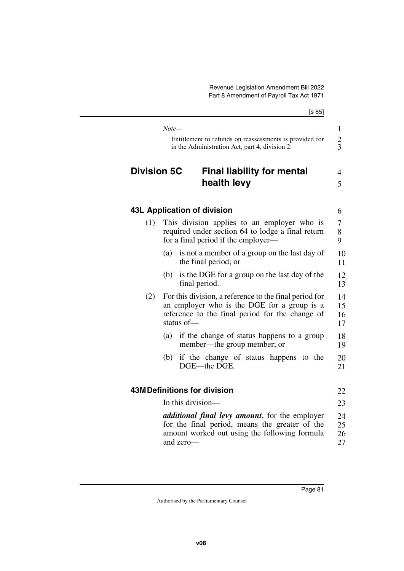|                    | [s 85]                                                                                                                                                                    |                      |
|--------------------|---------------------------------------------------------------------------------------------------------------------------------------------------------------------------|----------------------|
|                    | Note—                                                                                                                                                                     | $\mathbf{1}$         |
|                    | Entitlement to refunds on reassessments is provided for<br>in the Administration Act, part 4, division 2.                                                                 | $\frac{2}{3}$        |
| <b>Division 5C</b> | <b>Final liability for mental</b><br>health levy                                                                                                                          | 4<br>5               |
|                    | 43L Application of division                                                                                                                                               | 6                    |
| (1)                | This division applies to an employer who is<br>required under section 64 to lodge a final return<br>for a final period if the employer—                                   | 7<br>8<br>9          |
|                    | is not a member of a group on the last day of<br>(a)<br>the final period; or                                                                                              | 10<br>11             |
|                    | is the DGE for a group on the last day of the<br>(b)<br>final period.                                                                                                     | 12<br>13             |
| (2)                | For this division, a reference to the final period for<br>an employer who is the DGE for a group is a<br>reference to the final period for the change of<br>status of $-$ | 14<br>15<br>16<br>17 |
|                    | (a)<br>if the change of status happens to a group<br>member—the group member; or                                                                                          | 18<br>19             |
|                    | if the change of status happens to the<br>(b)<br>DGE-the DGE.                                                                                                             | 20<br>21             |
|                    | <b>43M Definitions for division</b>                                                                                                                                       | 22                   |
|                    | In this division-                                                                                                                                                         | 23                   |
|                    | <i>additional final levy amount</i> , for the employer<br>for the final period, means the greater of the<br>amount worked out using the following formula<br>and zero-    | 24<br>25<br>26<br>27 |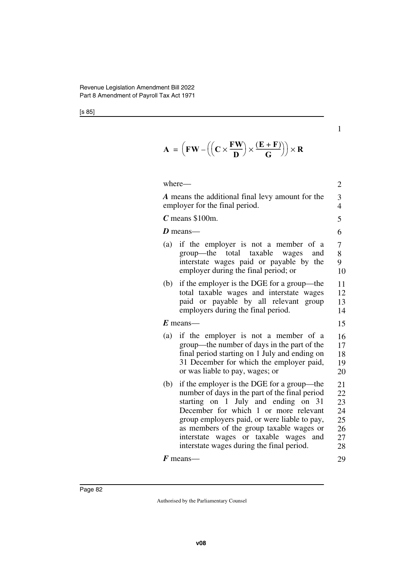1

 $A = \left( \mathbf{F} \mathbf{W} - \left( \left( \mathbf{C} \times \frac{\mathbf{F} \mathbf{W}}{\mathbf{D}} \right) \times \frac{(\mathbf{E} + \mathbf{F})}{\mathbf{G}} \right) \right) \times \mathbf{R}$ 

| where—                                                                                                                                                                                                                                                                                                                                                                | $\overline{2}$                               |  |  |
|-----------------------------------------------------------------------------------------------------------------------------------------------------------------------------------------------------------------------------------------------------------------------------------------------------------------------------------------------------------------------|----------------------------------------------|--|--|
| A means the additional final levy amount for the<br>employer for the final period.                                                                                                                                                                                                                                                                                    |                                              |  |  |
| $C$ means \$100m.                                                                                                                                                                                                                                                                                                                                                     | 5                                            |  |  |
| D means—                                                                                                                                                                                                                                                                                                                                                              | 6                                            |  |  |
| if the employer is not a member of a<br>(a)<br>group—the total taxable wages<br>and<br>interstate wages paid or payable by the<br>employer during the final period; or                                                                                                                                                                                                | 7<br>8<br>9<br>10                            |  |  |
| if the employer is the DGE for a group—the<br>(b)<br>total taxable wages and interstate wages<br>paid or payable by all relevant group<br>employers during the final period.                                                                                                                                                                                          | 11<br>12<br>13<br>14                         |  |  |
| $E$ means—                                                                                                                                                                                                                                                                                                                                                            | 15                                           |  |  |
| if the employer is not a member of a<br>(a)<br>group—the number of days in the part of the<br>final period starting on 1 July and ending on<br>31 December for which the employer paid,<br>or was liable to pay, wages; or                                                                                                                                            | 16<br>17<br>18<br>19<br>20                   |  |  |
| if the employer is the DGE for a group—the<br>(b)<br>number of days in the part of the final period<br>starting on 1 July and ending on 31<br>December for which 1 or more relevant<br>group employers paid, or were liable to pay,<br>as members of the group taxable wages or<br>interstate wages or taxable wages and<br>interstate wages during the final period. | 21<br>22<br>23<br>24<br>25<br>26<br>27<br>28 |  |  |
| $\boldsymbol{F}$ means—                                                                                                                                                                                                                                                                                                                                               | 29                                           |  |  |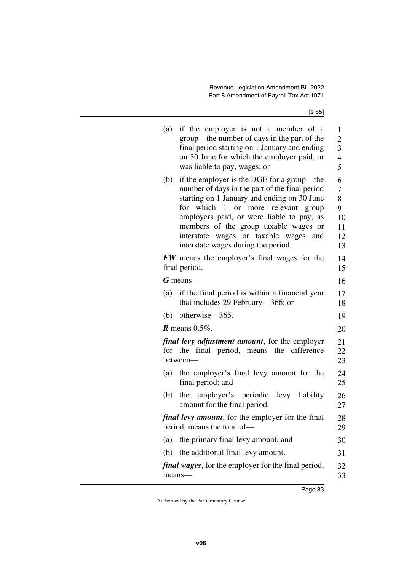| if the employer is not a member of a<br>(a)<br>group—the number of days in the part of the<br>final period starting on 1 January and ending<br>on 30 June for which the employer paid, or<br>was liable to pay, wages; or | $\mathbf{1}$<br>$\overline{c}$<br>3<br>$\overline{4}$<br>5 |
|---------------------------------------------------------------------------------------------------------------------------------------------------------------------------------------------------------------------------|------------------------------------------------------------|
| if the employer is the DGE for a group—the<br>(b)<br>number of days in the part of the final period                                                                                                                       | 6<br>7                                                     |
| starting on 1 January and ending on 30 June                                                                                                                                                                               | 8                                                          |
| for which 1 or more relevant group                                                                                                                                                                                        | 9                                                          |
| employers paid, or were liable to pay, as<br>members of the group taxable wages or                                                                                                                                        | 10<br>11                                                   |
| interstate wages or taxable wages and                                                                                                                                                                                     | 12                                                         |
| interstate wages during the period.                                                                                                                                                                                       | 13                                                         |
| <b>FW</b> means the employer's final wages for the                                                                                                                                                                        | 14                                                         |
| final period.                                                                                                                                                                                                             | 15                                                         |
| $G$ means—                                                                                                                                                                                                                | 16                                                         |
| if the final period is within a financial year<br>(a)                                                                                                                                                                     | 17                                                         |
| that includes 29 February—366; or                                                                                                                                                                                         | 18                                                         |
| otherwise—365.<br>(b)                                                                                                                                                                                                     | 19                                                         |
| $R$ means 0.5%.                                                                                                                                                                                                           | 20                                                         |
| <i>final levy adjustment amount</i> , for the employer<br>for the final period, means the difference<br>between-                                                                                                          | 21<br>22<br>23                                             |
| (a) the employer's final levy amount for the<br>final period; and                                                                                                                                                         | 24<br>25                                                   |
| the employer's periodic levy liability<br>(b)<br>amount for the final period.                                                                                                                                             | 26<br>27                                                   |
| <i>final levy amount</i> , for the employer for the final<br>period, means the total of-                                                                                                                                  | 28<br>29                                                   |
| the primary final levy amount; and<br>(a)                                                                                                                                                                                 | 30                                                         |
| the additional final levy amount.<br>(b)                                                                                                                                                                                  | 31                                                         |
| <i>final wages</i> , for the employer for the final period,<br>means-                                                                                                                                                     | 32<br>33                                                   |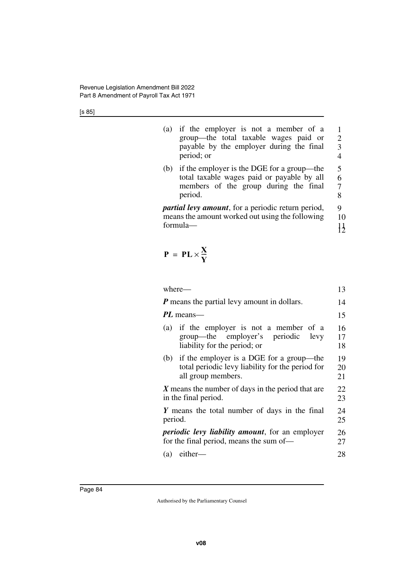| (a) if the employer is not a member of a |                             |
|------------------------------------------|-----------------------------|
| group—the total taxable wages paid or    | $\mathcal{D}_{\mathcal{L}}$ |
| payable by the employer during the final | 3                           |
| period; or                               | 4                           |

(b) if the employer is the DGE for a group—the total taxable wages paid or payable by all members of the group during the final period. 5 6 7 8

*partial levy amount*, for a periodic return period, means the amount worked out using the following formula— 9 10 11 12

$$
P = PL \times \frac{X}{Y}
$$

| where-                                                                                                                 | 13             |
|------------------------------------------------------------------------------------------------------------------------|----------------|
| <b>P</b> means the partial levy amount in dollars.                                                                     | 14             |
| PL means—                                                                                                              | 15             |
| (a) if the employer is not a member of a<br>group—the employer's periodic<br>levy<br>liability for the period; or      | 16<br>17<br>18 |
| (b) if the employer is a DGE for a group—the<br>total periodic levy liability for the period for<br>all group members. | 19<br>20<br>21 |
| $X$ means the number of days in the period that are<br>in the final period.                                            | 22<br>23       |
| Y means the total number of days in the final<br>period.                                                               | 24<br>25       |
| <i>periodic levy liability amount</i> , for an employer<br>for the final period, means the sum of—                     | 26<br>27       |
| either-<br>(a)                                                                                                         | 28             |
|                                                                                                                        |                |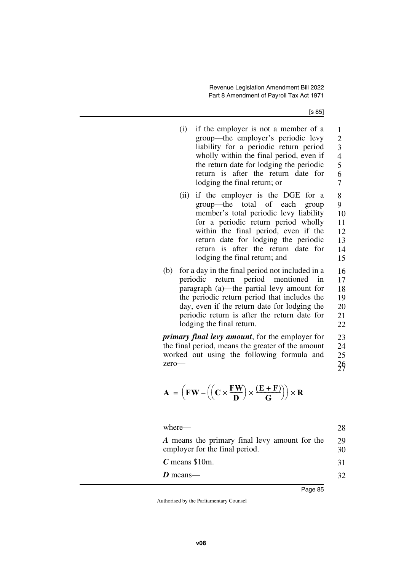| (1) | if the employer is not a member of a     | 1                           |
|-----|------------------------------------------|-----------------------------|
|     | group—the employer's periodic levy       | $\mathcal{D}_{\mathcal{A}}$ |
|     | liability for a periodic return period   | 3                           |
|     | wholly within the final period, even if  | $\overline{\mathcal{A}}$    |
|     | the return date for lodging the periodic | 5                           |
|     | return is after the return date for      | 6                           |
|     | lodging the final return; or             |                             |
|     |                                          |                             |

- (ii) if the employer is the DGE for a group—the total of each group member's total periodic levy liability for a periodic return period wholly within the final period, even if the return date for lodging the periodic return is after the return date for lodging the final return; and 8 9 10 11 12 13 14 15
- (b) for a day in the final period not included in a periodic return period mentioned in paragraph (a)—the partial levy amount for the periodic return period that includes the day, even if the return date for lodging the periodic return is after the return date for lodging the final return. 16 17 18 19 20 21 22

*primary final levy amount*, for the employer for the final period, means the greater of the amount worked out using the following formula and zero— 23 24 25 26 27

$$
\mathbf{A} = \left(\mathbf{F}\mathbf{W} - \left(\left(\mathbf{C} \times \frac{\mathbf{F}\mathbf{W}}{\mathbf{D}}\right) \times \frac{(\mathbf{E} + \mathbf{F})}{\mathbf{G}}\right)\right) \times \mathbf{R}
$$

| where—                                                                          | 28.      |
|---------------------------------------------------------------------------------|----------|
| A means the primary final levy amount for the<br>employer for the final period. | 29<br>30 |
| $C$ means \$10m.                                                                | 31       |
| $D$ means—                                                                      | 32       |
|                                                                                 |          |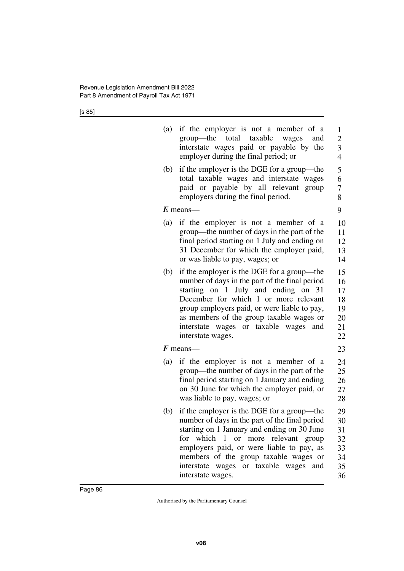| if the employer is not a member of a<br>(a)<br>group—the<br>total taxable wages<br>and<br>interstate wages paid or payable by the<br>employer during the final period; or                                                                                                                                                                        | $\mathbf{1}$<br>$\overline{c}$<br>$\overline{\mathbf{3}}$<br>$\overline{4}$ |
|--------------------------------------------------------------------------------------------------------------------------------------------------------------------------------------------------------------------------------------------------------------------------------------------------------------------------------------------------|-----------------------------------------------------------------------------|
| if the employer is the DGE for a group—the<br>(b)<br>total taxable wages and interstate wages<br>paid or payable by all relevant group<br>employers during the final period.                                                                                                                                                                     | 5<br>6<br>$\overline{7}$<br>8                                               |
| $E$ means—                                                                                                                                                                                                                                                                                                                                       | 9                                                                           |
| if the employer is not a member of a<br>(a)<br>group—the number of days in the part of the<br>final period starting on 1 July and ending on<br>31 December for which the employer paid,<br>or was liable to pay, wages; or                                                                                                                       | 10<br>11<br>12<br>13<br>14                                                  |
| if the employer is the DGE for a group—the<br>(b)<br>number of days in the part of the final period<br>starting on 1 July and ending on 31<br>December for which 1 or more relevant<br>group employers paid, or were liable to pay,<br>as members of the group taxable wages or<br>interstate wages or taxable<br>wages and<br>interstate wages. | 15<br>16<br>17<br>18<br>19<br>20<br>21<br>22                                |
| $\boldsymbol{F}$ means—                                                                                                                                                                                                                                                                                                                          | 23                                                                          |
| if the employer is not a member of a<br>(a)<br>group—the number of days in the part of the<br>final period starting on 1 January and ending<br>on 30 June for which the employer paid, or<br>was liable to pay, wages; or                                                                                                                        | 24<br>25<br>26<br>27<br>28                                                  |
| if the employer is the DGE for a group—the<br>(b)<br>number of days in the part of the final period<br>starting on 1 January and ending on 30 June<br>for which 1 or more relevant group<br>employers paid, or were liable to pay, as<br>members of the group taxable wages or<br>interstate wages or taxable wages and<br>interstate wages.     | 29<br>30<br>31<br>32<br>33<br>34<br>35<br>36                                |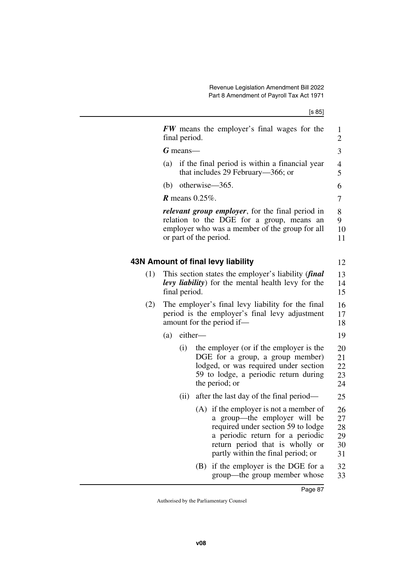|     | final period. |                                                                                                                            | <b>FW</b> means the employer's final wages for the                                                                                                                                                                        | 1<br>$\overline{2}$              |  |  |  |
|-----|---------------|----------------------------------------------------------------------------------------------------------------------------|---------------------------------------------------------------------------------------------------------------------------------------------------------------------------------------------------------------------------|----------------------------------|--|--|--|
|     | $G$ means—    |                                                                                                                            |                                                                                                                                                                                                                           | 3                                |  |  |  |
|     | (a)           |                                                                                                                            | if the final period is within a financial year<br>that includes 29 February—366; or                                                                                                                                       | 4<br>5                           |  |  |  |
|     | (b)           | otherwise-365.                                                                                                             |                                                                                                                                                                                                                           | 6                                |  |  |  |
|     |               | $R$ means 0.25%.                                                                                                           |                                                                                                                                                                                                                           | 7                                |  |  |  |
|     |               | or part of the period.                                                                                                     | <i>relevant group employer</i> , for the final period in<br>relation to the DGE for a group, means an<br>employer who was a member of the group for all                                                                   | 8<br>9<br>10<br>11               |  |  |  |
|     |               |                                                                                                                            | 43N Amount of final levy liability                                                                                                                                                                                        | 12                               |  |  |  |
| (1) |               | This section states the employer's liability (final<br>levy liability) for the mental health levy for the<br>final period. |                                                                                                                                                                                                                           |                                  |  |  |  |
| (2) |               |                                                                                                                            | The employer's final levy liability for the final<br>period is the employer's final levy adjustment<br>amount for the period if-                                                                                          |                                  |  |  |  |
|     | (a)           | either-                                                                                                                    |                                                                                                                                                                                                                           |                                  |  |  |  |
|     | (i)           |                                                                                                                            | the employer (or if the employer is the<br>DGE for a group, a group member)<br>lodged, or was required under section<br>59 to lodge, a periodic return during<br>the period; or                                           | 20<br>21<br>22<br>23<br>24       |  |  |  |
|     |               | (ii)                                                                                                                       | after the last day of the final period—                                                                                                                                                                                   | 25                               |  |  |  |
|     |               |                                                                                                                            | (A) if the employer is not a member of<br>a group—the employer will be<br>required under section 59 to lodge<br>a periodic return for a periodic<br>return period that is wholly or<br>partly within the final period; or | 26<br>27<br>28<br>29<br>30<br>31 |  |  |  |
|     |               |                                                                                                                            | (B) if the employer is the DGE for a<br>group—the group member whose                                                                                                                                                      | 32<br>33                         |  |  |  |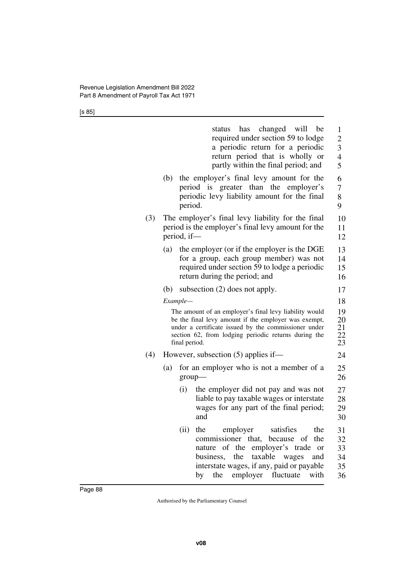|     |                                                                                                                                                                                                                                                 | status has changed will be<br>required under section 59 to lodge<br>a periodic return for a periodic<br>return period that is wholly or<br>partly within the final period; and                                                                                                         | 1<br>$\overline{2}$<br>3<br>$\overline{4}$<br>5 |  |  |  |  |
|-----|-------------------------------------------------------------------------------------------------------------------------------------------------------------------------------------------------------------------------------------------------|----------------------------------------------------------------------------------------------------------------------------------------------------------------------------------------------------------------------------------------------------------------------------------------|-------------------------------------------------|--|--|--|--|
|     | (b)                                                                                                                                                                                                                                             | the employer's final levy amount for the<br>period is greater than the<br>employer's<br>periodic levy liability amount for the final<br>period.                                                                                                                                        | 6<br>7<br>8<br>9                                |  |  |  |  |
| (3) | The employer's final levy liability for the final<br>period is the employer's final levy amount for the<br>period, if-                                                                                                                          |                                                                                                                                                                                                                                                                                        |                                                 |  |  |  |  |
|     | (a)                                                                                                                                                                                                                                             | the employer (or if the employer is the DGE<br>for a group, each group member) was not<br>required under section 59 to lodge a periodic<br>return during the period; and                                                                                                               | 13<br>14<br>15<br>16                            |  |  |  |  |
|     | (b)                                                                                                                                                                                                                                             | subsection $(2)$ does not apply.                                                                                                                                                                                                                                                       | 17                                              |  |  |  |  |
|     | Example-                                                                                                                                                                                                                                        |                                                                                                                                                                                                                                                                                        |                                                 |  |  |  |  |
|     | The amount of an employer's final levy liability would<br>be the final levy amount if the employer was exempt,<br>under a certificate issued by the commissioner under<br>section 62, from lodging periodic returns during the<br>final period. |                                                                                                                                                                                                                                                                                        |                                                 |  |  |  |  |
| (4) |                                                                                                                                                                                                                                                 | However, subsection (5) applies if—                                                                                                                                                                                                                                                    | 24                                              |  |  |  |  |
|     | (a)                                                                                                                                                                                                                                             | for an employer who is not a member of a<br>group-                                                                                                                                                                                                                                     | 25<br>26                                        |  |  |  |  |
|     |                                                                                                                                                                                                                                                 | the employer did not pay and was not<br>(i)<br>liable to pay taxable wages or interstate<br>wages for any part of the final period;<br>and                                                                                                                                             | 27<br>28<br>29<br>30                            |  |  |  |  |
|     |                                                                                                                                                                                                                                                 | (ii)<br>the<br>employer<br>satisfies<br>the<br>commissioner that,<br>of<br>the<br>because<br>nature of the<br>employer's trade<br><sub>or</sub><br>taxable wages<br>business,<br>the<br>and<br>interstate wages, if any, paid or payable<br>employer<br>fluctuate<br>with<br>by<br>the | 31<br>32<br>33<br>34<br>35<br>36                |  |  |  |  |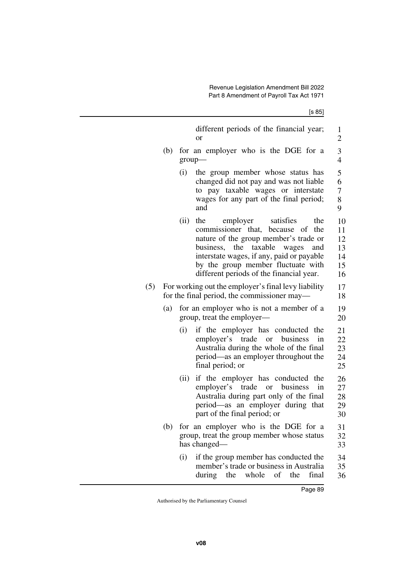7 8 9

different periods of the financial year; or

- (b) for an employer who is the DGE for a group—
	- (i) the group member whose status has changed did not pay and was not liable to pay taxable wages or interstate wages for any part of the final period; and 6
	- (ii) the employer satisfies the commissioner that, because of the nature of the group member's trade or business, the taxable wages and interstate wages, if any, paid or payable by the group member fluctuate with different periods of the financial year. 10 11 12 13 14 15 16
- (5) For working out the employer's final levy liability for the final period, the commissioner may— 17 18
	- (a) for an employer who is not a member of a group, treat the employer— 19 20
		- (i) if the employer has conducted the employer's trade or business in Australia during the whole of the final period—as an employer throughout the final period; or 21 22 23 24 25
		- (ii) if the employer has conducted the employer's trade or business in Australia during part only of the final period—as an employer during that part of the final period; or 26 27 28 29 30
	- (b) for an employer who is the DGE for a group, treat the group member whose status has changed— 31 32 33
		- (i) if the group member has conducted the member's trade or business in Australia during the whole of the final 34 35 36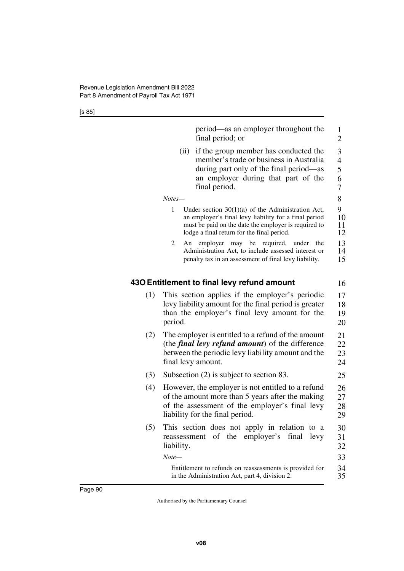|     | period—as an employer throughout the<br>final period; or                                                                                                                                                                |
|-----|-------------------------------------------------------------------------------------------------------------------------------------------------------------------------------------------------------------------------|
|     | (ii)<br>if the group member has conducted the<br>member's trade or business in Australia<br>during part only of the final period—as<br>an employer during that part of the<br>final period.                             |
|     | $Notes-$                                                                                                                                                                                                                |
|     | Under section $30(1)(a)$ of the Administration Act,<br>1<br>an employer's final levy liability for a final period<br>must be paid on the date the employer is required to<br>lodge a final return for the final period. |
|     | 2<br>may be required, under<br>An employer<br>the<br>Administration Act, to include assessed interest or<br>penalty tax in an assessment of final levy liability.                                                       |
|     | 430 Entitlement to final levy refund amount                                                                                                                                                                             |
| (1) | This section applies if the employer's periodic<br>levy liability amount for the final period is greater<br>than the employer's final levy amount for the<br>period.                                                    |
| (2) | The employer is entitled to a refund of the amount<br>(the <i>final levy refund amount</i> ) of the difference<br>between the periodic levy liability amount and the<br>final levy amount.                              |
| (3) | Subsection $(2)$ is subject to section 83.                                                                                                                                                                              |
| (4) | However, the employer is not entitled to a refund<br>of the amount more than 5 years after the making<br>of the assessment of the employer's final levy<br>liability for the final period.                              |
| (5) | This section does not apply in relation to a<br>of the employer's final<br>levy<br>reassessment<br>liability.                                                                                                           |
|     | $Note-$                                                                                                                                                                                                                 |
|     |                                                                                                                                                                                                                         |

Entitlement to refunds on reassessments is provided for in the Administration Act, part 4, division 2. 34 35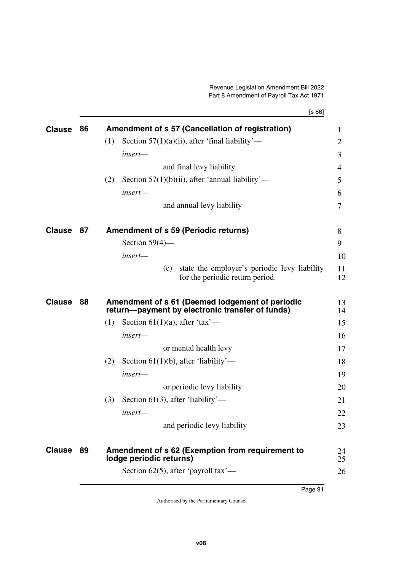[s 86]

| Section $57(1)(a)(ii)$ , after 'final liability'—<br>(1)                                                                  | $\mathbf{1}$   |
|---------------------------------------------------------------------------------------------------------------------------|----------------|
|                                                                                                                           | $\overline{2}$ |
| insert-                                                                                                                   | 3              |
| and final levy liability                                                                                                  | 4              |
| Section $57(1)(b)(ii)$ , after 'annual liability'—<br>(2)                                                                 | 5              |
| insert—                                                                                                                   | 6              |
| and annual levy liability                                                                                                 | 7              |
| <b>Clause</b><br>87<br><b>Amendment of s 59 (Periodic returns)</b>                                                        | 8              |
| Section $59(4)$ —                                                                                                         | 9              |
| insert-                                                                                                                   | 10             |
| state the employer's periodic levy liability<br>(c)<br>for the periodic return period.                                    | 11<br>12       |
| <b>Clause</b><br>88<br>Amendment of s 61 (Deemed lodgement of periodic<br>return—payment by electronic transfer of funds) | 13<br>14       |
| Section 61(1)(a), after 'tax'—<br>(1)                                                                                     | 15             |
| insert-                                                                                                                   | 16             |
| or mental health levy                                                                                                     | 17             |
| (2)<br>Section $61(1)(b)$ , after 'liability'—                                                                            | 18             |
|                                                                                                                           | 19             |
| insert-                                                                                                                   | 20             |
| or periodic levy liability                                                                                                |                |
| Section $61(3)$ , after 'liability'—<br>(3)                                                                               | 21             |
| insert-                                                                                                                   | 22             |
| and periodic levy liability                                                                                               | 23             |
| <b>Clause</b><br>89<br>Amendment of s 62 (Exemption from requirement to<br>lodge periodic returns)                        | 24<br>25       |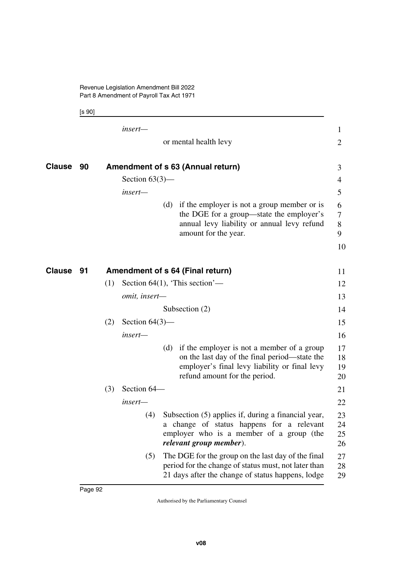Revenue Legislation Amendment Bill 2022 Part 8 Amendment of Payroll Tax Act 1971

[s 90]

|        |    |     | insert-           |                                                                                                                                                                                   | $\mathbf{1}$         |
|--------|----|-----|-------------------|-----------------------------------------------------------------------------------------------------------------------------------------------------------------------------------|----------------------|
|        |    |     |                   | or mental health levy                                                                                                                                                             | $\overline{2}$       |
| Clause | 90 |     |                   | Amendment of s 63 (Annual return)                                                                                                                                                 | 3                    |
|        |    |     | Section $63(3)$ — |                                                                                                                                                                                   | 4                    |
|        |    |     | insert-           |                                                                                                                                                                                   | 5                    |
|        |    |     |                   | (d) if the employer is not a group member or is<br>the DGE for a group—state the employer's<br>annual levy liability or annual levy refund<br>amount for the year.                | 6<br>7<br>8<br>9     |
|        |    |     |                   |                                                                                                                                                                                   | 10                   |
| Clause | 91 |     |                   | Amendment of s 64 (Final return)                                                                                                                                                  | 11                   |
|        |    | (1) |                   | Section 64(1), 'This section'—                                                                                                                                                    | 12                   |
|        |    |     | omit, insert-     |                                                                                                                                                                                   | 13                   |
|        |    |     |                   | Subsection $(2)$                                                                                                                                                                  | 14                   |
|        |    | (2) | Section $64(3)$ — |                                                                                                                                                                                   | 15                   |
|        |    |     | insert-           |                                                                                                                                                                                   | 16                   |
|        |    |     |                   | (d) if the employer is not a member of a group<br>on the last day of the final period—state the<br>employer's final levy liability or final levy<br>refund amount for the period. | 17<br>18<br>19<br>20 |
|        |    | (3) | Section 64-       |                                                                                                                                                                                   | 21                   |
|        |    |     | insert-           |                                                                                                                                                                                   | 22                   |
|        |    |     | (4)               | Subsection (5) applies if, during a financial year,<br>a change of status happens for a relevant<br>employer who is a member of a group (the<br>relevant group member).           | 23<br>24<br>25<br>26 |
|        |    |     | (5)               | The DGE for the group on the last day of the final<br>period for the change of status must, not later than<br>21 days after the change of status happens, lodge                   | 27<br>28<br>29       |
|        |    |     |                   |                                                                                                                                                                                   |                      |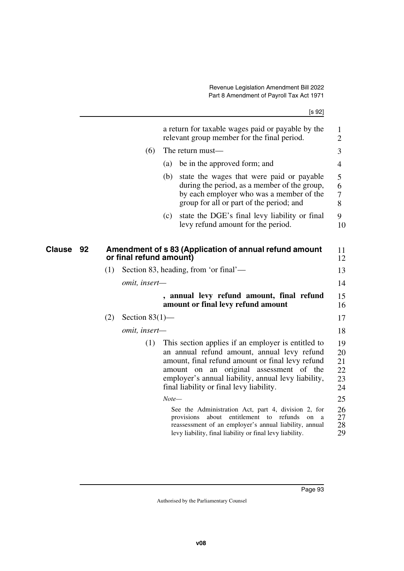|                     |     |                         |         | a return for taxable wages paid or payable by the<br>relevant group member for the final period.                                                                                                                                                                                                                                                                                                                                                                                                                                          | $\mathbf{1}$<br>$\overline{2}$                                 |
|---------------------|-----|-------------------------|---------|-------------------------------------------------------------------------------------------------------------------------------------------------------------------------------------------------------------------------------------------------------------------------------------------------------------------------------------------------------------------------------------------------------------------------------------------------------------------------------------------------------------------------------------------|----------------------------------------------------------------|
|                     |     | (6)                     |         | The return must—                                                                                                                                                                                                                                                                                                                                                                                                                                                                                                                          | 3                                                              |
|                     |     |                         | (a)     | be in the approved form; and                                                                                                                                                                                                                                                                                                                                                                                                                                                                                                              | $\overline{4}$                                                 |
|                     |     |                         | (b)     | state the wages that were paid or payable<br>during the period, as a member of the group,<br>by each employer who was a member of the<br>group for all or part of the period; and                                                                                                                                                                                                                                                                                                                                                         | 5<br>6<br>7<br>8                                               |
|                     |     |                         | (c)     | state the DGE's final levy liability or final<br>levy refund amount for the period.                                                                                                                                                                                                                                                                                                                                                                                                                                                       | 9<br>10                                                        |
| <b>Clause</b><br>92 |     | or final refund amount) |         | Amendment of s 83 (Application of annual refund amount                                                                                                                                                                                                                                                                                                                                                                                                                                                                                    | 11<br>12                                                       |
|                     | (1) |                         |         | Section 83, heading, from 'or final'—                                                                                                                                                                                                                                                                                                                                                                                                                                                                                                     | 13                                                             |
|                     |     | <i>omit, insert—</i>    |         |                                                                                                                                                                                                                                                                                                                                                                                                                                                                                                                                           | 14                                                             |
|                     |     |                         |         | , annual levy refund amount, final refund<br>amount or final levy refund amount                                                                                                                                                                                                                                                                                                                                                                                                                                                           | 15<br>16                                                       |
|                     | (2) | Section $83(1)$ —       |         |                                                                                                                                                                                                                                                                                                                                                                                                                                                                                                                                           | 17                                                             |
|                     |     | omit, insert-           |         |                                                                                                                                                                                                                                                                                                                                                                                                                                                                                                                                           | 18                                                             |
|                     |     | (1)                     | $Note-$ | This section applies if an employer is entitled to<br>an annual refund amount, annual levy refund<br>amount, final refund amount or final levy refund<br>amount on an original assessment of the<br>employer's annual liability, annual levy liability,<br>final liability or final levy liability.<br>See the Administration Act, part 4, division 2, for<br>about entitlement to refunds<br>provisions<br>on<br>a<br>reassessment of an employer's annual liability, annual<br>levy liability, final liability or final levy liability. | 19<br>20<br>21<br>22<br>23<br>24<br>25<br>26<br>27<br>28<br>29 |
|                     |     |                         |         |                                                                                                                                                                                                                                                                                                                                                                                                                                                                                                                                           |                                                                |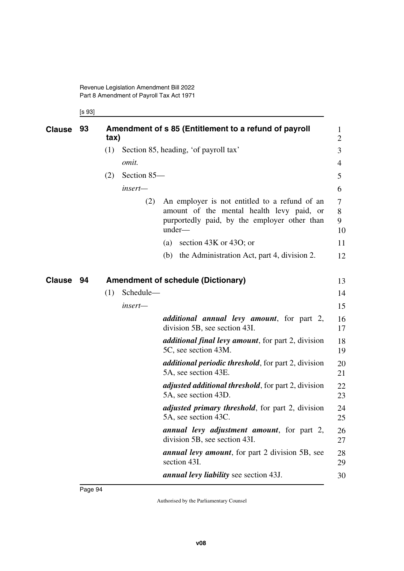Revenue Legislation Amendment Bill 2022 Part 8 Amendment of Payroll Tax Act 1971

## [s 93]

Page 94

| <b>Clause</b> | 93 | Amendment of s 85 (Entitlement to a refund of payroll<br>tax) |                                       |                                                                                                                                                      |                   |
|---------------|----|---------------------------------------------------------------|---------------------------------------|------------------------------------------------------------------------------------------------------------------------------------------------------|-------------------|
|               |    | (1)                                                           | Section 85, heading, 'of payroll tax' |                                                                                                                                                      | 3                 |
|               |    |                                                               | omit.                                 |                                                                                                                                                      | 4                 |
|               |    | (2)                                                           | Section 85-                           |                                                                                                                                                      | 5                 |
|               |    |                                                               | insert-                               |                                                                                                                                                      | 6                 |
|               |    |                                                               | (2)                                   | An employer is not entitled to a refund of an<br>amount of the mental health levy paid, or<br>purportedly paid, by the employer other than<br>under- | 7<br>8<br>9<br>10 |
|               |    |                                                               |                                       | section 43K or 43O; or<br>(a)                                                                                                                        | 11                |
|               |    |                                                               |                                       | the Administration Act, part 4, division 2.<br>(b)                                                                                                   | 12                |
| <b>Clause</b> | 94 |                                                               |                                       | <b>Amendment of schedule (Dictionary)</b>                                                                                                            | 13                |
|               |    | (1)                                                           | Schedule-                             |                                                                                                                                                      | 14                |
|               |    |                                                               | insert-                               |                                                                                                                                                      | 15                |
|               |    |                                                               |                                       | <i>additional annual levy amount</i> , for part 2,<br>division 5B, see section 43I.                                                                  | 16<br>17          |
|               |    |                                                               |                                       | <i>additional final levy amount</i> , for part 2, division<br>5C, see section 43M.                                                                   | 18<br>19          |
|               |    |                                                               |                                       | <i>additional periodic threshold</i> , for part 2, division<br>5A, see section 43E.                                                                  | 20<br>21          |
|               |    |                                                               |                                       | <i>adjusted additional threshold</i> , for part 2, division<br>5A, see section 43D.                                                                  | 22<br>23          |
|               |    |                                                               |                                       | <i>adjusted primary threshold</i> , for part 2, division<br>5A, see section 43C.                                                                     | 24<br>25          |
|               |    |                                                               |                                       | annual levy adjustment amount, for part 2,<br>division 5B, see section 43I.                                                                          | 26<br>27          |
|               |    |                                                               |                                       | <b>annual levy amount</b> , for part 2 division 5B, see<br>section 43I.                                                                              | 28<br>29          |
|               |    |                                                               |                                       | <i>annual levy liability</i> see section 43J.                                                                                                        | 30                |